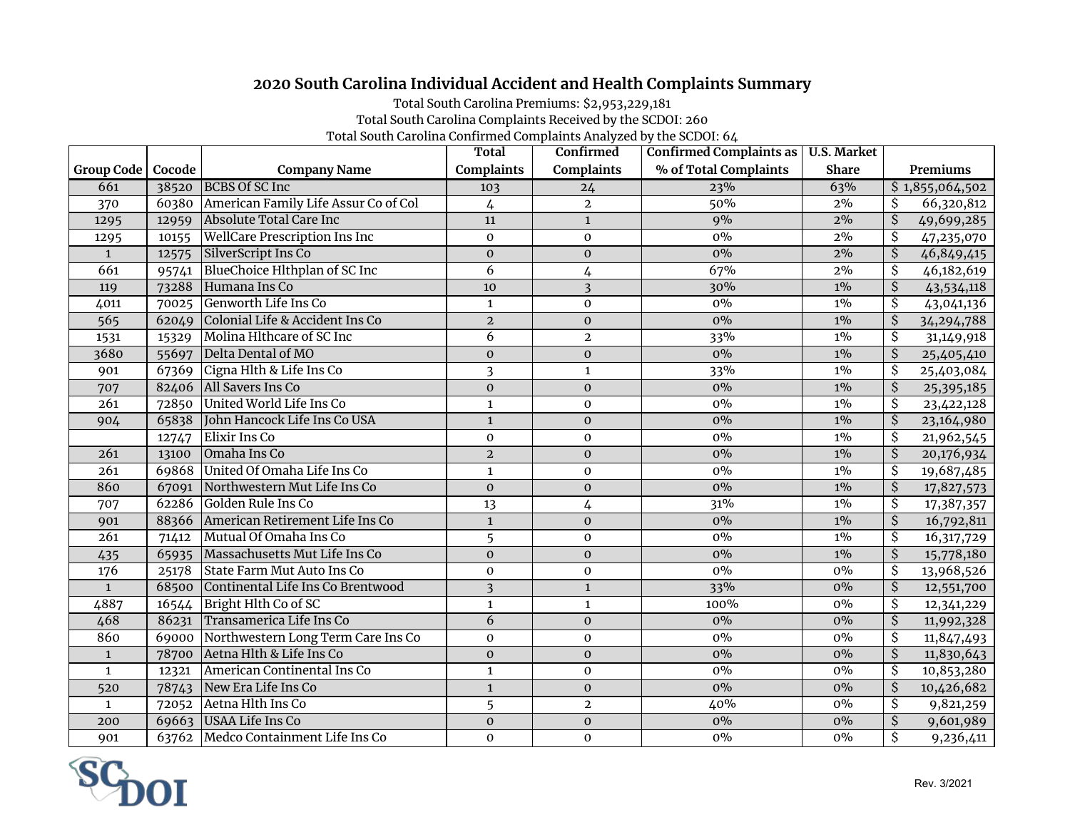## **2020 South Carolina Individual Accident and Health Complaints Summary**

Total South Carolina Premiums: \$2,953,229,181

Total South Carolina Complaints Received by the SCDOI: 260

Total South Carolina Confirmed Complaints Analyzed by the SCDOI: 64

|                  |        |                                         | <b>Total</b>            | Confirmed         | Confirmed Complaints as   U.S. Market |              |                                        |
|------------------|--------|-----------------------------------------|-------------------------|-------------------|---------------------------------------|--------------|----------------------------------------|
| Group Code       | Cocode | <b>Company Name</b>                     | <b>Complaints</b>       | <b>Complaints</b> | % of Total Complaints                 | <b>Share</b> | Premiums                               |
| 661              |        | 38520 BCBS Of SC Inc                    | 103                     | 24                | 23%                                   | 63%          | \$1,855,064,502                        |
| 370              | 60380  | American Family Life Assur Co of Col    | 4                       | $\mathbf{2}$      | 50%                                   | $2\%$        | 66,320,812<br>Ŝ                        |
| 1295             | 12959  | Absolute Total Care Inc                 | 11                      | $\mathbf{1}$      | 9%                                    | 2%           | $\overline{\mathcal{S}}$<br>49,699,285 |
| 1295             | 10155  | <b>WellCare Prescription Ins Inc</b>    | $\mathbf 0$             | $\mathbf{O}$      | $0\%$                                 | 2%           | $\overline{\mathcal{S}}$<br>47,235,070 |
| $\mathbf{1}$     | 12575  | SilverScript Ins Co                     | $\boldsymbol{0}$        | $\mathbf 0$       | $0\%$                                 | 2%           | $\overline{\mathcal{S}}$<br>46,849,415 |
| 661              | 95741  | BlueChoice Hlthplan of SC Inc           | $\overline{6}$          | 4                 | 67%                                   | $2\%$        | \$<br>46,182,619                       |
| 119              | 73288  | Humana Ins Co                           | $\overline{10}$         | $\overline{3}$    | 30%                                   | $1\%$        | $\overline{\mathcal{S}}$<br>43,534,118 |
| 4011             | 70025  | Genworth Life Ins Co                    | $\mathbf{1}$            | $\mathbf 0$       | $0\%$                                 | $1\%$        | $\overline{\mathcal{S}}$<br>43,041,136 |
| 565              | 62049  | Colonial Life & Accident Ins Co         | $\overline{2}$          | $\mathbf 0$       | $0\%$                                 | $1\%$        | $\overline{\mathcal{S}}$<br>34,294,788 |
| 1531             | 15329  | Molina Hlthcare of SC Inc               | 6                       | $\mathbf{2}$      | 33%                                   | $1\%$        | \$<br>31,149,918                       |
| 3680             | 55697  | Delta Dental of MO                      | $\mathbf 0$             | $\mathbf 0$       | $0\%$                                 | $1\%$        | $\overline{\mathcal{S}}$<br>25,405,410 |
| 901              |        | 67369 Cigna Hlth & Life Ins Co          | $\overline{\mathbf{3}}$ | $\mathbf{1}$      | 33%                                   | $1\%$        | \$<br>25,403,084                       |
| 707              | 82406  | All Savers Ins Co                       | $\mathbf 0$             | $\mathbf 0$       | $0\%$                                 | $1\%$        | \$<br>25,395,185                       |
| 261              | 72850  | United World Life Ins Co                | $\mathbf{1}$            | $\pmb{0}$         | $0\%$                                 | $1\%$        | \$<br>23,422,128                       |
| 904              | 65838  | John Hancock Life Ins Co USA            | $\mathbf{1}$            | $\boldsymbol{0}$  | $0\%$                                 | $1\%$        | $\overline{\mathcal{S}}$<br>23,164,980 |
|                  | 12747  | Elixir Ins Co                           | $\mathbf 0$             | $\mathbf 0$       | $0\%$                                 | $1\%$        | \$<br>21,962,545                       |
| 261              | 13100  | Omaha Ins Co                            | $\mathbf 2$             | $\pmb{0}$         | $0\%$                                 | $1\%$        | $\overline{\mathcal{S}}$<br>20,176,934 |
| 261              |        | 69868 United Of Omaha Life Ins Co       | $\mathbf 1$             | $\mathbf{O}$      | $0\%$                                 | $1\%$        | $\overline{\mathcal{S}}$<br>19,687,485 |
| 860              | 67091  | Northwestern Mut Life Ins Co            | $\mathbf{0}$            | $\mathbf{0}$      | $0\%$                                 | $1\%$        | $\overline{\mathcal{S}}$<br>17,827,573 |
| 707              | 62286  | Golden Rule Ins Co                      | 13                      | 4                 | 31%                                   | $1\%$        | $\overline{\mathcal{S}}$<br>17,387,357 |
| 901              | 88366  | American Retirement Life Ins Co         | $\mathbf{1}$            | $\mathbf 0$       | $0\%$                                 | $1\%$        | $\overline{\mathcal{S}}$<br>16,792,811 |
| 261              | 71412  | Mutual Of Omaha Ins Co                  | 5                       | $\mathbf 0$       | $0\%$                                 | $1\%$        | $\overline{\mathcal{S}}$<br>16,317,729 |
| 435              | 65935  | Massachusetts Mut Life Ins Co           | $\mathbf 0$             | $\mathbf 0$       | $0\%$                                 | $1\%$        | $\overline{\mathcal{S}}$<br>15,778,180 |
| $\overline{176}$ | 25178  | State Farm Mut Auto Ins Co              | $\mathbf 0$             | $\mathbf 0$       | $0\%$                                 | $0\%$        | $\overline{\mathcal{S}}$<br>13,968,526 |
| $\mathbf{1}$     |        | 68500 Continental Life Ins Co Brentwood | $\overline{\mathbf{3}}$ | $\mathbf 1$       | 33%                                   | $0\%$        | $\overline{\mathcal{S}}$<br>12,551,700 |
| 4887             | 16544  | Bright Hlth Co of SC                    | $\mathbf 1$             | $\mathbf{1}$      | 100%                                  | $0\%$        | \$<br>12,341,229                       |
| 468              | 86231  | Transamerica Life Ins Co                | $\overline{6}$          | $\boldsymbol{0}$  | $0\%$                                 | $0\%$        | $\overline{\mathcal{S}}$<br>11,992,328 |
| 860              | 69000  | Northwestern Long Term Care Ins Co      | $\mathbf 0$             | $\mathbf 0$       | $0\%$                                 | $0\%$        | $\overline{\mathcal{S}}$<br>11,847,493 |
| $\mathbf{1}$     | 78700  | Aetna Hlth & Life Ins Co                | $\mathbf{O}$            | $\mathbf{0}$      | $0\%$                                 | $0\%$        | $\overline{\mathcal{S}}$<br>11,830,643 |
| $\mathbf{1}$     | 12321  | American Continental Ins Co             | $\mathbf{1}$            | $\mathbf 0$       | $0\%$                                 | $0\%$        | \$<br>10,853,280                       |
| 520              | 78743  | New Era Life Ins Co                     | $\mathbf{1}$            | $\mathbf 0$       | $0\%$                                 | $0\%$        | $\overline{\mathcal{S}}$<br>10,426,682 |
| $\mathbf{1}$     | 72052  | Aetna Hlth Ins Co                       | 5                       | $\overline{2}$    | 40%                                   | $0\%$        | $\overline{\mathcal{S}}$<br>9,821,259  |
| 200              |        | 69663 USAA Life Ins Co                  | $\mathbf 0$             | $\mathbf{0}$      | $0\%$                                 | $0\%$        | $\overline{\mathcal{S}}$<br>9,601,989  |
| 901              |        | 63762 Medco Containment Life Ins Co     | $\mathbf 0$             | $\mathbf 0$       | $0\%$                                 | $0\%$        | $\overline{\mathcal{S}}$<br>9,236,411  |

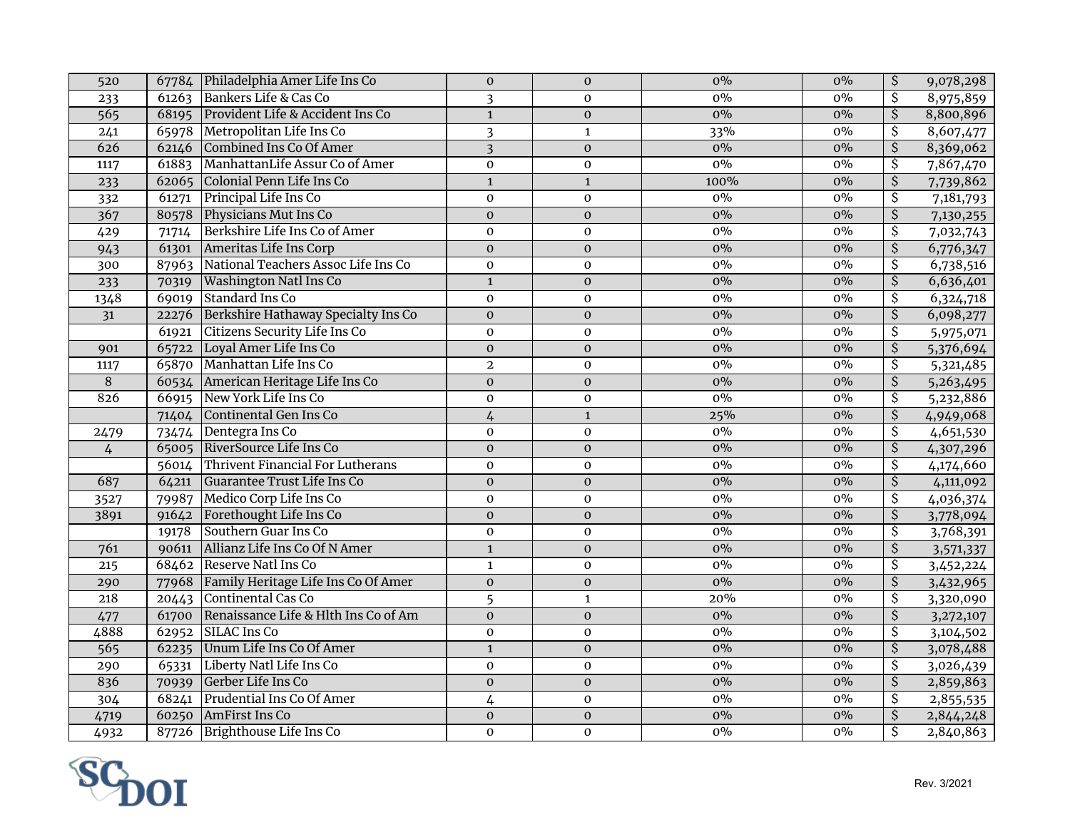| 0%<br>$\overline{\mathcal{S}}$<br>Bankers Life & Cas Co<br>$\overline{\mathbf{3}}$<br>$0\%$<br>8,975,859<br>61263<br>$\mathbf 0$<br>233<br>$\overline{\mathsf{S}}$<br>Provident Life & Accident Ins Co<br>$\overline{1}$<br>$0\%$<br>$0\%$<br>565<br>$\overline{0}$<br>68195<br>65978 Metropolitan Life Ins Co<br>$\overline{\mathcal{S}}$<br>$0\overline{\%}$<br>$\overline{\mathbf{3}}$<br>33%<br>8,607,477<br>241<br>$\mathbf{1}$<br>$\overline{\mathcal{S}}$<br>626<br>Combined Ins Co Of Amer<br>$\overline{3}$<br>8,369,062<br>$\mathbf 0$<br>$0\%$<br>$0\%$<br>62146<br>ManhattanLife Assur Co of Amer<br>$\overline{\mathcal{S}}$<br>$\mathbf 0$<br>$0\%$<br>$0\%$<br>7,867,470<br>61883<br>$\mathbf 0$<br>1117<br>$\overline{\mathcal{S}}$<br>Colonial Penn Life Ins Co<br>$\mathbf 1$<br>100%<br>$0\%$<br>62065<br>$\mathbf 1$<br>7,739,862<br>233<br>$0\%$<br>\$<br>Principal Life Ins Co<br>$0\%$<br>$\mathbf 0$<br>$\mathbf 0$<br>7,181,793<br>332<br>61271<br>$\overline{\xi}$<br>367<br>Physicians Mut Ins Co<br>$0\%$<br>$0\%$<br>$\mathbf{0}$<br>$\mathbf 0$<br>80578<br>Berkshire Life Ins Co of Amer<br>\$<br>$\boldsymbol{0}$<br>$0\%$<br>$0\%$<br>7,032,743<br>429<br>71714<br>$\boldsymbol{0}$<br>$\overline{\mathcal{S}}$<br>Ameritas Life Ins Corp<br>943<br>61301<br>$\mathbf 0$<br>$0\%$<br>$0\%$<br>6,776,347<br>$\mathbf 0$<br>National Teachers Assoc Life Ins Co<br>\$<br>$0\%$<br>$0\%$<br>6,738,516<br>300<br>87963<br>$\mathbf 0$<br>$\boldsymbol{0}$<br>$\overline{\mathcal{S}}$<br>$\overline{\mathbf{1}}$<br>$0\%$<br><b>Washington Natl Ins Co</b><br>$\pmb{0}$<br>$0\%$<br>6,636,401<br>233<br>70319<br>$0\%$<br><b>Standard Ins Co</b><br>\$<br>1348<br>$\mathbf 0$<br>$0\%$<br>69019<br>$\mathbf{O}$<br>6,324,718<br>Berkshire Hathaway Specialty Ins Co<br>$0\%$<br>$\overline{\mathcal{S}}$<br>$0\%$<br>6,098,277<br>$\overline{31}$<br>$\mathbf 0$<br>$\mathbf 0$<br>22276<br>Citizens Security Life Ins Co<br>\$<br>$\mathbf 0$<br>$\boldsymbol{0}$<br>$0\%$<br>$0\%$<br>61921<br>5,975,071<br>65722 Loyal Amer Life Ins Co<br>$\overline{\mathcal{S}}$<br>$\overline{\mathbf{0}}$<br>$0\%$<br>$0\%$<br>5,376,694<br>$\boldsymbol{0}$<br>901<br>Manhattan Life Ins Co<br>\$<br>65870<br>$\overline{2}$<br>$0\%$<br>$0\%$<br>5,321,485<br>1117<br>$\mathbf 0$<br>$\overline{\mathcal{S}}$<br>$\overline{8}$<br>$0\%$<br>$\mathbf 0$<br>$0\%$<br>5,263,495<br>American Heritage Life Ins Co<br>$\pmb{0}$<br>60534<br>New York Life Ins Co<br>$0\%$<br>$\overline{\mathcal{S}}$<br>826<br>$0\%$<br>5,232,886<br>66915<br>$\mathbf 0$<br>$\mathbf 0$<br>$\overline{\xi}$<br>25%<br>Continental Gen Ins Co<br>$0\%$<br>4,949,068<br>$\overline{4}$<br>71404<br>$\mathbf{1}$<br>$\overline{\mathcal{S}}$<br>73474 Dentegra Ins Co<br>$\mathbf 0$<br>$0\%$<br>$0\%$<br>4,651,530<br>$\mathbf 0$<br>2479<br>$\overline{\xi}$<br>65005 RiverSource Life Ins Co<br>$\mathbf 0$<br>$0\%$<br>$0\%$<br>4,307,296<br>$\mathbf 0$<br>$\overline{4}$<br>56014 Thrivent Financial For Lutherans<br>\$<br>4,174,660<br>$\mathbf 0$<br>$0\%$<br>$0\%$<br>$\mathbf 0$<br>$\overline{\xi}$<br>$0\%$<br>687<br>Guarantee Trust Life Ins Co<br>$\boldsymbol{0}$<br>$\pmb{0}$<br>$0\%$<br>4,111,092<br>64211<br>$0\%$<br>79987 Medico Corp Life Ins Co<br>$\overline{\mathcal{S}}$<br>$0\%$<br>4,036,374<br>$\mathbf 0$<br>$\mathbf 0$<br>3527<br>Forethought Life Ins Co<br>$\overline{\mathcal{S}}$<br>$0\%$<br>$0\%$<br>3891<br>91642<br>$\mathbf 0$<br>3,778,094<br>$\mathbf 0$<br>\$<br>Southern Guar Ins Co<br>19178<br>$\mathbf 0$<br>$0\%$<br>$0\%$<br>3,768,391<br>$\mathbf 0$<br>$\overline{\mathsf{S}}$<br>Allianz Life Ins Co Of N Amer<br>761<br>$\mathbf{1}$<br>$0\%$<br>$0\%$<br>3,571,337<br>90611<br>$\mathbf 0$<br>68462 Reserve Natl Ins Co<br>$\overline{\mathcal{S}}$<br>$\mathbf 1$<br>$0\%$<br>$0\%$<br>215<br>$\pmb{0}$<br>3,452,224<br>$0\%$<br>$\overline{\mathcal{S}}$<br>77968 Family Heritage Life Ins Co Of Amer<br>$\mathbf 0$<br>$0\%$<br>$\boldsymbol{0}$<br>3,432,965<br>290<br>20443 Continental Cas Co<br>218<br>$\overline{\mathcal{S}}$<br>5<br>20%<br>$0\%$<br>$\mathbf 1$<br>3,320,090<br>$\overline{\boldsymbol{\mathsf{S}}}$<br>Renaissance Life & Hlth Ins Co of Am<br>$0\%$<br>$0\%$<br>$\mathbf 0$<br>$\mathbf{0}$<br>61700<br>3,272,107<br>477<br>$\overline{\mathcal{S}}$<br>4888<br>$0\%$<br>SILAC Ins Co<br>$\mathbf 0$<br>$0\%$<br>62952<br>$\mathbf 0$<br>3,104,502<br>Unum Life Ins Co Of Amer<br>$\overline{\mathcal{S}}$<br>$0\%$<br>$0\%$<br>565<br>62235<br>$\mathbf{1}$<br>3,078,488<br>$\mathbf 0$<br>Liberty Natl Life Ins Co<br>\$<br>290<br>$\mathbf 0$<br>$0\%$<br>$0\%$<br>65331<br>$\mathbf 0$<br>3,026,439<br>$\overline{\mathcal{S}}$<br>836<br>Gerber Life Ins Co<br>$0\%$<br>$\overline{0}$<br>$\overline{0}$<br>$0\%$<br>2,859,863<br>70939<br>Prudential Ins Co Of Amer<br>$0\%$<br>\$<br>68241<br>$\overline{4}$<br>$0\%$<br>2,855,535<br>304<br>$\mathbf 0$<br>$0\%$<br>$\overline{\mathcal{S}}$<br>60250 AmFirst Ins Co<br>$\overline{0}$<br>$\overline{0}$<br>$0\%$<br>2,844,248<br>4719<br>Ŝ<br>Brighthouse Life Ins Co<br>$0\%$<br>4932<br>87726<br>$\mathbf 0$<br>$\mathbf{O}$<br>$0\%$<br>2,840,863 | 520 | 67784 Philadelphia Amer Life Ins Co | $\boldsymbol{0}$ | $\boldsymbol{0}$ | $0\%$ | $0\%$ | \$<br>9,078,298 |
|-------------------------------------------------------------------------------------------------------------------------------------------------------------------------------------------------------------------------------------------------------------------------------------------------------------------------------------------------------------------------------------------------------------------------------------------------------------------------------------------------------------------------------------------------------------------------------------------------------------------------------------------------------------------------------------------------------------------------------------------------------------------------------------------------------------------------------------------------------------------------------------------------------------------------------------------------------------------------------------------------------------------------------------------------------------------------------------------------------------------------------------------------------------------------------------------------------------------------------------------------------------------------------------------------------------------------------------------------------------------------------------------------------------------------------------------------------------------------------------------------------------------------------------------------------------------------------------------------------------------------------------------------------------------------------------------------------------------------------------------------------------------------------------------------------------------------------------------------------------------------------------------------------------------------------------------------------------------------------------------------------------------------------------------------------------------------------------------------------------------------------------------------------------------------------------------------------------------------------------------------------------------------------------------------------------------------------------------------------------------------------------------------------------------------------------------------------------------------------------------------------------------------------------------------------------------------------------------------------------------------------------------------------------------------------------------------------------------------------------------------------------------------------------------------------------------------------------------------------------------------------------------------------------------------------------------------------------------------------------------------------------------------------------------------------------------------------------------------------------------------------------------------------------------------------------------------------------------------------------------------------------------------------------------------------------------------------------------------------------------------------------------------------------------------------------------------------------------------------------------------------------------------------------------------------------------------------------------------------------------------------------------------------------------------------------------------------------------------------------------------------------------------------------------------------------------------------------------------------------------------------------------------------------------------------------------------------------------------------------------------------------------------------------------------------------------------------------------------------------------------------------------------------------------------------------------------------------------------------------------------------------------------------------------------------------------------------------------------------------------------------------------------------------------------------------------------------------------------------------------------------------------------------------------------------------------------------------------------------------------------------------------------------------------------------------------------------------------------------------------------------------------------------------------------------------------------------------------------------------------------------------------------------------------------------------------------------------------------------------------------------------------------------------------------------------------------------------------------------------------------------------------------------------------------------------------------------|-----|-------------------------------------|------------------|------------------|-------|-------|-----------------|
| 8,800,896<br>7,130,255                                                                                                                                                                                                                                                                                                                                                                                                                                                                                                                                                                                                                                                                                                                                                                                                                                                                                                                                                                                                                                                                                                                                                                                                                                                                                                                                                                                                                                                                                                                                                                                                                                                                                                                                                                                                                                                                                                                                                                                                                                                                                                                                                                                                                                                                                                                                                                                                                                                                                                                                                                                                                                                                                                                                                                                                                                                                                                                                                                                                                                                                                                                                                                                                                                                                                                                                                                                                                                                                                                                                                                                                                                                                                                                                                                                                                                                                                                                                                                                                                                                                                                                                                                                                                                                                                                                                                                                                                                                                                                                                                                                                                                                                                                                                                                                                                                                                                                                                                                                                                                                                                                                                                                                |     |                                     |                  |                  |       |       |                 |
|                                                                                                                                                                                                                                                                                                                                                                                                                                                                                                                                                                                                                                                                                                                                                                                                                                                                                                                                                                                                                                                                                                                                                                                                                                                                                                                                                                                                                                                                                                                                                                                                                                                                                                                                                                                                                                                                                                                                                                                                                                                                                                                                                                                                                                                                                                                                                                                                                                                                                                                                                                                                                                                                                                                                                                                                                                                                                                                                                                                                                                                                                                                                                                                                                                                                                                                                                                                                                                                                                                                                                                                                                                                                                                                                                                                                                                                                                                                                                                                                                                                                                                                                                                                                                                                                                                                                                                                                                                                                                                                                                                                                                                                                                                                                                                                                                                                                                                                                                                                                                                                                                                                                                                                                       |     |                                     |                  |                  |       |       |                 |
|                                                                                                                                                                                                                                                                                                                                                                                                                                                                                                                                                                                                                                                                                                                                                                                                                                                                                                                                                                                                                                                                                                                                                                                                                                                                                                                                                                                                                                                                                                                                                                                                                                                                                                                                                                                                                                                                                                                                                                                                                                                                                                                                                                                                                                                                                                                                                                                                                                                                                                                                                                                                                                                                                                                                                                                                                                                                                                                                                                                                                                                                                                                                                                                                                                                                                                                                                                                                                                                                                                                                                                                                                                                                                                                                                                                                                                                                                                                                                                                                                                                                                                                                                                                                                                                                                                                                                                                                                                                                                                                                                                                                                                                                                                                                                                                                                                                                                                                                                                                                                                                                                                                                                                                                       |     |                                     |                  |                  |       |       |                 |
|                                                                                                                                                                                                                                                                                                                                                                                                                                                                                                                                                                                                                                                                                                                                                                                                                                                                                                                                                                                                                                                                                                                                                                                                                                                                                                                                                                                                                                                                                                                                                                                                                                                                                                                                                                                                                                                                                                                                                                                                                                                                                                                                                                                                                                                                                                                                                                                                                                                                                                                                                                                                                                                                                                                                                                                                                                                                                                                                                                                                                                                                                                                                                                                                                                                                                                                                                                                                                                                                                                                                                                                                                                                                                                                                                                                                                                                                                                                                                                                                                                                                                                                                                                                                                                                                                                                                                                                                                                                                                                                                                                                                                                                                                                                                                                                                                                                                                                                                                                                                                                                                                                                                                                                                       |     |                                     |                  |                  |       |       |                 |
|                                                                                                                                                                                                                                                                                                                                                                                                                                                                                                                                                                                                                                                                                                                                                                                                                                                                                                                                                                                                                                                                                                                                                                                                                                                                                                                                                                                                                                                                                                                                                                                                                                                                                                                                                                                                                                                                                                                                                                                                                                                                                                                                                                                                                                                                                                                                                                                                                                                                                                                                                                                                                                                                                                                                                                                                                                                                                                                                                                                                                                                                                                                                                                                                                                                                                                                                                                                                                                                                                                                                                                                                                                                                                                                                                                                                                                                                                                                                                                                                                                                                                                                                                                                                                                                                                                                                                                                                                                                                                                                                                                                                                                                                                                                                                                                                                                                                                                                                                                                                                                                                                                                                                                                                       |     |                                     |                  |                  |       |       |                 |
|                                                                                                                                                                                                                                                                                                                                                                                                                                                                                                                                                                                                                                                                                                                                                                                                                                                                                                                                                                                                                                                                                                                                                                                                                                                                                                                                                                                                                                                                                                                                                                                                                                                                                                                                                                                                                                                                                                                                                                                                                                                                                                                                                                                                                                                                                                                                                                                                                                                                                                                                                                                                                                                                                                                                                                                                                                                                                                                                                                                                                                                                                                                                                                                                                                                                                                                                                                                                                                                                                                                                                                                                                                                                                                                                                                                                                                                                                                                                                                                                                                                                                                                                                                                                                                                                                                                                                                                                                                                                                                                                                                                                                                                                                                                                                                                                                                                                                                                                                                                                                                                                                                                                                                                                       |     |                                     |                  |                  |       |       |                 |
|                                                                                                                                                                                                                                                                                                                                                                                                                                                                                                                                                                                                                                                                                                                                                                                                                                                                                                                                                                                                                                                                                                                                                                                                                                                                                                                                                                                                                                                                                                                                                                                                                                                                                                                                                                                                                                                                                                                                                                                                                                                                                                                                                                                                                                                                                                                                                                                                                                                                                                                                                                                                                                                                                                                                                                                                                                                                                                                                                                                                                                                                                                                                                                                                                                                                                                                                                                                                                                                                                                                                                                                                                                                                                                                                                                                                                                                                                                                                                                                                                                                                                                                                                                                                                                                                                                                                                                                                                                                                                                                                                                                                                                                                                                                                                                                                                                                                                                                                                                                                                                                                                                                                                                                                       |     |                                     |                  |                  |       |       |                 |
|                                                                                                                                                                                                                                                                                                                                                                                                                                                                                                                                                                                                                                                                                                                                                                                                                                                                                                                                                                                                                                                                                                                                                                                                                                                                                                                                                                                                                                                                                                                                                                                                                                                                                                                                                                                                                                                                                                                                                                                                                                                                                                                                                                                                                                                                                                                                                                                                                                                                                                                                                                                                                                                                                                                                                                                                                                                                                                                                                                                                                                                                                                                                                                                                                                                                                                                                                                                                                                                                                                                                                                                                                                                                                                                                                                                                                                                                                                                                                                                                                                                                                                                                                                                                                                                                                                                                                                                                                                                                                                                                                                                                                                                                                                                                                                                                                                                                                                                                                                                                                                                                                                                                                                                                       |     |                                     |                  |                  |       |       |                 |
|                                                                                                                                                                                                                                                                                                                                                                                                                                                                                                                                                                                                                                                                                                                                                                                                                                                                                                                                                                                                                                                                                                                                                                                                                                                                                                                                                                                                                                                                                                                                                                                                                                                                                                                                                                                                                                                                                                                                                                                                                                                                                                                                                                                                                                                                                                                                                                                                                                                                                                                                                                                                                                                                                                                                                                                                                                                                                                                                                                                                                                                                                                                                                                                                                                                                                                                                                                                                                                                                                                                                                                                                                                                                                                                                                                                                                                                                                                                                                                                                                                                                                                                                                                                                                                                                                                                                                                                                                                                                                                                                                                                                                                                                                                                                                                                                                                                                                                                                                                                                                                                                                                                                                                                                       |     |                                     |                  |                  |       |       |                 |
|                                                                                                                                                                                                                                                                                                                                                                                                                                                                                                                                                                                                                                                                                                                                                                                                                                                                                                                                                                                                                                                                                                                                                                                                                                                                                                                                                                                                                                                                                                                                                                                                                                                                                                                                                                                                                                                                                                                                                                                                                                                                                                                                                                                                                                                                                                                                                                                                                                                                                                                                                                                                                                                                                                                                                                                                                                                                                                                                                                                                                                                                                                                                                                                                                                                                                                                                                                                                                                                                                                                                                                                                                                                                                                                                                                                                                                                                                                                                                                                                                                                                                                                                                                                                                                                                                                                                                                                                                                                                                                                                                                                                                                                                                                                                                                                                                                                                                                                                                                                                                                                                                                                                                                                                       |     |                                     |                  |                  |       |       |                 |
|                                                                                                                                                                                                                                                                                                                                                                                                                                                                                                                                                                                                                                                                                                                                                                                                                                                                                                                                                                                                                                                                                                                                                                                                                                                                                                                                                                                                                                                                                                                                                                                                                                                                                                                                                                                                                                                                                                                                                                                                                                                                                                                                                                                                                                                                                                                                                                                                                                                                                                                                                                                                                                                                                                                                                                                                                                                                                                                                                                                                                                                                                                                                                                                                                                                                                                                                                                                                                                                                                                                                                                                                                                                                                                                                                                                                                                                                                                                                                                                                                                                                                                                                                                                                                                                                                                                                                                                                                                                                                                                                                                                                                                                                                                                                                                                                                                                                                                                                                                                                                                                                                                                                                                                                       |     |                                     |                  |                  |       |       |                 |
|                                                                                                                                                                                                                                                                                                                                                                                                                                                                                                                                                                                                                                                                                                                                                                                                                                                                                                                                                                                                                                                                                                                                                                                                                                                                                                                                                                                                                                                                                                                                                                                                                                                                                                                                                                                                                                                                                                                                                                                                                                                                                                                                                                                                                                                                                                                                                                                                                                                                                                                                                                                                                                                                                                                                                                                                                                                                                                                                                                                                                                                                                                                                                                                                                                                                                                                                                                                                                                                                                                                                                                                                                                                                                                                                                                                                                                                                                                                                                                                                                                                                                                                                                                                                                                                                                                                                                                                                                                                                                                                                                                                                                                                                                                                                                                                                                                                                                                                                                                                                                                                                                                                                                                                                       |     |                                     |                  |                  |       |       |                 |
|                                                                                                                                                                                                                                                                                                                                                                                                                                                                                                                                                                                                                                                                                                                                                                                                                                                                                                                                                                                                                                                                                                                                                                                                                                                                                                                                                                                                                                                                                                                                                                                                                                                                                                                                                                                                                                                                                                                                                                                                                                                                                                                                                                                                                                                                                                                                                                                                                                                                                                                                                                                                                                                                                                                                                                                                                                                                                                                                                                                                                                                                                                                                                                                                                                                                                                                                                                                                                                                                                                                                                                                                                                                                                                                                                                                                                                                                                                                                                                                                                                                                                                                                                                                                                                                                                                                                                                                                                                                                                                                                                                                                                                                                                                                                                                                                                                                                                                                                                                                                                                                                                                                                                                                                       |     |                                     |                  |                  |       |       |                 |
|                                                                                                                                                                                                                                                                                                                                                                                                                                                                                                                                                                                                                                                                                                                                                                                                                                                                                                                                                                                                                                                                                                                                                                                                                                                                                                                                                                                                                                                                                                                                                                                                                                                                                                                                                                                                                                                                                                                                                                                                                                                                                                                                                                                                                                                                                                                                                                                                                                                                                                                                                                                                                                                                                                                                                                                                                                                                                                                                                                                                                                                                                                                                                                                                                                                                                                                                                                                                                                                                                                                                                                                                                                                                                                                                                                                                                                                                                                                                                                                                                                                                                                                                                                                                                                                                                                                                                                                                                                                                                                                                                                                                                                                                                                                                                                                                                                                                                                                                                                                                                                                                                                                                                                                                       |     |                                     |                  |                  |       |       |                 |
|                                                                                                                                                                                                                                                                                                                                                                                                                                                                                                                                                                                                                                                                                                                                                                                                                                                                                                                                                                                                                                                                                                                                                                                                                                                                                                                                                                                                                                                                                                                                                                                                                                                                                                                                                                                                                                                                                                                                                                                                                                                                                                                                                                                                                                                                                                                                                                                                                                                                                                                                                                                                                                                                                                                                                                                                                                                                                                                                                                                                                                                                                                                                                                                                                                                                                                                                                                                                                                                                                                                                                                                                                                                                                                                                                                                                                                                                                                                                                                                                                                                                                                                                                                                                                                                                                                                                                                                                                                                                                                                                                                                                                                                                                                                                                                                                                                                                                                                                                                                                                                                                                                                                                                                                       |     |                                     |                  |                  |       |       |                 |
|                                                                                                                                                                                                                                                                                                                                                                                                                                                                                                                                                                                                                                                                                                                                                                                                                                                                                                                                                                                                                                                                                                                                                                                                                                                                                                                                                                                                                                                                                                                                                                                                                                                                                                                                                                                                                                                                                                                                                                                                                                                                                                                                                                                                                                                                                                                                                                                                                                                                                                                                                                                                                                                                                                                                                                                                                                                                                                                                                                                                                                                                                                                                                                                                                                                                                                                                                                                                                                                                                                                                                                                                                                                                                                                                                                                                                                                                                                                                                                                                                                                                                                                                                                                                                                                                                                                                                                                                                                                                                                                                                                                                                                                                                                                                                                                                                                                                                                                                                                                                                                                                                                                                                                                                       |     |                                     |                  |                  |       |       |                 |
|                                                                                                                                                                                                                                                                                                                                                                                                                                                                                                                                                                                                                                                                                                                                                                                                                                                                                                                                                                                                                                                                                                                                                                                                                                                                                                                                                                                                                                                                                                                                                                                                                                                                                                                                                                                                                                                                                                                                                                                                                                                                                                                                                                                                                                                                                                                                                                                                                                                                                                                                                                                                                                                                                                                                                                                                                                                                                                                                                                                                                                                                                                                                                                                                                                                                                                                                                                                                                                                                                                                                                                                                                                                                                                                                                                                                                                                                                                                                                                                                                                                                                                                                                                                                                                                                                                                                                                                                                                                                                                                                                                                                                                                                                                                                                                                                                                                                                                                                                                                                                                                                                                                                                                                                       |     |                                     |                  |                  |       |       |                 |
|                                                                                                                                                                                                                                                                                                                                                                                                                                                                                                                                                                                                                                                                                                                                                                                                                                                                                                                                                                                                                                                                                                                                                                                                                                                                                                                                                                                                                                                                                                                                                                                                                                                                                                                                                                                                                                                                                                                                                                                                                                                                                                                                                                                                                                                                                                                                                                                                                                                                                                                                                                                                                                                                                                                                                                                                                                                                                                                                                                                                                                                                                                                                                                                                                                                                                                                                                                                                                                                                                                                                                                                                                                                                                                                                                                                                                                                                                                                                                                                                                                                                                                                                                                                                                                                                                                                                                                                                                                                                                                                                                                                                                                                                                                                                                                                                                                                                                                                                                                                                                                                                                                                                                                                                       |     |                                     |                  |                  |       |       |                 |
|                                                                                                                                                                                                                                                                                                                                                                                                                                                                                                                                                                                                                                                                                                                                                                                                                                                                                                                                                                                                                                                                                                                                                                                                                                                                                                                                                                                                                                                                                                                                                                                                                                                                                                                                                                                                                                                                                                                                                                                                                                                                                                                                                                                                                                                                                                                                                                                                                                                                                                                                                                                                                                                                                                                                                                                                                                                                                                                                                                                                                                                                                                                                                                                                                                                                                                                                                                                                                                                                                                                                                                                                                                                                                                                                                                                                                                                                                                                                                                                                                                                                                                                                                                                                                                                                                                                                                                                                                                                                                                                                                                                                                                                                                                                                                                                                                                                                                                                                                                                                                                                                                                                                                                                                       |     |                                     |                  |                  |       |       |                 |
|                                                                                                                                                                                                                                                                                                                                                                                                                                                                                                                                                                                                                                                                                                                                                                                                                                                                                                                                                                                                                                                                                                                                                                                                                                                                                                                                                                                                                                                                                                                                                                                                                                                                                                                                                                                                                                                                                                                                                                                                                                                                                                                                                                                                                                                                                                                                                                                                                                                                                                                                                                                                                                                                                                                                                                                                                                                                                                                                                                                                                                                                                                                                                                                                                                                                                                                                                                                                                                                                                                                                                                                                                                                                                                                                                                                                                                                                                                                                                                                                                                                                                                                                                                                                                                                                                                                                                                                                                                                                                                                                                                                                                                                                                                                                                                                                                                                                                                                                                                                                                                                                                                                                                                                                       |     |                                     |                  |                  |       |       |                 |
|                                                                                                                                                                                                                                                                                                                                                                                                                                                                                                                                                                                                                                                                                                                                                                                                                                                                                                                                                                                                                                                                                                                                                                                                                                                                                                                                                                                                                                                                                                                                                                                                                                                                                                                                                                                                                                                                                                                                                                                                                                                                                                                                                                                                                                                                                                                                                                                                                                                                                                                                                                                                                                                                                                                                                                                                                                                                                                                                                                                                                                                                                                                                                                                                                                                                                                                                                                                                                                                                                                                                                                                                                                                                                                                                                                                                                                                                                                                                                                                                                                                                                                                                                                                                                                                                                                                                                                                                                                                                                                                                                                                                                                                                                                                                                                                                                                                                                                                                                                                                                                                                                                                                                                                                       |     |                                     |                  |                  |       |       |                 |
|                                                                                                                                                                                                                                                                                                                                                                                                                                                                                                                                                                                                                                                                                                                                                                                                                                                                                                                                                                                                                                                                                                                                                                                                                                                                                                                                                                                                                                                                                                                                                                                                                                                                                                                                                                                                                                                                                                                                                                                                                                                                                                                                                                                                                                                                                                                                                                                                                                                                                                                                                                                                                                                                                                                                                                                                                                                                                                                                                                                                                                                                                                                                                                                                                                                                                                                                                                                                                                                                                                                                                                                                                                                                                                                                                                                                                                                                                                                                                                                                                                                                                                                                                                                                                                                                                                                                                                                                                                                                                                                                                                                                                                                                                                                                                                                                                                                                                                                                                                                                                                                                                                                                                                                                       |     |                                     |                  |                  |       |       |                 |
|                                                                                                                                                                                                                                                                                                                                                                                                                                                                                                                                                                                                                                                                                                                                                                                                                                                                                                                                                                                                                                                                                                                                                                                                                                                                                                                                                                                                                                                                                                                                                                                                                                                                                                                                                                                                                                                                                                                                                                                                                                                                                                                                                                                                                                                                                                                                                                                                                                                                                                                                                                                                                                                                                                                                                                                                                                                                                                                                                                                                                                                                                                                                                                                                                                                                                                                                                                                                                                                                                                                                                                                                                                                                                                                                                                                                                                                                                                                                                                                                                                                                                                                                                                                                                                                                                                                                                                                                                                                                                                                                                                                                                                                                                                                                                                                                                                                                                                                                                                                                                                                                                                                                                                                                       |     |                                     |                  |                  |       |       |                 |
|                                                                                                                                                                                                                                                                                                                                                                                                                                                                                                                                                                                                                                                                                                                                                                                                                                                                                                                                                                                                                                                                                                                                                                                                                                                                                                                                                                                                                                                                                                                                                                                                                                                                                                                                                                                                                                                                                                                                                                                                                                                                                                                                                                                                                                                                                                                                                                                                                                                                                                                                                                                                                                                                                                                                                                                                                                                                                                                                                                                                                                                                                                                                                                                                                                                                                                                                                                                                                                                                                                                                                                                                                                                                                                                                                                                                                                                                                                                                                                                                                                                                                                                                                                                                                                                                                                                                                                                                                                                                                                                                                                                                                                                                                                                                                                                                                                                                                                                                                                                                                                                                                                                                                                                                       |     |                                     |                  |                  |       |       |                 |
|                                                                                                                                                                                                                                                                                                                                                                                                                                                                                                                                                                                                                                                                                                                                                                                                                                                                                                                                                                                                                                                                                                                                                                                                                                                                                                                                                                                                                                                                                                                                                                                                                                                                                                                                                                                                                                                                                                                                                                                                                                                                                                                                                                                                                                                                                                                                                                                                                                                                                                                                                                                                                                                                                                                                                                                                                                                                                                                                                                                                                                                                                                                                                                                                                                                                                                                                                                                                                                                                                                                                                                                                                                                                                                                                                                                                                                                                                                                                                                                                                                                                                                                                                                                                                                                                                                                                                                                                                                                                                                                                                                                                                                                                                                                                                                                                                                                                                                                                                                                                                                                                                                                                                                                                       |     |                                     |                  |                  |       |       |                 |
|                                                                                                                                                                                                                                                                                                                                                                                                                                                                                                                                                                                                                                                                                                                                                                                                                                                                                                                                                                                                                                                                                                                                                                                                                                                                                                                                                                                                                                                                                                                                                                                                                                                                                                                                                                                                                                                                                                                                                                                                                                                                                                                                                                                                                                                                                                                                                                                                                                                                                                                                                                                                                                                                                                                                                                                                                                                                                                                                                                                                                                                                                                                                                                                                                                                                                                                                                                                                                                                                                                                                                                                                                                                                                                                                                                                                                                                                                                                                                                                                                                                                                                                                                                                                                                                                                                                                                                                                                                                                                                                                                                                                                                                                                                                                                                                                                                                                                                                                                                                                                                                                                                                                                                                                       |     |                                     |                  |                  |       |       |                 |
|                                                                                                                                                                                                                                                                                                                                                                                                                                                                                                                                                                                                                                                                                                                                                                                                                                                                                                                                                                                                                                                                                                                                                                                                                                                                                                                                                                                                                                                                                                                                                                                                                                                                                                                                                                                                                                                                                                                                                                                                                                                                                                                                                                                                                                                                                                                                                                                                                                                                                                                                                                                                                                                                                                                                                                                                                                                                                                                                                                                                                                                                                                                                                                                                                                                                                                                                                                                                                                                                                                                                                                                                                                                                                                                                                                                                                                                                                                                                                                                                                                                                                                                                                                                                                                                                                                                                                                                                                                                                                                                                                                                                                                                                                                                                                                                                                                                                                                                                                                                                                                                                                                                                                                                                       |     |                                     |                  |                  |       |       |                 |
|                                                                                                                                                                                                                                                                                                                                                                                                                                                                                                                                                                                                                                                                                                                                                                                                                                                                                                                                                                                                                                                                                                                                                                                                                                                                                                                                                                                                                                                                                                                                                                                                                                                                                                                                                                                                                                                                                                                                                                                                                                                                                                                                                                                                                                                                                                                                                                                                                                                                                                                                                                                                                                                                                                                                                                                                                                                                                                                                                                                                                                                                                                                                                                                                                                                                                                                                                                                                                                                                                                                                                                                                                                                                                                                                                                                                                                                                                                                                                                                                                                                                                                                                                                                                                                                                                                                                                                                                                                                                                                                                                                                                                                                                                                                                                                                                                                                                                                                                                                                                                                                                                                                                                                                                       |     |                                     |                  |                  |       |       |                 |
|                                                                                                                                                                                                                                                                                                                                                                                                                                                                                                                                                                                                                                                                                                                                                                                                                                                                                                                                                                                                                                                                                                                                                                                                                                                                                                                                                                                                                                                                                                                                                                                                                                                                                                                                                                                                                                                                                                                                                                                                                                                                                                                                                                                                                                                                                                                                                                                                                                                                                                                                                                                                                                                                                                                                                                                                                                                                                                                                                                                                                                                                                                                                                                                                                                                                                                                                                                                                                                                                                                                                                                                                                                                                                                                                                                                                                                                                                                                                                                                                                                                                                                                                                                                                                                                                                                                                                                                                                                                                                                                                                                                                                                                                                                                                                                                                                                                                                                                                                                                                                                                                                                                                                                                                       |     |                                     |                  |                  |       |       |                 |
|                                                                                                                                                                                                                                                                                                                                                                                                                                                                                                                                                                                                                                                                                                                                                                                                                                                                                                                                                                                                                                                                                                                                                                                                                                                                                                                                                                                                                                                                                                                                                                                                                                                                                                                                                                                                                                                                                                                                                                                                                                                                                                                                                                                                                                                                                                                                                                                                                                                                                                                                                                                                                                                                                                                                                                                                                                                                                                                                                                                                                                                                                                                                                                                                                                                                                                                                                                                                                                                                                                                                                                                                                                                                                                                                                                                                                                                                                                                                                                                                                                                                                                                                                                                                                                                                                                                                                                                                                                                                                                                                                                                                                                                                                                                                                                                                                                                                                                                                                                                                                                                                                                                                                                                                       |     |                                     |                  |                  |       |       |                 |
|                                                                                                                                                                                                                                                                                                                                                                                                                                                                                                                                                                                                                                                                                                                                                                                                                                                                                                                                                                                                                                                                                                                                                                                                                                                                                                                                                                                                                                                                                                                                                                                                                                                                                                                                                                                                                                                                                                                                                                                                                                                                                                                                                                                                                                                                                                                                                                                                                                                                                                                                                                                                                                                                                                                                                                                                                                                                                                                                                                                                                                                                                                                                                                                                                                                                                                                                                                                                                                                                                                                                                                                                                                                                                                                                                                                                                                                                                                                                                                                                                                                                                                                                                                                                                                                                                                                                                                                                                                                                                                                                                                                                                                                                                                                                                                                                                                                                                                                                                                                                                                                                                                                                                                                                       |     |                                     |                  |                  |       |       |                 |
|                                                                                                                                                                                                                                                                                                                                                                                                                                                                                                                                                                                                                                                                                                                                                                                                                                                                                                                                                                                                                                                                                                                                                                                                                                                                                                                                                                                                                                                                                                                                                                                                                                                                                                                                                                                                                                                                                                                                                                                                                                                                                                                                                                                                                                                                                                                                                                                                                                                                                                                                                                                                                                                                                                                                                                                                                                                                                                                                                                                                                                                                                                                                                                                                                                                                                                                                                                                                                                                                                                                                                                                                                                                                                                                                                                                                                                                                                                                                                                                                                                                                                                                                                                                                                                                                                                                                                                                                                                                                                                                                                                                                                                                                                                                                                                                                                                                                                                                                                                                                                                                                                                                                                                                                       |     |                                     |                  |                  |       |       |                 |
|                                                                                                                                                                                                                                                                                                                                                                                                                                                                                                                                                                                                                                                                                                                                                                                                                                                                                                                                                                                                                                                                                                                                                                                                                                                                                                                                                                                                                                                                                                                                                                                                                                                                                                                                                                                                                                                                                                                                                                                                                                                                                                                                                                                                                                                                                                                                                                                                                                                                                                                                                                                                                                                                                                                                                                                                                                                                                                                                                                                                                                                                                                                                                                                                                                                                                                                                                                                                                                                                                                                                                                                                                                                                                                                                                                                                                                                                                                                                                                                                                                                                                                                                                                                                                                                                                                                                                                                                                                                                                                                                                                                                                                                                                                                                                                                                                                                                                                                                                                                                                                                                                                                                                                                                       |     |                                     |                  |                  |       |       |                 |
|                                                                                                                                                                                                                                                                                                                                                                                                                                                                                                                                                                                                                                                                                                                                                                                                                                                                                                                                                                                                                                                                                                                                                                                                                                                                                                                                                                                                                                                                                                                                                                                                                                                                                                                                                                                                                                                                                                                                                                                                                                                                                                                                                                                                                                                                                                                                                                                                                                                                                                                                                                                                                                                                                                                                                                                                                                                                                                                                                                                                                                                                                                                                                                                                                                                                                                                                                                                                                                                                                                                                                                                                                                                                                                                                                                                                                                                                                                                                                                                                                                                                                                                                                                                                                                                                                                                                                                                                                                                                                                                                                                                                                                                                                                                                                                                                                                                                                                                                                                                                                                                                                                                                                                                                       |     |                                     |                  |                  |       |       |                 |
|                                                                                                                                                                                                                                                                                                                                                                                                                                                                                                                                                                                                                                                                                                                                                                                                                                                                                                                                                                                                                                                                                                                                                                                                                                                                                                                                                                                                                                                                                                                                                                                                                                                                                                                                                                                                                                                                                                                                                                                                                                                                                                                                                                                                                                                                                                                                                                                                                                                                                                                                                                                                                                                                                                                                                                                                                                                                                                                                                                                                                                                                                                                                                                                                                                                                                                                                                                                                                                                                                                                                                                                                                                                                                                                                                                                                                                                                                                                                                                                                                                                                                                                                                                                                                                                                                                                                                                                                                                                                                                                                                                                                                                                                                                                                                                                                                                                                                                                                                                                                                                                                                                                                                                                                       |     |                                     |                  |                  |       |       |                 |
|                                                                                                                                                                                                                                                                                                                                                                                                                                                                                                                                                                                                                                                                                                                                                                                                                                                                                                                                                                                                                                                                                                                                                                                                                                                                                                                                                                                                                                                                                                                                                                                                                                                                                                                                                                                                                                                                                                                                                                                                                                                                                                                                                                                                                                                                                                                                                                                                                                                                                                                                                                                                                                                                                                                                                                                                                                                                                                                                                                                                                                                                                                                                                                                                                                                                                                                                                                                                                                                                                                                                                                                                                                                                                                                                                                                                                                                                                                                                                                                                                                                                                                                                                                                                                                                                                                                                                                                                                                                                                                                                                                                                                                                                                                                                                                                                                                                                                                                                                                                                                                                                                                                                                                                                       |     |                                     |                  |                  |       |       |                 |
|                                                                                                                                                                                                                                                                                                                                                                                                                                                                                                                                                                                                                                                                                                                                                                                                                                                                                                                                                                                                                                                                                                                                                                                                                                                                                                                                                                                                                                                                                                                                                                                                                                                                                                                                                                                                                                                                                                                                                                                                                                                                                                                                                                                                                                                                                                                                                                                                                                                                                                                                                                                                                                                                                                                                                                                                                                                                                                                                                                                                                                                                                                                                                                                                                                                                                                                                                                                                                                                                                                                                                                                                                                                                                                                                                                                                                                                                                                                                                                                                                                                                                                                                                                                                                                                                                                                                                                                                                                                                                                                                                                                                                                                                                                                                                                                                                                                                                                                                                                                                                                                                                                                                                                                                       |     |                                     |                  |                  |       |       |                 |
|                                                                                                                                                                                                                                                                                                                                                                                                                                                                                                                                                                                                                                                                                                                                                                                                                                                                                                                                                                                                                                                                                                                                                                                                                                                                                                                                                                                                                                                                                                                                                                                                                                                                                                                                                                                                                                                                                                                                                                                                                                                                                                                                                                                                                                                                                                                                                                                                                                                                                                                                                                                                                                                                                                                                                                                                                                                                                                                                                                                                                                                                                                                                                                                                                                                                                                                                                                                                                                                                                                                                                                                                                                                                                                                                                                                                                                                                                                                                                                                                                                                                                                                                                                                                                                                                                                                                                                                                                                                                                                                                                                                                                                                                                                                                                                                                                                                                                                                                                                                                                                                                                                                                                                                                       |     |                                     |                  |                  |       |       |                 |
|                                                                                                                                                                                                                                                                                                                                                                                                                                                                                                                                                                                                                                                                                                                                                                                                                                                                                                                                                                                                                                                                                                                                                                                                                                                                                                                                                                                                                                                                                                                                                                                                                                                                                                                                                                                                                                                                                                                                                                                                                                                                                                                                                                                                                                                                                                                                                                                                                                                                                                                                                                                                                                                                                                                                                                                                                                                                                                                                                                                                                                                                                                                                                                                                                                                                                                                                                                                                                                                                                                                                                                                                                                                                                                                                                                                                                                                                                                                                                                                                                                                                                                                                                                                                                                                                                                                                                                                                                                                                                                                                                                                                                                                                                                                                                                                                                                                                                                                                                                                                                                                                                                                                                                                                       |     |                                     |                  |                  |       |       |                 |

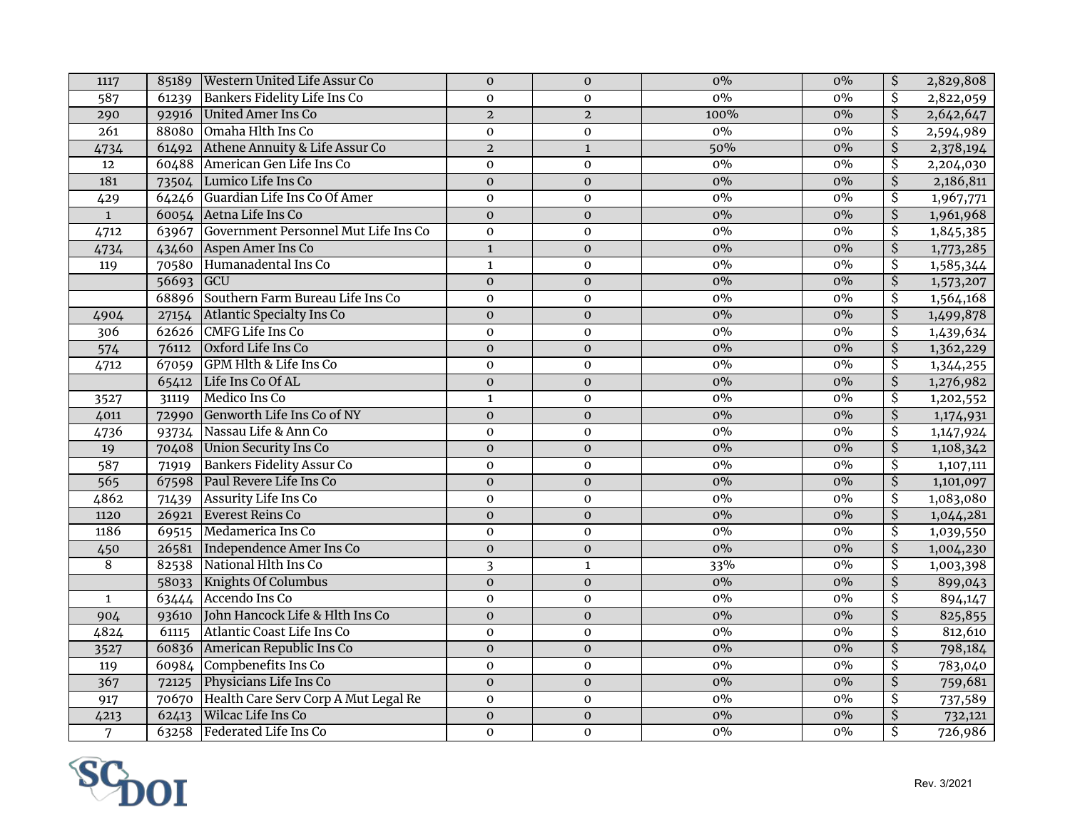| $0\%$<br>Bankers Fidelity Life Ins Co<br>$\overline{\mathcal{S}}$<br>$0\%$<br>2,822,059<br>587<br>$\mathbf 0$<br>$\mathbf 0$<br>61239<br>$\overline{\mathsf{S}}$<br>United Amer Ins Co<br>100%<br>$0\%$<br>2,642,647<br>$\overline{2}$<br>$\overline{a}$<br>290<br>92916<br>88080 Omaha Hlth Ins Co<br>$\overline{\mathcal{S}}$<br>$\overline{261}$<br>$0\%$<br>$0\%$<br>2,594,989<br>$\mathbf 0$<br>$\boldsymbol{0}$<br>$\overline{\xi}$<br>$\overline{2}$<br>Athene Annuity & Life Assur Co<br>50%<br>$0\%$<br>2,378,194<br>4734<br>61492<br>$\mathbf 1$<br>American Gen Life Ins Co<br>$\overline{\mathcal{S}}$<br>$\mathbf 0$<br>$0\%$<br>$0\%$<br>12<br>60488<br>$\mathbf 0$<br>2,204,030<br>$\overline{\mathcal{S}}$<br>181<br>Lumico Life Ins Co<br>$0\%$<br>$\boldsymbol{0}$<br>$\pmb{0}$<br>$0\%$<br>2,186,811<br>73504<br>0%<br>64246 Guardian Life Ins Co Of Amer<br>$0\%$<br>$\overline{\mathcal{S}}$<br>$\mathbf 0$<br>$\mathbf 0$<br>1,967,771<br>429<br>$\overline{\xi}$<br>60054 Aetna Life Ins Co<br>$0\%$<br>$0\%$<br>1,961,968<br>$\mathbf{1}$<br>$\mathbf{0}$<br>$\mathbf 0$<br>Government Personnel Mut Life Ins Co<br>\$<br>4712<br>63967<br>$\mathbf 0$<br>$\overline{0}$<br>$0\%$<br>$0\%$<br>1,845,385<br>$\overline{\mathcal{S}}$<br>43460 Aspen Amer Ins Co<br>$0\%$<br>4734<br>$\mathbf 1$<br>$0\%$<br>1,773,285<br>$\mathbf 0$<br>Humanadental Ins Co<br>\$<br>$0\%$<br>$0\%$<br>1,585,344<br>119<br>70580<br>$\mathbf 1$<br>$\boldsymbol{0}$<br>$\overline{\mathcal{S}}$<br>56693 GCU<br>$\overline{0}$<br>$0\%$<br>$\pmb{0}$<br>$0\%$<br>1,573,207<br>68896 Southern Farm Bureau Life Ins Co<br>$0\%$<br>\$<br>1,564,168<br>$\mathbf 0$<br>$0\%$<br>$\mathbf 0$<br>$0\%$<br>$\overline{\mathcal{S}}$<br>Atlantic Specialty Ins Co<br>$0\%$<br>1,499,878<br>$\mathbf 0$<br>$\mathbf 0$<br>4904<br>27154<br>62626 CMFG Life Ins Co<br>\$<br>306<br>$\boldsymbol{0}$<br>$0\%$<br>$0\%$<br>1,439,634<br>$\boldsymbol{0}$<br>Oxford Life Ins Co<br>$\overline{\mathcal{S}}$<br>574<br>$\overline{0}$<br>$0\%$<br>$0\%$<br>1,362,229<br>76112<br>$\boldsymbol{0}$<br>GPM Hlth & Life Ins Co<br>\$<br>$0\%$<br>$0\%$<br>4712<br>67059<br>$\mathbf 0$<br>$\mathbf 0$<br>1,344,255<br>$\overline{\mathcal{S}}$<br>$0\%$<br>Life Ins Co Of AL<br>$0\%$<br>1,276,982<br>65412<br>$\boldsymbol{0}$<br>$\pmb{0}$<br>Medico Ins Co<br>0%<br>$\overline{\mathcal{S}}$<br>$0\%$<br>$\mathbf{1}$<br>31119<br>$\mathbf{O}$<br>1,202,552<br>3527<br>$\overline{\mathsf{S}}$<br>Genworth Life Ins Co of NY<br>$0\%$<br>$0\%$<br>4011<br>$\mathbf 0$<br>$\mathbf 0$<br>1,174,931<br>72990<br>$\overline{\mathcal{S}}$<br>Nassau Life & Ann Co<br>$\mathbf 0$<br>$0\%$<br>$0\%$<br>4736<br>$\boldsymbol{0}$<br>1,147,924<br>93734<br>$\overline{\xi}$<br>70408 Union Security Ins Co<br>$\boldsymbol{0}$<br>$0\%$<br>$0\%$<br>1,108,342<br>19<br>$\mathbf 0$<br><b>Bankers Fidelity Assur Co</b><br>\$<br>587<br>$0\%$<br>0%<br>71919<br>$\mathbf 0$<br>$\mathbf 0$<br>1,107,111<br>$\overline{\xi}$<br>565<br>Paul Revere Life Ins Co<br>$0\%$<br>$\boldsymbol{0}$<br>$\pmb{0}$<br>$0\%$<br>67598<br>1,101,097<br>0%<br>4862<br>Assurity Life Ins Co<br>$\overline{\mathcal{S}}$<br>$0\%$<br>1,083,080<br>$\mathbf 0$<br>$\mathbf 0$<br>71439<br>$\overline{\mathcal{S}}$<br>Everest Reins Co<br>$0\%$<br>$0\%$<br>1,044,281<br>1120<br>26921<br>$\mathbf 0$<br>$\mathbf 0$<br>\$<br>1186<br>Medamerica Ins Co<br>0%<br>$\mathbf 0$<br>$0\%$<br>1,039,550<br>69515<br>$\boldsymbol{0}$<br>$\overline{\xi}$<br>Independence Amer Ins Co<br>$0\%$<br>26581<br>$\boldsymbol{0}$<br>$0\%$<br>1,004,230<br>450<br>$\mathbf 0$<br>National Hlth Ins Co<br>$\overline{8}$<br>$\overline{\mathcal{S}}$<br>82538<br>$\overline{\mathbf{3}}$<br>$0\%$<br>$\mathbf 1$<br>33%<br>1,003,398<br>$0\%$<br>$\overline{\mathcal{S}}$<br><b>Knights Of Columbus</b><br>$\mathbf 0$<br>$0\%$<br>899,043<br>58033<br>$\boldsymbol{0}$<br>63444 Accendo Ins Co<br>$0\%$<br>$\overline{\mathcal{S}}$<br>$0\%$<br>$\boldsymbol{0}$<br>$\mathbf 0$<br>894,147<br>$\mathbf{1}$<br>$\overline{\boldsymbol{\mathsf{S}}}$<br>John Hancock Life & Hlth Ins Co<br>0%<br>$0\%$<br>$\mathbf 0$<br>$\mathbf{0}$<br>904<br>93610<br>825,855<br>$\overline{\mathcal{S}}$<br>Atlantic Coast Life Ins Co<br>0%<br>4824<br>$\mathbf 0$<br>$0\%$<br>812,610<br>61115<br>$\mathbf 0$<br>$\overline{\mathcal{S}}$<br>American Republic Ins Co<br>$0\%$<br>$0\%$<br>60836<br>$\mathbf 0$<br>798,184<br>3527<br>$\boldsymbol{0}$<br>60984 Compbenefits Ins Co<br>$0\%$<br>\$<br>$\mathbf 0$<br>$0\%$<br>783,040<br>119<br>$\mathbf 0$<br>\$<br>367<br>Physicians Life Ins Co<br>$0\%$<br>$\overline{0}$<br>$\overline{0}$<br>$0\%$<br>759,681<br>72125<br>70670 Health Care Serv Corp A Mut Legal Re<br>$0\%$<br>$0\%$<br>\$<br>$\mathbf 0$<br>917<br>$\mathbf 0$<br>737,589<br>Wilcac Life Ins Co<br>$0\%$<br>$0\%$<br>$\overline{\mathcal{S}}$<br>$\overline{0}$<br>$\overline{0}$<br>4213<br>732,121<br>62413<br>$\overline{\mathsf{s}}$<br>Federated Life Ins Co<br>$0\%$<br>$\overline{7}$<br>63258<br>$\mathbf 0$<br>$\mathbf{O}$<br>$0\%$<br>726,986 | 1117 | 85189 Western United Life Assur Co | $\boldsymbol{0}$ | $\boldsymbol{0}$ | $0\%$ | $0\%$ | \$<br>2,829,808 |
|----------------------------------------------------------------------------------------------------------------------------------------------------------------------------------------------------------------------------------------------------------------------------------------------------------------------------------------------------------------------------------------------------------------------------------------------------------------------------------------------------------------------------------------------------------------------------------------------------------------------------------------------------------------------------------------------------------------------------------------------------------------------------------------------------------------------------------------------------------------------------------------------------------------------------------------------------------------------------------------------------------------------------------------------------------------------------------------------------------------------------------------------------------------------------------------------------------------------------------------------------------------------------------------------------------------------------------------------------------------------------------------------------------------------------------------------------------------------------------------------------------------------------------------------------------------------------------------------------------------------------------------------------------------------------------------------------------------------------------------------------------------------------------------------------------------------------------------------------------------------------------------------------------------------------------------------------------------------------------------------------------------------------------------------------------------------------------------------------------------------------------------------------------------------------------------------------------------------------------------------------------------------------------------------------------------------------------------------------------------------------------------------------------------------------------------------------------------------------------------------------------------------------------------------------------------------------------------------------------------------------------------------------------------------------------------------------------------------------------------------------------------------------------------------------------------------------------------------------------------------------------------------------------------------------------------------------------------------------------------------------------------------------------------------------------------------------------------------------------------------------------------------------------------------------------------------------------------------------------------------------------------------------------------------------------------------------------------------------------------------------------------------------------------------------------------------------------------------------------------------------------------------------------------------------------------------------------------------------------------------------------------------------------------------------------------------------------------------------------------------------------------------------------------------------------------------------------------------------------------------------------------------------------------------------------------------------------------------------------------------------------------------------------------------------------------------------------------------------------------------------------------------------------------------------------------------------------------------------------------------------------------------------------------------------------------------------------------------------------------------------------------------------------------------------------------------------------------------------------------------------------------------------------------------------------------------------------------------------------------------------------------------------------------------------------------------------------------------------------------------------------------------------------------------------------------------------------------------------------------------------------------------------------------------------------------------------------------------------------------------------------------------------------------------------------------------------------------------------------------------------|------|------------------------------------|------------------|------------------|-------|-------|-----------------|
|                                                                                                                                                                                                                                                                                                                                                                                                                                                                                                                                                                                                                                                                                                                                                                                                                                                                                                                                                                                                                                                                                                                                                                                                                                                                                                                                                                                                                                                                                                                                                                                                                                                                                                                                                                                                                                                                                                                                                                                                                                                                                                                                                                                                                                                                                                                                                                                                                                                                                                                                                                                                                                                                                                                                                                                                                                                                                                                                                                                                                                                                                                                                                                                                                                                                                                                                                                                                                                                                                                                                                                                                                                                                                                                                                                                                                                                                                                                                                                                                                                                                                                                                                                                                                                                                                                                                                                                                                                                                                                                                                                                                                                                                                                                                                                                                                                                                                                                                                                                                                                                                                                                            |      |                                    |                  |                  |       |       |                 |
|                                                                                                                                                                                                                                                                                                                                                                                                                                                                                                                                                                                                                                                                                                                                                                                                                                                                                                                                                                                                                                                                                                                                                                                                                                                                                                                                                                                                                                                                                                                                                                                                                                                                                                                                                                                                                                                                                                                                                                                                                                                                                                                                                                                                                                                                                                                                                                                                                                                                                                                                                                                                                                                                                                                                                                                                                                                                                                                                                                                                                                                                                                                                                                                                                                                                                                                                                                                                                                                                                                                                                                                                                                                                                                                                                                                                                                                                                                                                                                                                                                                                                                                                                                                                                                                                                                                                                                                                                                                                                                                                                                                                                                                                                                                                                                                                                                                                                                                                                                                                                                                                                                                            |      |                                    |                  |                  |       |       |                 |
|                                                                                                                                                                                                                                                                                                                                                                                                                                                                                                                                                                                                                                                                                                                                                                                                                                                                                                                                                                                                                                                                                                                                                                                                                                                                                                                                                                                                                                                                                                                                                                                                                                                                                                                                                                                                                                                                                                                                                                                                                                                                                                                                                                                                                                                                                                                                                                                                                                                                                                                                                                                                                                                                                                                                                                                                                                                                                                                                                                                                                                                                                                                                                                                                                                                                                                                                                                                                                                                                                                                                                                                                                                                                                                                                                                                                                                                                                                                                                                                                                                                                                                                                                                                                                                                                                                                                                                                                                                                                                                                                                                                                                                                                                                                                                                                                                                                                                                                                                                                                                                                                                                                            |      |                                    |                  |                  |       |       |                 |
|                                                                                                                                                                                                                                                                                                                                                                                                                                                                                                                                                                                                                                                                                                                                                                                                                                                                                                                                                                                                                                                                                                                                                                                                                                                                                                                                                                                                                                                                                                                                                                                                                                                                                                                                                                                                                                                                                                                                                                                                                                                                                                                                                                                                                                                                                                                                                                                                                                                                                                                                                                                                                                                                                                                                                                                                                                                                                                                                                                                                                                                                                                                                                                                                                                                                                                                                                                                                                                                                                                                                                                                                                                                                                                                                                                                                                                                                                                                                                                                                                                                                                                                                                                                                                                                                                                                                                                                                                                                                                                                                                                                                                                                                                                                                                                                                                                                                                                                                                                                                                                                                                                                            |      |                                    |                  |                  |       |       |                 |
|                                                                                                                                                                                                                                                                                                                                                                                                                                                                                                                                                                                                                                                                                                                                                                                                                                                                                                                                                                                                                                                                                                                                                                                                                                                                                                                                                                                                                                                                                                                                                                                                                                                                                                                                                                                                                                                                                                                                                                                                                                                                                                                                                                                                                                                                                                                                                                                                                                                                                                                                                                                                                                                                                                                                                                                                                                                                                                                                                                                                                                                                                                                                                                                                                                                                                                                                                                                                                                                                                                                                                                                                                                                                                                                                                                                                                                                                                                                                                                                                                                                                                                                                                                                                                                                                                                                                                                                                                                                                                                                                                                                                                                                                                                                                                                                                                                                                                                                                                                                                                                                                                                                            |      |                                    |                  |                  |       |       |                 |
|                                                                                                                                                                                                                                                                                                                                                                                                                                                                                                                                                                                                                                                                                                                                                                                                                                                                                                                                                                                                                                                                                                                                                                                                                                                                                                                                                                                                                                                                                                                                                                                                                                                                                                                                                                                                                                                                                                                                                                                                                                                                                                                                                                                                                                                                                                                                                                                                                                                                                                                                                                                                                                                                                                                                                                                                                                                                                                                                                                                                                                                                                                                                                                                                                                                                                                                                                                                                                                                                                                                                                                                                                                                                                                                                                                                                                                                                                                                                                                                                                                                                                                                                                                                                                                                                                                                                                                                                                                                                                                                                                                                                                                                                                                                                                                                                                                                                                                                                                                                                                                                                                                                            |      |                                    |                  |                  |       |       |                 |
|                                                                                                                                                                                                                                                                                                                                                                                                                                                                                                                                                                                                                                                                                                                                                                                                                                                                                                                                                                                                                                                                                                                                                                                                                                                                                                                                                                                                                                                                                                                                                                                                                                                                                                                                                                                                                                                                                                                                                                                                                                                                                                                                                                                                                                                                                                                                                                                                                                                                                                                                                                                                                                                                                                                                                                                                                                                                                                                                                                                                                                                                                                                                                                                                                                                                                                                                                                                                                                                                                                                                                                                                                                                                                                                                                                                                                                                                                                                                                                                                                                                                                                                                                                                                                                                                                                                                                                                                                                                                                                                                                                                                                                                                                                                                                                                                                                                                                                                                                                                                                                                                                                                            |      |                                    |                  |                  |       |       |                 |
|                                                                                                                                                                                                                                                                                                                                                                                                                                                                                                                                                                                                                                                                                                                                                                                                                                                                                                                                                                                                                                                                                                                                                                                                                                                                                                                                                                                                                                                                                                                                                                                                                                                                                                                                                                                                                                                                                                                                                                                                                                                                                                                                                                                                                                                                                                                                                                                                                                                                                                                                                                                                                                                                                                                                                                                                                                                                                                                                                                                                                                                                                                                                                                                                                                                                                                                                                                                                                                                                                                                                                                                                                                                                                                                                                                                                                                                                                                                                                                                                                                                                                                                                                                                                                                                                                                                                                                                                                                                                                                                                                                                                                                                                                                                                                                                                                                                                                                                                                                                                                                                                                                                            |      |                                    |                  |                  |       |       |                 |
|                                                                                                                                                                                                                                                                                                                                                                                                                                                                                                                                                                                                                                                                                                                                                                                                                                                                                                                                                                                                                                                                                                                                                                                                                                                                                                                                                                                                                                                                                                                                                                                                                                                                                                                                                                                                                                                                                                                                                                                                                                                                                                                                                                                                                                                                                                                                                                                                                                                                                                                                                                                                                                                                                                                                                                                                                                                                                                                                                                                                                                                                                                                                                                                                                                                                                                                                                                                                                                                                                                                                                                                                                                                                                                                                                                                                                                                                                                                                                                                                                                                                                                                                                                                                                                                                                                                                                                                                                                                                                                                                                                                                                                                                                                                                                                                                                                                                                                                                                                                                                                                                                                                            |      |                                    |                  |                  |       |       |                 |
|                                                                                                                                                                                                                                                                                                                                                                                                                                                                                                                                                                                                                                                                                                                                                                                                                                                                                                                                                                                                                                                                                                                                                                                                                                                                                                                                                                                                                                                                                                                                                                                                                                                                                                                                                                                                                                                                                                                                                                                                                                                                                                                                                                                                                                                                                                                                                                                                                                                                                                                                                                                                                                                                                                                                                                                                                                                                                                                                                                                                                                                                                                                                                                                                                                                                                                                                                                                                                                                                                                                                                                                                                                                                                                                                                                                                                                                                                                                                                                                                                                                                                                                                                                                                                                                                                                                                                                                                                                                                                                                                                                                                                                                                                                                                                                                                                                                                                                                                                                                                                                                                                                                            |      |                                    |                  |                  |       |       |                 |
|                                                                                                                                                                                                                                                                                                                                                                                                                                                                                                                                                                                                                                                                                                                                                                                                                                                                                                                                                                                                                                                                                                                                                                                                                                                                                                                                                                                                                                                                                                                                                                                                                                                                                                                                                                                                                                                                                                                                                                                                                                                                                                                                                                                                                                                                                                                                                                                                                                                                                                                                                                                                                                                                                                                                                                                                                                                                                                                                                                                                                                                                                                                                                                                                                                                                                                                                                                                                                                                                                                                                                                                                                                                                                                                                                                                                                                                                                                                                                                                                                                                                                                                                                                                                                                                                                                                                                                                                                                                                                                                                                                                                                                                                                                                                                                                                                                                                                                                                                                                                                                                                                                                            |      |                                    |                  |                  |       |       |                 |
|                                                                                                                                                                                                                                                                                                                                                                                                                                                                                                                                                                                                                                                                                                                                                                                                                                                                                                                                                                                                                                                                                                                                                                                                                                                                                                                                                                                                                                                                                                                                                                                                                                                                                                                                                                                                                                                                                                                                                                                                                                                                                                                                                                                                                                                                                                                                                                                                                                                                                                                                                                                                                                                                                                                                                                                                                                                                                                                                                                                                                                                                                                                                                                                                                                                                                                                                                                                                                                                                                                                                                                                                                                                                                                                                                                                                                                                                                                                                                                                                                                                                                                                                                                                                                                                                                                                                                                                                                                                                                                                                                                                                                                                                                                                                                                                                                                                                                                                                                                                                                                                                                                                            |      |                                    |                  |                  |       |       |                 |
|                                                                                                                                                                                                                                                                                                                                                                                                                                                                                                                                                                                                                                                                                                                                                                                                                                                                                                                                                                                                                                                                                                                                                                                                                                                                                                                                                                                                                                                                                                                                                                                                                                                                                                                                                                                                                                                                                                                                                                                                                                                                                                                                                                                                                                                                                                                                                                                                                                                                                                                                                                                                                                                                                                                                                                                                                                                                                                                                                                                                                                                                                                                                                                                                                                                                                                                                                                                                                                                                                                                                                                                                                                                                                                                                                                                                                                                                                                                                                                                                                                                                                                                                                                                                                                                                                                                                                                                                                                                                                                                                                                                                                                                                                                                                                                                                                                                                                                                                                                                                                                                                                                                            |      |                                    |                  |                  |       |       |                 |
|                                                                                                                                                                                                                                                                                                                                                                                                                                                                                                                                                                                                                                                                                                                                                                                                                                                                                                                                                                                                                                                                                                                                                                                                                                                                                                                                                                                                                                                                                                                                                                                                                                                                                                                                                                                                                                                                                                                                                                                                                                                                                                                                                                                                                                                                                                                                                                                                                                                                                                                                                                                                                                                                                                                                                                                                                                                                                                                                                                                                                                                                                                                                                                                                                                                                                                                                                                                                                                                                                                                                                                                                                                                                                                                                                                                                                                                                                                                                                                                                                                                                                                                                                                                                                                                                                                                                                                                                                                                                                                                                                                                                                                                                                                                                                                                                                                                                                                                                                                                                                                                                                                                            |      |                                    |                  |                  |       |       |                 |
|                                                                                                                                                                                                                                                                                                                                                                                                                                                                                                                                                                                                                                                                                                                                                                                                                                                                                                                                                                                                                                                                                                                                                                                                                                                                                                                                                                                                                                                                                                                                                                                                                                                                                                                                                                                                                                                                                                                                                                                                                                                                                                                                                                                                                                                                                                                                                                                                                                                                                                                                                                                                                                                                                                                                                                                                                                                                                                                                                                                                                                                                                                                                                                                                                                                                                                                                                                                                                                                                                                                                                                                                                                                                                                                                                                                                                                                                                                                                                                                                                                                                                                                                                                                                                                                                                                                                                                                                                                                                                                                                                                                                                                                                                                                                                                                                                                                                                                                                                                                                                                                                                                                            |      |                                    |                  |                  |       |       |                 |
|                                                                                                                                                                                                                                                                                                                                                                                                                                                                                                                                                                                                                                                                                                                                                                                                                                                                                                                                                                                                                                                                                                                                                                                                                                                                                                                                                                                                                                                                                                                                                                                                                                                                                                                                                                                                                                                                                                                                                                                                                                                                                                                                                                                                                                                                                                                                                                                                                                                                                                                                                                                                                                                                                                                                                                                                                                                                                                                                                                                                                                                                                                                                                                                                                                                                                                                                                                                                                                                                                                                                                                                                                                                                                                                                                                                                                                                                                                                                                                                                                                                                                                                                                                                                                                                                                                                                                                                                                                                                                                                                                                                                                                                                                                                                                                                                                                                                                                                                                                                                                                                                                                                            |      |                                    |                  |                  |       |       |                 |
|                                                                                                                                                                                                                                                                                                                                                                                                                                                                                                                                                                                                                                                                                                                                                                                                                                                                                                                                                                                                                                                                                                                                                                                                                                                                                                                                                                                                                                                                                                                                                                                                                                                                                                                                                                                                                                                                                                                                                                                                                                                                                                                                                                                                                                                                                                                                                                                                                                                                                                                                                                                                                                                                                                                                                                                                                                                                                                                                                                                                                                                                                                                                                                                                                                                                                                                                                                                                                                                                                                                                                                                                                                                                                                                                                                                                                                                                                                                                                                                                                                                                                                                                                                                                                                                                                                                                                                                                                                                                                                                                                                                                                                                                                                                                                                                                                                                                                                                                                                                                                                                                                                                            |      |                                    |                  |                  |       |       |                 |
|                                                                                                                                                                                                                                                                                                                                                                                                                                                                                                                                                                                                                                                                                                                                                                                                                                                                                                                                                                                                                                                                                                                                                                                                                                                                                                                                                                                                                                                                                                                                                                                                                                                                                                                                                                                                                                                                                                                                                                                                                                                                                                                                                                                                                                                                                                                                                                                                                                                                                                                                                                                                                                                                                                                                                                                                                                                                                                                                                                                                                                                                                                                                                                                                                                                                                                                                                                                                                                                                                                                                                                                                                                                                                                                                                                                                                                                                                                                                                                                                                                                                                                                                                                                                                                                                                                                                                                                                                                                                                                                                                                                                                                                                                                                                                                                                                                                                                                                                                                                                                                                                                                                            |      |                                    |                  |                  |       |       |                 |
|                                                                                                                                                                                                                                                                                                                                                                                                                                                                                                                                                                                                                                                                                                                                                                                                                                                                                                                                                                                                                                                                                                                                                                                                                                                                                                                                                                                                                                                                                                                                                                                                                                                                                                                                                                                                                                                                                                                                                                                                                                                                                                                                                                                                                                                                                                                                                                                                                                                                                                                                                                                                                                                                                                                                                                                                                                                                                                                                                                                                                                                                                                                                                                                                                                                                                                                                                                                                                                                                                                                                                                                                                                                                                                                                                                                                                                                                                                                                                                                                                                                                                                                                                                                                                                                                                                                                                                                                                                                                                                                                                                                                                                                                                                                                                                                                                                                                                                                                                                                                                                                                                                                            |      |                                    |                  |                  |       |       |                 |
|                                                                                                                                                                                                                                                                                                                                                                                                                                                                                                                                                                                                                                                                                                                                                                                                                                                                                                                                                                                                                                                                                                                                                                                                                                                                                                                                                                                                                                                                                                                                                                                                                                                                                                                                                                                                                                                                                                                                                                                                                                                                                                                                                                                                                                                                                                                                                                                                                                                                                                                                                                                                                                                                                                                                                                                                                                                                                                                                                                                                                                                                                                                                                                                                                                                                                                                                                                                                                                                                                                                                                                                                                                                                                                                                                                                                                                                                                                                                                                                                                                                                                                                                                                                                                                                                                                                                                                                                                                                                                                                                                                                                                                                                                                                                                                                                                                                                                                                                                                                                                                                                                                                            |      |                                    |                  |                  |       |       |                 |
|                                                                                                                                                                                                                                                                                                                                                                                                                                                                                                                                                                                                                                                                                                                                                                                                                                                                                                                                                                                                                                                                                                                                                                                                                                                                                                                                                                                                                                                                                                                                                                                                                                                                                                                                                                                                                                                                                                                                                                                                                                                                                                                                                                                                                                                                                                                                                                                                                                                                                                                                                                                                                                                                                                                                                                                                                                                                                                                                                                                                                                                                                                                                                                                                                                                                                                                                                                                                                                                                                                                                                                                                                                                                                                                                                                                                                                                                                                                                                                                                                                                                                                                                                                                                                                                                                                                                                                                                                                                                                                                                                                                                                                                                                                                                                                                                                                                                                                                                                                                                                                                                                                                            |      |                                    |                  |                  |       |       |                 |
|                                                                                                                                                                                                                                                                                                                                                                                                                                                                                                                                                                                                                                                                                                                                                                                                                                                                                                                                                                                                                                                                                                                                                                                                                                                                                                                                                                                                                                                                                                                                                                                                                                                                                                                                                                                                                                                                                                                                                                                                                                                                                                                                                                                                                                                                                                                                                                                                                                                                                                                                                                                                                                                                                                                                                                                                                                                                                                                                                                                                                                                                                                                                                                                                                                                                                                                                                                                                                                                                                                                                                                                                                                                                                                                                                                                                                                                                                                                                                                                                                                                                                                                                                                                                                                                                                                                                                                                                                                                                                                                                                                                                                                                                                                                                                                                                                                                                                                                                                                                                                                                                                                                            |      |                                    |                  |                  |       |       |                 |
|                                                                                                                                                                                                                                                                                                                                                                                                                                                                                                                                                                                                                                                                                                                                                                                                                                                                                                                                                                                                                                                                                                                                                                                                                                                                                                                                                                                                                                                                                                                                                                                                                                                                                                                                                                                                                                                                                                                                                                                                                                                                                                                                                                                                                                                                                                                                                                                                                                                                                                                                                                                                                                                                                                                                                                                                                                                                                                                                                                                                                                                                                                                                                                                                                                                                                                                                                                                                                                                                                                                                                                                                                                                                                                                                                                                                                                                                                                                                                                                                                                                                                                                                                                                                                                                                                                                                                                                                                                                                                                                                                                                                                                                                                                                                                                                                                                                                                                                                                                                                                                                                                                                            |      |                                    |                  |                  |       |       |                 |
|                                                                                                                                                                                                                                                                                                                                                                                                                                                                                                                                                                                                                                                                                                                                                                                                                                                                                                                                                                                                                                                                                                                                                                                                                                                                                                                                                                                                                                                                                                                                                                                                                                                                                                                                                                                                                                                                                                                                                                                                                                                                                                                                                                                                                                                                                                                                                                                                                                                                                                                                                                                                                                                                                                                                                                                                                                                                                                                                                                                                                                                                                                                                                                                                                                                                                                                                                                                                                                                                                                                                                                                                                                                                                                                                                                                                                                                                                                                                                                                                                                                                                                                                                                                                                                                                                                                                                                                                                                                                                                                                                                                                                                                                                                                                                                                                                                                                                                                                                                                                                                                                                                                            |      |                                    |                  |                  |       |       |                 |
|                                                                                                                                                                                                                                                                                                                                                                                                                                                                                                                                                                                                                                                                                                                                                                                                                                                                                                                                                                                                                                                                                                                                                                                                                                                                                                                                                                                                                                                                                                                                                                                                                                                                                                                                                                                                                                                                                                                                                                                                                                                                                                                                                                                                                                                                                                                                                                                                                                                                                                                                                                                                                                                                                                                                                                                                                                                                                                                                                                                                                                                                                                                                                                                                                                                                                                                                                                                                                                                                                                                                                                                                                                                                                                                                                                                                                                                                                                                                                                                                                                                                                                                                                                                                                                                                                                                                                                                                                                                                                                                                                                                                                                                                                                                                                                                                                                                                                                                                                                                                                                                                                                                            |      |                                    |                  |                  |       |       |                 |
|                                                                                                                                                                                                                                                                                                                                                                                                                                                                                                                                                                                                                                                                                                                                                                                                                                                                                                                                                                                                                                                                                                                                                                                                                                                                                                                                                                                                                                                                                                                                                                                                                                                                                                                                                                                                                                                                                                                                                                                                                                                                                                                                                                                                                                                                                                                                                                                                                                                                                                                                                                                                                                                                                                                                                                                                                                                                                                                                                                                                                                                                                                                                                                                                                                                                                                                                                                                                                                                                                                                                                                                                                                                                                                                                                                                                                                                                                                                                                                                                                                                                                                                                                                                                                                                                                                                                                                                                                                                                                                                                                                                                                                                                                                                                                                                                                                                                                                                                                                                                                                                                                                                            |      |                                    |                  |                  |       |       |                 |
|                                                                                                                                                                                                                                                                                                                                                                                                                                                                                                                                                                                                                                                                                                                                                                                                                                                                                                                                                                                                                                                                                                                                                                                                                                                                                                                                                                                                                                                                                                                                                                                                                                                                                                                                                                                                                                                                                                                                                                                                                                                                                                                                                                                                                                                                                                                                                                                                                                                                                                                                                                                                                                                                                                                                                                                                                                                                                                                                                                                                                                                                                                                                                                                                                                                                                                                                                                                                                                                                                                                                                                                                                                                                                                                                                                                                                                                                                                                                                                                                                                                                                                                                                                                                                                                                                                                                                                                                                                                                                                                                                                                                                                                                                                                                                                                                                                                                                                                                                                                                                                                                                                                            |      |                                    |                  |                  |       |       |                 |
|                                                                                                                                                                                                                                                                                                                                                                                                                                                                                                                                                                                                                                                                                                                                                                                                                                                                                                                                                                                                                                                                                                                                                                                                                                                                                                                                                                                                                                                                                                                                                                                                                                                                                                                                                                                                                                                                                                                                                                                                                                                                                                                                                                                                                                                                                                                                                                                                                                                                                                                                                                                                                                                                                                                                                                                                                                                                                                                                                                                                                                                                                                                                                                                                                                                                                                                                                                                                                                                                                                                                                                                                                                                                                                                                                                                                                                                                                                                                                                                                                                                                                                                                                                                                                                                                                                                                                                                                                                                                                                                                                                                                                                                                                                                                                                                                                                                                                                                                                                                                                                                                                                                            |      |                                    |                  |                  |       |       |                 |
|                                                                                                                                                                                                                                                                                                                                                                                                                                                                                                                                                                                                                                                                                                                                                                                                                                                                                                                                                                                                                                                                                                                                                                                                                                                                                                                                                                                                                                                                                                                                                                                                                                                                                                                                                                                                                                                                                                                                                                                                                                                                                                                                                                                                                                                                                                                                                                                                                                                                                                                                                                                                                                                                                                                                                                                                                                                                                                                                                                                                                                                                                                                                                                                                                                                                                                                                                                                                                                                                                                                                                                                                                                                                                                                                                                                                                                                                                                                                                                                                                                                                                                                                                                                                                                                                                                                                                                                                                                                                                                                                                                                                                                                                                                                                                                                                                                                                                                                                                                                                                                                                                                                            |      |                                    |                  |                  |       |       |                 |
|                                                                                                                                                                                                                                                                                                                                                                                                                                                                                                                                                                                                                                                                                                                                                                                                                                                                                                                                                                                                                                                                                                                                                                                                                                                                                                                                                                                                                                                                                                                                                                                                                                                                                                                                                                                                                                                                                                                                                                                                                                                                                                                                                                                                                                                                                                                                                                                                                                                                                                                                                                                                                                                                                                                                                                                                                                                                                                                                                                                                                                                                                                                                                                                                                                                                                                                                                                                                                                                                                                                                                                                                                                                                                                                                                                                                                                                                                                                                                                                                                                                                                                                                                                                                                                                                                                                                                                                                                                                                                                                                                                                                                                                                                                                                                                                                                                                                                                                                                                                                                                                                                                                            |      |                                    |                  |                  |       |       |                 |
|                                                                                                                                                                                                                                                                                                                                                                                                                                                                                                                                                                                                                                                                                                                                                                                                                                                                                                                                                                                                                                                                                                                                                                                                                                                                                                                                                                                                                                                                                                                                                                                                                                                                                                                                                                                                                                                                                                                                                                                                                                                                                                                                                                                                                                                                                                                                                                                                                                                                                                                                                                                                                                                                                                                                                                                                                                                                                                                                                                                                                                                                                                                                                                                                                                                                                                                                                                                                                                                                                                                                                                                                                                                                                                                                                                                                                                                                                                                                                                                                                                                                                                                                                                                                                                                                                                                                                                                                                                                                                                                                                                                                                                                                                                                                                                                                                                                                                                                                                                                                                                                                                                                            |      |                                    |                  |                  |       |       |                 |
|                                                                                                                                                                                                                                                                                                                                                                                                                                                                                                                                                                                                                                                                                                                                                                                                                                                                                                                                                                                                                                                                                                                                                                                                                                                                                                                                                                                                                                                                                                                                                                                                                                                                                                                                                                                                                                                                                                                                                                                                                                                                                                                                                                                                                                                                                                                                                                                                                                                                                                                                                                                                                                                                                                                                                                                                                                                                                                                                                                                                                                                                                                                                                                                                                                                                                                                                                                                                                                                                                                                                                                                                                                                                                                                                                                                                                                                                                                                                                                                                                                                                                                                                                                                                                                                                                                                                                                                                                                                                                                                                                                                                                                                                                                                                                                                                                                                                                                                                                                                                                                                                                                                            |      |                                    |                  |                  |       |       |                 |
|                                                                                                                                                                                                                                                                                                                                                                                                                                                                                                                                                                                                                                                                                                                                                                                                                                                                                                                                                                                                                                                                                                                                                                                                                                                                                                                                                                                                                                                                                                                                                                                                                                                                                                                                                                                                                                                                                                                                                                                                                                                                                                                                                                                                                                                                                                                                                                                                                                                                                                                                                                                                                                                                                                                                                                                                                                                                                                                                                                                                                                                                                                                                                                                                                                                                                                                                                                                                                                                                                                                                                                                                                                                                                                                                                                                                                                                                                                                                                                                                                                                                                                                                                                                                                                                                                                                                                                                                                                                                                                                                                                                                                                                                                                                                                                                                                                                                                                                                                                                                                                                                                                                            |      |                                    |                  |                  |       |       |                 |
|                                                                                                                                                                                                                                                                                                                                                                                                                                                                                                                                                                                                                                                                                                                                                                                                                                                                                                                                                                                                                                                                                                                                                                                                                                                                                                                                                                                                                                                                                                                                                                                                                                                                                                                                                                                                                                                                                                                                                                                                                                                                                                                                                                                                                                                                                                                                                                                                                                                                                                                                                                                                                                                                                                                                                                                                                                                                                                                                                                                                                                                                                                                                                                                                                                                                                                                                                                                                                                                                                                                                                                                                                                                                                                                                                                                                                                                                                                                                                                                                                                                                                                                                                                                                                                                                                                                                                                                                                                                                                                                                                                                                                                                                                                                                                                                                                                                                                                                                                                                                                                                                                                                            |      |                                    |                  |                  |       |       |                 |
|                                                                                                                                                                                                                                                                                                                                                                                                                                                                                                                                                                                                                                                                                                                                                                                                                                                                                                                                                                                                                                                                                                                                                                                                                                                                                                                                                                                                                                                                                                                                                                                                                                                                                                                                                                                                                                                                                                                                                                                                                                                                                                                                                                                                                                                                                                                                                                                                                                                                                                                                                                                                                                                                                                                                                                                                                                                                                                                                                                                                                                                                                                                                                                                                                                                                                                                                                                                                                                                                                                                                                                                                                                                                                                                                                                                                                                                                                                                                                                                                                                                                                                                                                                                                                                                                                                                                                                                                                                                                                                                                                                                                                                                                                                                                                                                                                                                                                                                                                                                                                                                                                                                            |      |                                    |                  |                  |       |       |                 |
|                                                                                                                                                                                                                                                                                                                                                                                                                                                                                                                                                                                                                                                                                                                                                                                                                                                                                                                                                                                                                                                                                                                                                                                                                                                                                                                                                                                                                                                                                                                                                                                                                                                                                                                                                                                                                                                                                                                                                                                                                                                                                                                                                                                                                                                                                                                                                                                                                                                                                                                                                                                                                                                                                                                                                                                                                                                                                                                                                                                                                                                                                                                                                                                                                                                                                                                                                                                                                                                                                                                                                                                                                                                                                                                                                                                                                                                                                                                                                                                                                                                                                                                                                                                                                                                                                                                                                                                                                                                                                                                                                                                                                                                                                                                                                                                                                                                                                                                                                                                                                                                                                                                            |      |                                    |                  |                  |       |       |                 |
|                                                                                                                                                                                                                                                                                                                                                                                                                                                                                                                                                                                                                                                                                                                                                                                                                                                                                                                                                                                                                                                                                                                                                                                                                                                                                                                                                                                                                                                                                                                                                                                                                                                                                                                                                                                                                                                                                                                                                                                                                                                                                                                                                                                                                                                                                                                                                                                                                                                                                                                                                                                                                                                                                                                                                                                                                                                                                                                                                                                                                                                                                                                                                                                                                                                                                                                                                                                                                                                                                                                                                                                                                                                                                                                                                                                                                                                                                                                                                                                                                                                                                                                                                                                                                                                                                                                                                                                                                                                                                                                                                                                                                                                                                                                                                                                                                                                                                                                                                                                                                                                                                                                            |      |                                    |                  |                  |       |       |                 |
|                                                                                                                                                                                                                                                                                                                                                                                                                                                                                                                                                                                                                                                                                                                                                                                                                                                                                                                                                                                                                                                                                                                                                                                                                                                                                                                                                                                                                                                                                                                                                                                                                                                                                                                                                                                                                                                                                                                                                                                                                                                                                                                                                                                                                                                                                                                                                                                                                                                                                                                                                                                                                                                                                                                                                                                                                                                                                                                                                                                                                                                                                                                                                                                                                                                                                                                                                                                                                                                                                                                                                                                                                                                                                                                                                                                                                                                                                                                                                                                                                                                                                                                                                                                                                                                                                                                                                                                                                                                                                                                                                                                                                                                                                                                                                                                                                                                                                                                                                                                                                                                                                                                            |      |                                    |                  |                  |       |       |                 |
|                                                                                                                                                                                                                                                                                                                                                                                                                                                                                                                                                                                                                                                                                                                                                                                                                                                                                                                                                                                                                                                                                                                                                                                                                                                                                                                                                                                                                                                                                                                                                                                                                                                                                                                                                                                                                                                                                                                                                                                                                                                                                                                                                                                                                                                                                                                                                                                                                                                                                                                                                                                                                                                                                                                                                                                                                                                                                                                                                                                                                                                                                                                                                                                                                                                                                                                                                                                                                                                                                                                                                                                                                                                                                                                                                                                                                                                                                                                                                                                                                                                                                                                                                                                                                                                                                                                                                                                                                                                                                                                                                                                                                                                                                                                                                                                                                                                                                                                                                                                                                                                                                                                            |      |                                    |                  |                  |       |       |                 |

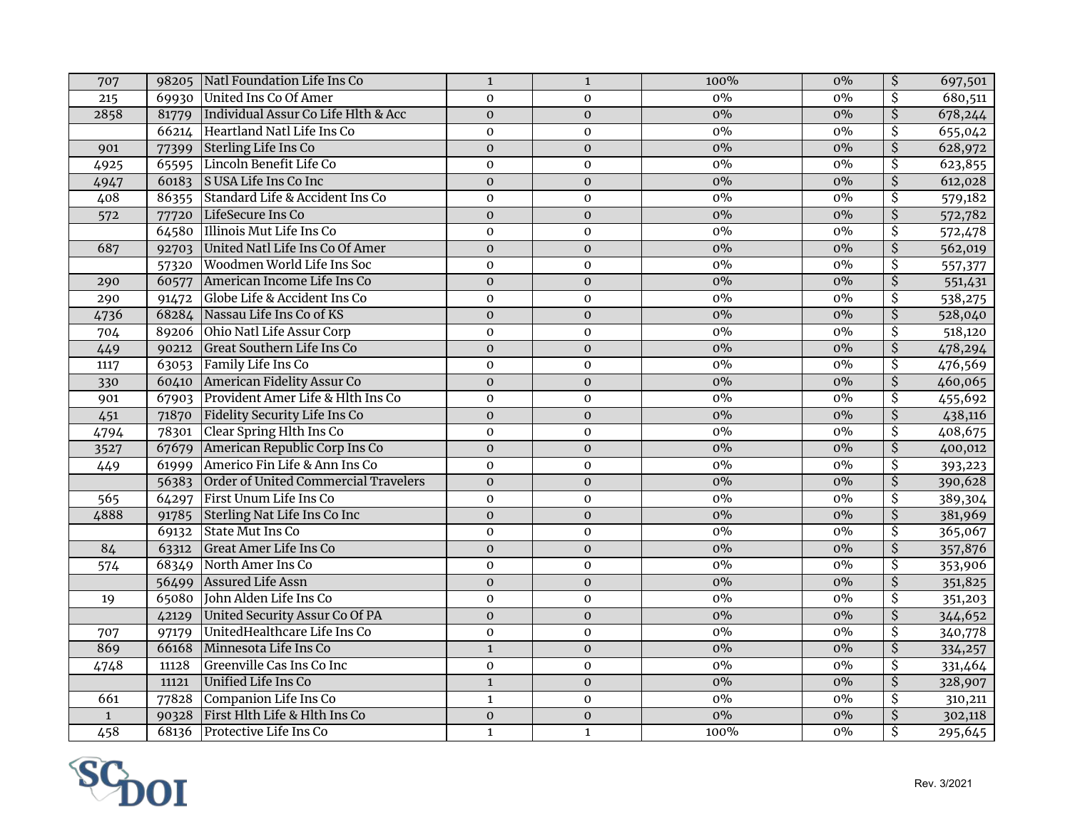| 69930 United Ins Co Of Amer<br>$0\%$<br>$0\%$<br>$\overline{\mathcal{S}}$<br>215<br>$\mathbf 0$<br>$\mathbf 0$<br>680,511<br>Individual Assur Co Life Hlth & Acc<br>$0\%$<br>$\overline{\mathsf{S}}$<br>$\overline{0}$<br>$0\%$<br>2858<br>$\overline{0}$<br>81779<br>66214 Heartland Natl Life Ins Co<br>$\overline{\mathcal{S}}$<br>$0\%$<br>$0\%$<br>$\mathbf 0$<br>$\mathbf 0$<br>$\overline{\mathcal{S}}$<br>Sterling Life Ins Co<br>$\mathbf 0$<br>$\mathbf 0$<br>$0\%$<br>$0\%$<br>628,972<br>77399<br>901<br>Lincoln Benefit Life Co<br>$\overline{\mathcal{S}}$<br>$0\%$<br>$0\%$<br>4925<br>65595<br>$\mathbf 0$<br>$\mathbf 0$<br>623,855<br>$\overline{\mathcal{S}}$<br>S USA Life Ins Co Inc<br>$0\%$<br>$\boldsymbol{0}$<br>$\boldsymbol{0}$<br>$0\%$<br>612,028<br>60183<br>4947<br>0%<br>Standard Life & Accident Ins Co<br>$0\%$<br>$\overline{\mathcal{S}}$<br>408<br>$\mathbf 0$<br>$\mathbf 0$<br>579,182<br>86355<br>$\overline{\mathcal{S}}$<br>$0\%$<br>$0\%$<br>LifeSecure Ins Co<br>$\mathbf{0}$<br>$\mathbf 0$<br>572,782<br>572<br>77720<br>64580 Illinois Mut Life Ins Co<br>\$<br>$\mathbf 0$<br>$\boldsymbol{0}$<br>$0\%$<br>$0\%$<br>572,478<br>$\overline{\mathcal{S}}$<br>United Natl Life Ins Co Of Amer<br>$0\%$<br>687<br>$\mathbf 0$<br>$0\%$<br>92703<br>$\mathbf 0$<br>562,019<br>Woodmen World Life Ins Soc<br>\$<br>$0\%$<br>$0\%$<br>57320<br>$\mathbf 0$<br>$\mathbf 0$<br>557,377<br>$\overline{\mathcal{S}}$<br>American Income Life Ins Co<br>$\overline{0}$<br>$0\%$<br>$0\%$<br>$\pmb{0}$<br>290<br>60577<br>551,431<br>$0\%$<br>Globe Life & Accident Ins Co<br>\$<br>$0\%$<br>290<br>$\mathbf 0$<br>$\mathbf{O}$<br>538,275<br>91472<br>68284 Nassau Life Ins Co of KS<br>$0\%$<br>$\overline{\mathcal{S}}$<br>$0\%$<br>4736<br>$\mathbf 0$<br>$\mathbf 0$<br>528,040<br>89206 Ohio Natl Life Assur Corp<br>\$<br>518,120<br>704<br>$\mathbf 0$<br>$\boldsymbol{0}$<br>$0\%$<br>$0\%$<br>$\overline{\mathcal{S}}$<br>Great Southern Life Ins Co<br>$\overline{0}$<br>$0\%$<br>$0\%$<br>449<br>$\boldsymbol{0}$<br>478,294<br>90212<br>Family Life Ins Co<br>$\overline{\mathcal{S}}$<br>$\mathbf 0$<br>$0\%$<br>$0\%$<br>476,569<br>1117<br>63053<br>$\mathbf 0$<br>$\overline{\mathcal{S}}$<br>$0\%$<br>American Fidelity Assur Co<br>$0\%$<br>460,065<br>$\boldsymbol{0}$<br>$\boldsymbol{0}$<br>330<br>60410<br>Provident Amer Life & Hlth Ins Co<br>0%<br>$\overline{\mathcal{S}}$<br>$0\%$<br>$\mathbf 0$<br>455,692<br>901<br>67903<br>$\mathbf{O}$<br>$\overline{\mathcal{S}}$<br>$0\%$<br>Fidelity Security Life Ins Co<br>$0\%$<br>438,116<br>451<br>71870<br>$\mathbf 0$<br>$\mathbf 0$<br>Clear Spring Hlth Ins Co<br>$\overline{\mathcal{S}}$<br>4794<br>$\mathbf 0$<br>$0\%$<br>$0\%$<br>408,675<br>78301<br>$\mathbf 0$<br>$\overline{\mathcal{S}}$<br>67679 American Republic Corp Ins Co<br>3527<br>$\boldsymbol{0}$<br>$0\%$<br>$0\%$<br>$\mathbf{O}$<br>400,012<br>Americo Fin Life & Ann Ins Co<br>\$<br>$\mathbf 0$<br>$0\%$<br>$0\%$<br>449<br>61999<br>$\mathbf 0$<br>393,223<br>$\overline{\mathcal{S}}$<br>Order of United Commercial Travelers<br>$0\%$<br>$0\%$<br>$\boldsymbol{0}$<br>$\pmb{0}$<br>390,628<br>56383<br>$0\%$<br>First Unum Life Ins Co<br>$\overline{\mathcal{S}}$<br>$0\%$<br>565<br>64297<br>$\mathbf 0$<br>$\mathbf 0$<br>389,304<br>$\overline{\mathcal{S}}$<br>4888<br>Sterling Nat Life Ins Co Inc<br>$0\%$<br>$0\%$<br>381,969<br>$\mathbf 0$<br>$\mathbf{O}$<br>91785<br>\$<br><b>State Mut Ins Co</b><br>$\mathbf 0$<br>$0\%$<br>$0\%$<br>365,067<br>69132<br>$\mathbf 0$<br>$\overline{\xi}$<br><b>Great Amer Life Ins Co</b><br>84<br>$\mathbf 0$<br>$\mathbf 0$<br>$0\%$<br>$0\%$<br>357,876<br>63312<br>North Amer Ins Co<br>$\overline{\mathcal{S}}$<br>$0\%$<br>$0\%$<br>68349<br>$\boldsymbol{0}$<br>$\mathbf 0$<br>353,906<br>574<br>56499 Assured Life Assn<br>$0\%$<br>$\overline{\mathcal{S}}$<br>$0\%$<br>$\mathbf 0$<br>$\boldsymbol{0}$<br>351,825<br>65080 John Alden Life Ins Co<br>$0\%$<br>$\overline{\mathcal{S}}$<br>$0\%$<br>$\boldsymbol{0}$<br>$\mathbf 0$<br>351,203<br>19<br>$\overline{\boldsymbol{\mathsf{S}}}$<br>$0\%$<br>$0\%$<br>United Security Assur Co Of PA<br>$\mathbf 0$<br>$\mathbf{0}$<br>344,652<br>42129<br>UnitedHealthcare Life Ins Co<br>$\overline{\mathcal{S}}$<br>$0\%$<br>$\mathbf 0$<br>$0\%$<br>$\mathbf 0$<br>340,778<br>707<br>97179<br>Minnesota Life Ins Co<br>$\overline{\mathcal{S}}$<br>869<br>$0\%$<br>$0\%$<br>66168<br>$\mathbf{1}$<br>$\mathbf 0$<br>334,257<br>Greenville Cas Ins Co Inc<br>$0\%$<br>\$<br>4748<br>$\mathbf 0$<br>$0\%$<br>11128<br>$\mathbf 0$<br>331,464<br>\$<br>Unified Life Ins Co<br>$0\%$<br>$\overline{\mathbf{1}}$<br>$\overline{0}$<br>$0\%$<br>328,907<br>11121<br>Companion Life Ins Co<br>$0\%$<br>$0\%$<br>\$<br>661<br>77828<br>$\mathbf{1}$<br>$\mathbf 0$<br>310,211<br>First Hlth Life & Hlth Ins Co<br>$0\%$<br>$\overline{0}$<br>$0\%$<br>$\overline{\mathcal{S}}$<br>$\overline{0}$<br>$\mathbf 1$<br>90328<br>302,118<br>ङ<br>458<br>Protective Life Ins Co<br>100%<br>68136<br>$\mathbf{1}$<br>$0\%$<br>295,645<br>$\mathbf{1}$ | 707 | 98205 Natl Foundation Life Ins Co | $\mathbf{1}$ | $\mathbf{1}$ | 100% | $0\%$ | $\overline{\mathcal{S}}$ | 697,501 |
|--------------------------------------------------------------------------------------------------------------------------------------------------------------------------------------------------------------------------------------------------------------------------------------------------------------------------------------------------------------------------------------------------------------------------------------------------------------------------------------------------------------------------------------------------------------------------------------------------------------------------------------------------------------------------------------------------------------------------------------------------------------------------------------------------------------------------------------------------------------------------------------------------------------------------------------------------------------------------------------------------------------------------------------------------------------------------------------------------------------------------------------------------------------------------------------------------------------------------------------------------------------------------------------------------------------------------------------------------------------------------------------------------------------------------------------------------------------------------------------------------------------------------------------------------------------------------------------------------------------------------------------------------------------------------------------------------------------------------------------------------------------------------------------------------------------------------------------------------------------------------------------------------------------------------------------------------------------------------------------------------------------------------------------------------------------------------------------------------------------------------------------------------------------------------------------------------------------------------------------------------------------------------------------------------------------------------------------------------------------------------------------------------------------------------------------------------------------------------------------------------------------------------------------------------------------------------------------------------------------------------------------------------------------------------------------------------------------------------------------------------------------------------------------------------------------------------------------------------------------------------------------------------------------------------------------------------------------------------------------------------------------------------------------------------------------------------------------------------------------------------------------------------------------------------------------------------------------------------------------------------------------------------------------------------------------------------------------------------------------------------------------------------------------------------------------------------------------------------------------------------------------------------------------------------------------------------------------------------------------------------------------------------------------------------------------------------------------------------------------------------------------------------------------------------------------------------------------------------------------------------------------------------------------------------------------------------------------------------------------------------------------------------------------------------------------------------------------------------------------------------------------------------------------------------------------------------------------------------------------------------------------------------------------------------------------------------------------------------------------------------------------------------------------------------------------------------------------------------------------------------------------------------------------------------------------------------------------------------------------------------------------------------------------------------------------------------------------------------------------------------------------------------------------------------------------------------------------------------------------------------------------------------------------------------------------------------------------------------------------------------------------------------------------------------------------------------------------------------------------------------------------------|-----|-----------------------------------|--------------|--------------|------|-------|--------------------------|---------|
| 655,042                                                                                                                                                                                                                                                                                                                                                                                                                                                                                                                                                                                                                                                                                                                                                                                                                                                                                                                                                                                                                                                                                                                                                                                                                                                                                                                                                                                                                                                                                                                                                                                                                                                                                                                                                                                                                                                                                                                                                                                                                                                                                                                                                                                                                                                                                                                                                                                                                                                                                                                                                                                                                                                                                                                                                                                                                                                                                                                                                                                                                                                                                                                                                                                                                                                                                                                                                                                                                                                                                                                                                                                                                                                                                                                                                                                                                                                                                                                                                                                                                                                                                                                                                                                                                                                                                                                                                                                                                                                                                                                                                                                                                                                                                                                                                                                                                                                                                                                                                                                                                                                                                                                                    |     |                                   |              |              |      |       |                          |         |
|                                                                                                                                                                                                                                                                                                                                                                                                                                                                                                                                                                                                                                                                                                                                                                                                                                                                                                                                                                                                                                                                                                                                                                                                                                                                                                                                                                                                                                                                                                                                                                                                                                                                                                                                                                                                                                                                                                                                                                                                                                                                                                                                                                                                                                                                                                                                                                                                                                                                                                                                                                                                                                                                                                                                                                                                                                                                                                                                                                                                                                                                                                                                                                                                                                                                                                                                                                                                                                                                                                                                                                                                                                                                                                                                                                                                                                                                                                                                                                                                                                                                                                                                                                                                                                                                                                                                                                                                                                                                                                                                                                                                                                                                                                                                                                                                                                                                                                                                                                                                                                                                                                                                            |     |                                   |              |              |      |       |                          | 678,244 |
|                                                                                                                                                                                                                                                                                                                                                                                                                                                                                                                                                                                                                                                                                                                                                                                                                                                                                                                                                                                                                                                                                                                                                                                                                                                                                                                                                                                                                                                                                                                                                                                                                                                                                                                                                                                                                                                                                                                                                                                                                                                                                                                                                                                                                                                                                                                                                                                                                                                                                                                                                                                                                                                                                                                                                                                                                                                                                                                                                                                                                                                                                                                                                                                                                                                                                                                                                                                                                                                                                                                                                                                                                                                                                                                                                                                                                                                                                                                                                                                                                                                                                                                                                                                                                                                                                                                                                                                                                                                                                                                                                                                                                                                                                                                                                                                                                                                                                                                                                                                                                                                                                                                                            |     |                                   |              |              |      |       |                          |         |
|                                                                                                                                                                                                                                                                                                                                                                                                                                                                                                                                                                                                                                                                                                                                                                                                                                                                                                                                                                                                                                                                                                                                                                                                                                                                                                                                                                                                                                                                                                                                                                                                                                                                                                                                                                                                                                                                                                                                                                                                                                                                                                                                                                                                                                                                                                                                                                                                                                                                                                                                                                                                                                                                                                                                                                                                                                                                                                                                                                                                                                                                                                                                                                                                                                                                                                                                                                                                                                                                                                                                                                                                                                                                                                                                                                                                                                                                                                                                                                                                                                                                                                                                                                                                                                                                                                                                                                                                                                                                                                                                                                                                                                                                                                                                                                                                                                                                                                                                                                                                                                                                                                                                            |     |                                   |              |              |      |       |                          |         |
|                                                                                                                                                                                                                                                                                                                                                                                                                                                                                                                                                                                                                                                                                                                                                                                                                                                                                                                                                                                                                                                                                                                                                                                                                                                                                                                                                                                                                                                                                                                                                                                                                                                                                                                                                                                                                                                                                                                                                                                                                                                                                                                                                                                                                                                                                                                                                                                                                                                                                                                                                                                                                                                                                                                                                                                                                                                                                                                                                                                                                                                                                                                                                                                                                                                                                                                                                                                                                                                                                                                                                                                                                                                                                                                                                                                                                                                                                                                                                                                                                                                                                                                                                                                                                                                                                                                                                                                                                                                                                                                                                                                                                                                                                                                                                                                                                                                                                                                                                                                                                                                                                                                                            |     |                                   |              |              |      |       |                          |         |
|                                                                                                                                                                                                                                                                                                                                                                                                                                                                                                                                                                                                                                                                                                                                                                                                                                                                                                                                                                                                                                                                                                                                                                                                                                                                                                                                                                                                                                                                                                                                                                                                                                                                                                                                                                                                                                                                                                                                                                                                                                                                                                                                                                                                                                                                                                                                                                                                                                                                                                                                                                                                                                                                                                                                                                                                                                                                                                                                                                                                                                                                                                                                                                                                                                                                                                                                                                                                                                                                                                                                                                                                                                                                                                                                                                                                                                                                                                                                                                                                                                                                                                                                                                                                                                                                                                                                                                                                                                                                                                                                                                                                                                                                                                                                                                                                                                                                                                                                                                                                                                                                                                                                            |     |                                   |              |              |      |       |                          |         |
|                                                                                                                                                                                                                                                                                                                                                                                                                                                                                                                                                                                                                                                                                                                                                                                                                                                                                                                                                                                                                                                                                                                                                                                                                                                                                                                                                                                                                                                                                                                                                                                                                                                                                                                                                                                                                                                                                                                                                                                                                                                                                                                                                                                                                                                                                                                                                                                                                                                                                                                                                                                                                                                                                                                                                                                                                                                                                                                                                                                                                                                                                                                                                                                                                                                                                                                                                                                                                                                                                                                                                                                                                                                                                                                                                                                                                                                                                                                                                                                                                                                                                                                                                                                                                                                                                                                                                                                                                                                                                                                                                                                                                                                                                                                                                                                                                                                                                                                                                                                                                                                                                                                                            |     |                                   |              |              |      |       |                          |         |
|                                                                                                                                                                                                                                                                                                                                                                                                                                                                                                                                                                                                                                                                                                                                                                                                                                                                                                                                                                                                                                                                                                                                                                                                                                                                                                                                                                                                                                                                                                                                                                                                                                                                                                                                                                                                                                                                                                                                                                                                                                                                                                                                                                                                                                                                                                                                                                                                                                                                                                                                                                                                                                                                                                                                                                                                                                                                                                                                                                                                                                                                                                                                                                                                                                                                                                                                                                                                                                                                                                                                                                                                                                                                                                                                                                                                                                                                                                                                                                                                                                                                                                                                                                                                                                                                                                                                                                                                                                                                                                                                                                                                                                                                                                                                                                                                                                                                                                                                                                                                                                                                                                                                            |     |                                   |              |              |      |       |                          |         |
|                                                                                                                                                                                                                                                                                                                                                                                                                                                                                                                                                                                                                                                                                                                                                                                                                                                                                                                                                                                                                                                                                                                                                                                                                                                                                                                                                                                                                                                                                                                                                                                                                                                                                                                                                                                                                                                                                                                                                                                                                                                                                                                                                                                                                                                                                                                                                                                                                                                                                                                                                                                                                                                                                                                                                                                                                                                                                                                                                                                                                                                                                                                                                                                                                                                                                                                                                                                                                                                                                                                                                                                                                                                                                                                                                                                                                                                                                                                                                                                                                                                                                                                                                                                                                                                                                                                                                                                                                                                                                                                                                                                                                                                                                                                                                                                                                                                                                                                                                                                                                                                                                                                                            |     |                                   |              |              |      |       |                          |         |
|                                                                                                                                                                                                                                                                                                                                                                                                                                                                                                                                                                                                                                                                                                                                                                                                                                                                                                                                                                                                                                                                                                                                                                                                                                                                                                                                                                                                                                                                                                                                                                                                                                                                                                                                                                                                                                                                                                                                                                                                                                                                                                                                                                                                                                                                                                                                                                                                                                                                                                                                                                                                                                                                                                                                                                                                                                                                                                                                                                                                                                                                                                                                                                                                                                                                                                                                                                                                                                                                                                                                                                                                                                                                                                                                                                                                                                                                                                                                                                                                                                                                                                                                                                                                                                                                                                                                                                                                                                                                                                                                                                                                                                                                                                                                                                                                                                                                                                                                                                                                                                                                                                                                            |     |                                   |              |              |      |       |                          |         |
|                                                                                                                                                                                                                                                                                                                                                                                                                                                                                                                                                                                                                                                                                                                                                                                                                                                                                                                                                                                                                                                                                                                                                                                                                                                                                                                                                                                                                                                                                                                                                                                                                                                                                                                                                                                                                                                                                                                                                                                                                                                                                                                                                                                                                                                                                                                                                                                                                                                                                                                                                                                                                                                                                                                                                                                                                                                                                                                                                                                                                                                                                                                                                                                                                                                                                                                                                                                                                                                                                                                                                                                                                                                                                                                                                                                                                                                                                                                                                                                                                                                                                                                                                                                                                                                                                                                                                                                                                                                                                                                                                                                                                                                                                                                                                                                                                                                                                                                                                                                                                                                                                                                                            |     |                                   |              |              |      |       |                          |         |
|                                                                                                                                                                                                                                                                                                                                                                                                                                                                                                                                                                                                                                                                                                                                                                                                                                                                                                                                                                                                                                                                                                                                                                                                                                                                                                                                                                                                                                                                                                                                                                                                                                                                                                                                                                                                                                                                                                                                                                                                                                                                                                                                                                                                                                                                                                                                                                                                                                                                                                                                                                                                                                                                                                                                                                                                                                                                                                                                                                                                                                                                                                                                                                                                                                                                                                                                                                                                                                                                                                                                                                                                                                                                                                                                                                                                                                                                                                                                                                                                                                                                                                                                                                                                                                                                                                                                                                                                                                                                                                                                                                                                                                                                                                                                                                                                                                                                                                                                                                                                                                                                                                                                            |     |                                   |              |              |      |       |                          |         |
|                                                                                                                                                                                                                                                                                                                                                                                                                                                                                                                                                                                                                                                                                                                                                                                                                                                                                                                                                                                                                                                                                                                                                                                                                                                                                                                                                                                                                                                                                                                                                                                                                                                                                                                                                                                                                                                                                                                                                                                                                                                                                                                                                                                                                                                                                                                                                                                                                                                                                                                                                                                                                                                                                                                                                                                                                                                                                                                                                                                                                                                                                                                                                                                                                                                                                                                                                                                                                                                                                                                                                                                                                                                                                                                                                                                                                                                                                                                                                                                                                                                                                                                                                                                                                                                                                                                                                                                                                                                                                                                                                                                                                                                                                                                                                                                                                                                                                                                                                                                                                                                                                                                                            |     |                                   |              |              |      |       |                          |         |
|                                                                                                                                                                                                                                                                                                                                                                                                                                                                                                                                                                                                                                                                                                                                                                                                                                                                                                                                                                                                                                                                                                                                                                                                                                                                                                                                                                                                                                                                                                                                                                                                                                                                                                                                                                                                                                                                                                                                                                                                                                                                                                                                                                                                                                                                                                                                                                                                                                                                                                                                                                                                                                                                                                                                                                                                                                                                                                                                                                                                                                                                                                                                                                                                                                                                                                                                                                                                                                                                                                                                                                                                                                                                                                                                                                                                                                                                                                                                                                                                                                                                                                                                                                                                                                                                                                                                                                                                                                                                                                                                                                                                                                                                                                                                                                                                                                                                                                                                                                                                                                                                                                                                            |     |                                   |              |              |      |       |                          |         |
|                                                                                                                                                                                                                                                                                                                                                                                                                                                                                                                                                                                                                                                                                                                                                                                                                                                                                                                                                                                                                                                                                                                                                                                                                                                                                                                                                                                                                                                                                                                                                                                                                                                                                                                                                                                                                                                                                                                                                                                                                                                                                                                                                                                                                                                                                                                                                                                                                                                                                                                                                                                                                                                                                                                                                                                                                                                                                                                                                                                                                                                                                                                                                                                                                                                                                                                                                                                                                                                                                                                                                                                                                                                                                                                                                                                                                                                                                                                                                                                                                                                                                                                                                                                                                                                                                                                                                                                                                                                                                                                                                                                                                                                                                                                                                                                                                                                                                                                                                                                                                                                                                                                                            |     |                                   |              |              |      |       |                          |         |
|                                                                                                                                                                                                                                                                                                                                                                                                                                                                                                                                                                                                                                                                                                                                                                                                                                                                                                                                                                                                                                                                                                                                                                                                                                                                                                                                                                                                                                                                                                                                                                                                                                                                                                                                                                                                                                                                                                                                                                                                                                                                                                                                                                                                                                                                                                                                                                                                                                                                                                                                                                                                                                                                                                                                                                                                                                                                                                                                                                                                                                                                                                                                                                                                                                                                                                                                                                                                                                                                                                                                                                                                                                                                                                                                                                                                                                                                                                                                                                                                                                                                                                                                                                                                                                                                                                                                                                                                                                                                                                                                                                                                                                                                                                                                                                                                                                                                                                                                                                                                                                                                                                                                            |     |                                   |              |              |      |       |                          |         |
|                                                                                                                                                                                                                                                                                                                                                                                                                                                                                                                                                                                                                                                                                                                                                                                                                                                                                                                                                                                                                                                                                                                                                                                                                                                                                                                                                                                                                                                                                                                                                                                                                                                                                                                                                                                                                                                                                                                                                                                                                                                                                                                                                                                                                                                                                                                                                                                                                                                                                                                                                                                                                                                                                                                                                                                                                                                                                                                                                                                                                                                                                                                                                                                                                                                                                                                                                                                                                                                                                                                                                                                                                                                                                                                                                                                                                                                                                                                                                                                                                                                                                                                                                                                                                                                                                                                                                                                                                                                                                                                                                                                                                                                                                                                                                                                                                                                                                                                                                                                                                                                                                                                                            |     |                                   |              |              |      |       |                          |         |
|                                                                                                                                                                                                                                                                                                                                                                                                                                                                                                                                                                                                                                                                                                                                                                                                                                                                                                                                                                                                                                                                                                                                                                                                                                                                                                                                                                                                                                                                                                                                                                                                                                                                                                                                                                                                                                                                                                                                                                                                                                                                                                                                                                                                                                                                                                                                                                                                                                                                                                                                                                                                                                                                                                                                                                                                                                                                                                                                                                                                                                                                                                                                                                                                                                                                                                                                                                                                                                                                                                                                                                                                                                                                                                                                                                                                                                                                                                                                                                                                                                                                                                                                                                                                                                                                                                                                                                                                                                                                                                                                                                                                                                                                                                                                                                                                                                                                                                                                                                                                                                                                                                                                            |     |                                   |              |              |      |       |                          |         |
|                                                                                                                                                                                                                                                                                                                                                                                                                                                                                                                                                                                                                                                                                                                                                                                                                                                                                                                                                                                                                                                                                                                                                                                                                                                                                                                                                                                                                                                                                                                                                                                                                                                                                                                                                                                                                                                                                                                                                                                                                                                                                                                                                                                                                                                                                                                                                                                                                                                                                                                                                                                                                                                                                                                                                                                                                                                                                                                                                                                                                                                                                                                                                                                                                                                                                                                                                                                                                                                                                                                                                                                                                                                                                                                                                                                                                                                                                                                                                                                                                                                                                                                                                                                                                                                                                                                                                                                                                                                                                                                                                                                                                                                                                                                                                                                                                                                                                                                                                                                                                                                                                                                                            |     |                                   |              |              |      |       |                          |         |
|                                                                                                                                                                                                                                                                                                                                                                                                                                                                                                                                                                                                                                                                                                                                                                                                                                                                                                                                                                                                                                                                                                                                                                                                                                                                                                                                                                                                                                                                                                                                                                                                                                                                                                                                                                                                                                                                                                                                                                                                                                                                                                                                                                                                                                                                                                                                                                                                                                                                                                                                                                                                                                                                                                                                                                                                                                                                                                                                                                                                                                                                                                                                                                                                                                                                                                                                                                                                                                                                                                                                                                                                                                                                                                                                                                                                                                                                                                                                                                                                                                                                                                                                                                                                                                                                                                                                                                                                                                                                                                                                                                                                                                                                                                                                                                                                                                                                                                                                                                                                                                                                                                                                            |     |                                   |              |              |      |       |                          |         |
|                                                                                                                                                                                                                                                                                                                                                                                                                                                                                                                                                                                                                                                                                                                                                                                                                                                                                                                                                                                                                                                                                                                                                                                                                                                                                                                                                                                                                                                                                                                                                                                                                                                                                                                                                                                                                                                                                                                                                                                                                                                                                                                                                                                                                                                                                                                                                                                                                                                                                                                                                                                                                                                                                                                                                                                                                                                                                                                                                                                                                                                                                                                                                                                                                                                                                                                                                                                                                                                                                                                                                                                                                                                                                                                                                                                                                                                                                                                                                                                                                                                                                                                                                                                                                                                                                                                                                                                                                                                                                                                                                                                                                                                                                                                                                                                                                                                                                                                                                                                                                                                                                                                                            |     |                                   |              |              |      |       |                          |         |
|                                                                                                                                                                                                                                                                                                                                                                                                                                                                                                                                                                                                                                                                                                                                                                                                                                                                                                                                                                                                                                                                                                                                                                                                                                                                                                                                                                                                                                                                                                                                                                                                                                                                                                                                                                                                                                                                                                                                                                                                                                                                                                                                                                                                                                                                                                                                                                                                                                                                                                                                                                                                                                                                                                                                                                                                                                                                                                                                                                                                                                                                                                                                                                                                                                                                                                                                                                                                                                                                                                                                                                                                                                                                                                                                                                                                                                                                                                                                                                                                                                                                                                                                                                                                                                                                                                                                                                                                                                                                                                                                                                                                                                                                                                                                                                                                                                                                                                                                                                                                                                                                                                                                            |     |                                   |              |              |      |       |                          |         |
|                                                                                                                                                                                                                                                                                                                                                                                                                                                                                                                                                                                                                                                                                                                                                                                                                                                                                                                                                                                                                                                                                                                                                                                                                                                                                                                                                                                                                                                                                                                                                                                                                                                                                                                                                                                                                                                                                                                                                                                                                                                                                                                                                                                                                                                                                                                                                                                                                                                                                                                                                                                                                                                                                                                                                                                                                                                                                                                                                                                                                                                                                                                                                                                                                                                                                                                                                                                                                                                                                                                                                                                                                                                                                                                                                                                                                                                                                                                                                                                                                                                                                                                                                                                                                                                                                                                                                                                                                                                                                                                                                                                                                                                                                                                                                                                                                                                                                                                                                                                                                                                                                                                                            |     |                                   |              |              |      |       |                          |         |
|                                                                                                                                                                                                                                                                                                                                                                                                                                                                                                                                                                                                                                                                                                                                                                                                                                                                                                                                                                                                                                                                                                                                                                                                                                                                                                                                                                                                                                                                                                                                                                                                                                                                                                                                                                                                                                                                                                                                                                                                                                                                                                                                                                                                                                                                                                                                                                                                                                                                                                                                                                                                                                                                                                                                                                                                                                                                                                                                                                                                                                                                                                                                                                                                                                                                                                                                                                                                                                                                                                                                                                                                                                                                                                                                                                                                                                                                                                                                                                                                                                                                                                                                                                                                                                                                                                                                                                                                                                                                                                                                                                                                                                                                                                                                                                                                                                                                                                                                                                                                                                                                                                                                            |     |                                   |              |              |      |       |                          |         |
|                                                                                                                                                                                                                                                                                                                                                                                                                                                                                                                                                                                                                                                                                                                                                                                                                                                                                                                                                                                                                                                                                                                                                                                                                                                                                                                                                                                                                                                                                                                                                                                                                                                                                                                                                                                                                                                                                                                                                                                                                                                                                                                                                                                                                                                                                                                                                                                                                                                                                                                                                                                                                                                                                                                                                                                                                                                                                                                                                                                                                                                                                                                                                                                                                                                                                                                                                                                                                                                                                                                                                                                                                                                                                                                                                                                                                                                                                                                                                                                                                                                                                                                                                                                                                                                                                                                                                                                                                                                                                                                                                                                                                                                                                                                                                                                                                                                                                                                                                                                                                                                                                                                                            |     |                                   |              |              |      |       |                          |         |
|                                                                                                                                                                                                                                                                                                                                                                                                                                                                                                                                                                                                                                                                                                                                                                                                                                                                                                                                                                                                                                                                                                                                                                                                                                                                                                                                                                                                                                                                                                                                                                                                                                                                                                                                                                                                                                                                                                                                                                                                                                                                                                                                                                                                                                                                                                                                                                                                                                                                                                                                                                                                                                                                                                                                                                                                                                                                                                                                                                                                                                                                                                                                                                                                                                                                                                                                                                                                                                                                                                                                                                                                                                                                                                                                                                                                                                                                                                                                                                                                                                                                                                                                                                                                                                                                                                                                                                                                                                                                                                                                                                                                                                                                                                                                                                                                                                                                                                                                                                                                                                                                                                                                            |     |                                   |              |              |      |       |                          |         |
|                                                                                                                                                                                                                                                                                                                                                                                                                                                                                                                                                                                                                                                                                                                                                                                                                                                                                                                                                                                                                                                                                                                                                                                                                                                                                                                                                                                                                                                                                                                                                                                                                                                                                                                                                                                                                                                                                                                                                                                                                                                                                                                                                                                                                                                                                                                                                                                                                                                                                                                                                                                                                                                                                                                                                                                                                                                                                                                                                                                                                                                                                                                                                                                                                                                                                                                                                                                                                                                                                                                                                                                                                                                                                                                                                                                                                                                                                                                                                                                                                                                                                                                                                                                                                                                                                                                                                                                                                                                                                                                                                                                                                                                                                                                                                                                                                                                                                                                                                                                                                                                                                                                                            |     |                                   |              |              |      |       |                          |         |
|                                                                                                                                                                                                                                                                                                                                                                                                                                                                                                                                                                                                                                                                                                                                                                                                                                                                                                                                                                                                                                                                                                                                                                                                                                                                                                                                                                                                                                                                                                                                                                                                                                                                                                                                                                                                                                                                                                                                                                                                                                                                                                                                                                                                                                                                                                                                                                                                                                                                                                                                                                                                                                                                                                                                                                                                                                                                                                                                                                                                                                                                                                                                                                                                                                                                                                                                                                                                                                                                                                                                                                                                                                                                                                                                                                                                                                                                                                                                                                                                                                                                                                                                                                                                                                                                                                                                                                                                                                                                                                                                                                                                                                                                                                                                                                                                                                                                                                                                                                                                                                                                                                                                            |     |                                   |              |              |      |       |                          |         |
|                                                                                                                                                                                                                                                                                                                                                                                                                                                                                                                                                                                                                                                                                                                                                                                                                                                                                                                                                                                                                                                                                                                                                                                                                                                                                                                                                                                                                                                                                                                                                                                                                                                                                                                                                                                                                                                                                                                                                                                                                                                                                                                                                                                                                                                                                                                                                                                                                                                                                                                                                                                                                                                                                                                                                                                                                                                                                                                                                                                                                                                                                                                                                                                                                                                                                                                                                                                                                                                                                                                                                                                                                                                                                                                                                                                                                                                                                                                                                                                                                                                                                                                                                                                                                                                                                                                                                                                                                                                                                                                                                                                                                                                                                                                                                                                                                                                                                                                                                                                                                                                                                                                                            |     |                                   |              |              |      |       |                          |         |
|                                                                                                                                                                                                                                                                                                                                                                                                                                                                                                                                                                                                                                                                                                                                                                                                                                                                                                                                                                                                                                                                                                                                                                                                                                                                                                                                                                                                                                                                                                                                                                                                                                                                                                                                                                                                                                                                                                                                                                                                                                                                                                                                                                                                                                                                                                                                                                                                                                                                                                                                                                                                                                                                                                                                                                                                                                                                                                                                                                                                                                                                                                                                                                                                                                                                                                                                                                                                                                                                                                                                                                                                                                                                                                                                                                                                                                                                                                                                                                                                                                                                                                                                                                                                                                                                                                                                                                                                                                                                                                                                                                                                                                                                                                                                                                                                                                                                                                                                                                                                                                                                                                                                            |     |                                   |              |              |      |       |                          |         |
|                                                                                                                                                                                                                                                                                                                                                                                                                                                                                                                                                                                                                                                                                                                                                                                                                                                                                                                                                                                                                                                                                                                                                                                                                                                                                                                                                                                                                                                                                                                                                                                                                                                                                                                                                                                                                                                                                                                                                                                                                                                                                                                                                                                                                                                                                                                                                                                                                                                                                                                                                                                                                                                                                                                                                                                                                                                                                                                                                                                                                                                                                                                                                                                                                                                                                                                                                                                                                                                                                                                                                                                                                                                                                                                                                                                                                                                                                                                                                                                                                                                                                                                                                                                                                                                                                                                                                                                                                                                                                                                                                                                                                                                                                                                                                                                                                                                                                                                                                                                                                                                                                                                                            |     |                                   |              |              |      |       |                          |         |
|                                                                                                                                                                                                                                                                                                                                                                                                                                                                                                                                                                                                                                                                                                                                                                                                                                                                                                                                                                                                                                                                                                                                                                                                                                                                                                                                                                                                                                                                                                                                                                                                                                                                                                                                                                                                                                                                                                                                                                                                                                                                                                                                                                                                                                                                                                                                                                                                                                                                                                                                                                                                                                                                                                                                                                                                                                                                                                                                                                                                                                                                                                                                                                                                                                                                                                                                                                                                                                                                                                                                                                                                                                                                                                                                                                                                                                                                                                                                                                                                                                                                                                                                                                                                                                                                                                                                                                                                                                                                                                                                                                                                                                                                                                                                                                                                                                                                                                                                                                                                                                                                                                                                            |     |                                   |              |              |      |       |                          |         |
|                                                                                                                                                                                                                                                                                                                                                                                                                                                                                                                                                                                                                                                                                                                                                                                                                                                                                                                                                                                                                                                                                                                                                                                                                                                                                                                                                                                                                                                                                                                                                                                                                                                                                                                                                                                                                                                                                                                                                                                                                                                                                                                                                                                                                                                                                                                                                                                                                                                                                                                                                                                                                                                                                                                                                                                                                                                                                                                                                                                                                                                                                                                                                                                                                                                                                                                                                                                                                                                                                                                                                                                                                                                                                                                                                                                                                                                                                                                                                                                                                                                                                                                                                                                                                                                                                                                                                                                                                                                                                                                                                                                                                                                                                                                                                                                                                                                                                                                                                                                                                                                                                                                                            |     |                                   |              |              |      |       |                          |         |
|                                                                                                                                                                                                                                                                                                                                                                                                                                                                                                                                                                                                                                                                                                                                                                                                                                                                                                                                                                                                                                                                                                                                                                                                                                                                                                                                                                                                                                                                                                                                                                                                                                                                                                                                                                                                                                                                                                                                                                                                                                                                                                                                                                                                                                                                                                                                                                                                                                                                                                                                                                                                                                                                                                                                                                                                                                                                                                                                                                                                                                                                                                                                                                                                                                                                                                                                                                                                                                                                                                                                                                                                                                                                                                                                                                                                                                                                                                                                                                                                                                                                                                                                                                                                                                                                                                                                                                                                                                                                                                                                                                                                                                                                                                                                                                                                                                                                                                                                                                                                                                                                                                                                            |     |                                   |              |              |      |       |                          |         |
|                                                                                                                                                                                                                                                                                                                                                                                                                                                                                                                                                                                                                                                                                                                                                                                                                                                                                                                                                                                                                                                                                                                                                                                                                                                                                                                                                                                                                                                                                                                                                                                                                                                                                                                                                                                                                                                                                                                                                                                                                                                                                                                                                                                                                                                                                                                                                                                                                                                                                                                                                                                                                                                                                                                                                                                                                                                                                                                                                                                                                                                                                                                                                                                                                                                                                                                                                                                                                                                                                                                                                                                                                                                                                                                                                                                                                                                                                                                                                                                                                                                                                                                                                                                                                                                                                                                                                                                                                                                                                                                                                                                                                                                                                                                                                                                                                                                                                                                                                                                                                                                                                                                                            |     |                                   |              |              |      |       |                          |         |
|                                                                                                                                                                                                                                                                                                                                                                                                                                                                                                                                                                                                                                                                                                                                                                                                                                                                                                                                                                                                                                                                                                                                                                                                                                                                                                                                                                                                                                                                                                                                                                                                                                                                                                                                                                                                                                                                                                                                                                                                                                                                                                                                                                                                                                                                                                                                                                                                                                                                                                                                                                                                                                                                                                                                                                                                                                                                                                                                                                                                                                                                                                                                                                                                                                                                                                                                                                                                                                                                                                                                                                                                                                                                                                                                                                                                                                                                                                                                                                                                                                                                                                                                                                                                                                                                                                                                                                                                                                                                                                                                                                                                                                                                                                                                                                                                                                                                                                                                                                                                                                                                                                                                            |     |                                   |              |              |      |       |                          |         |
|                                                                                                                                                                                                                                                                                                                                                                                                                                                                                                                                                                                                                                                                                                                                                                                                                                                                                                                                                                                                                                                                                                                                                                                                                                                                                                                                                                                                                                                                                                                                                                                                                                                                                                                                                                                                                                                                                                                                                                                                                                                                                                                                                                                                                                                                                                                                                                                                                                                                                                                                                                                                                                                                                                                                                                                                                                                                                                                                                                                                                                                                                                                                                                                                                                                                                                                                                                                                                                                                                                                                                                                                                                                                                                                                                                                                                                                                                                                                                                                                                                                                                                                                                                                                                                                                                                                                                                                                                                                                                                                                                                                                                                                                                                                                                                                                                                                                                                                                                                                                                                                                                                                                            |     |                                   |              |              |      |       |                          |         |
|                                                                                                                                                                                                                                                                                                                                                                                                                                                                                                                                                                                                                                                                                                                                                                                                                                                                                                                                                                                                                                                                                                                                                                                                                                                                                                                                                                                                                                                                                                                                                                                                                                                                                                                                                                                                                                                                                                                                                                                                                                                                                                                                                                                                                                                                                                                                                                                                                                                                                                                                                                                                                                                                                                                                                                                                                                                                                                                                                                                                                                                                                                                                                                                                                                                                                                                                                                                                                                                                                                                                                                                                                                                                                                                                                                                                                                                                                                                                                                                                                                                                                                                                                                                                                                                                                                                                                                                                                                                                                                                                                                                                                                                                                                                                                                                                                                                                                                                                                                                                                                                                                                                                            |     |                                   |              |              |      |       |                          |         |
|                                                                                                                                                                                                                                                                                                                                                                                                                                                                                                                                                                                                                                                                                                                                                                                                                                                                                                                                                                                                                                                                                                                                                                                                                                                                                                                                                                                                                                                                                                                                                                                                                                                                                                                                                                                                                                                                                                                                                                                                                                                                                                                                                                                                                                                                                                                                                                                                                                                                                                                                                                                                                                                                                                                                                                                                                                                                                                                                                                                                                                                                                                                                                                                                                                                                                                                                                                                                                                                                                                                                                                                                                                                                                                                                                                                                                                                                                                                                                                                                                                                                                                                                                                                                                                                                                                                                                                                                                                                                                                                                                                                                                                                                                                                                                                                                                                                                                                                                                                                                                                                                                                                                            |     |                                   |              |              |      |       |                          |         |

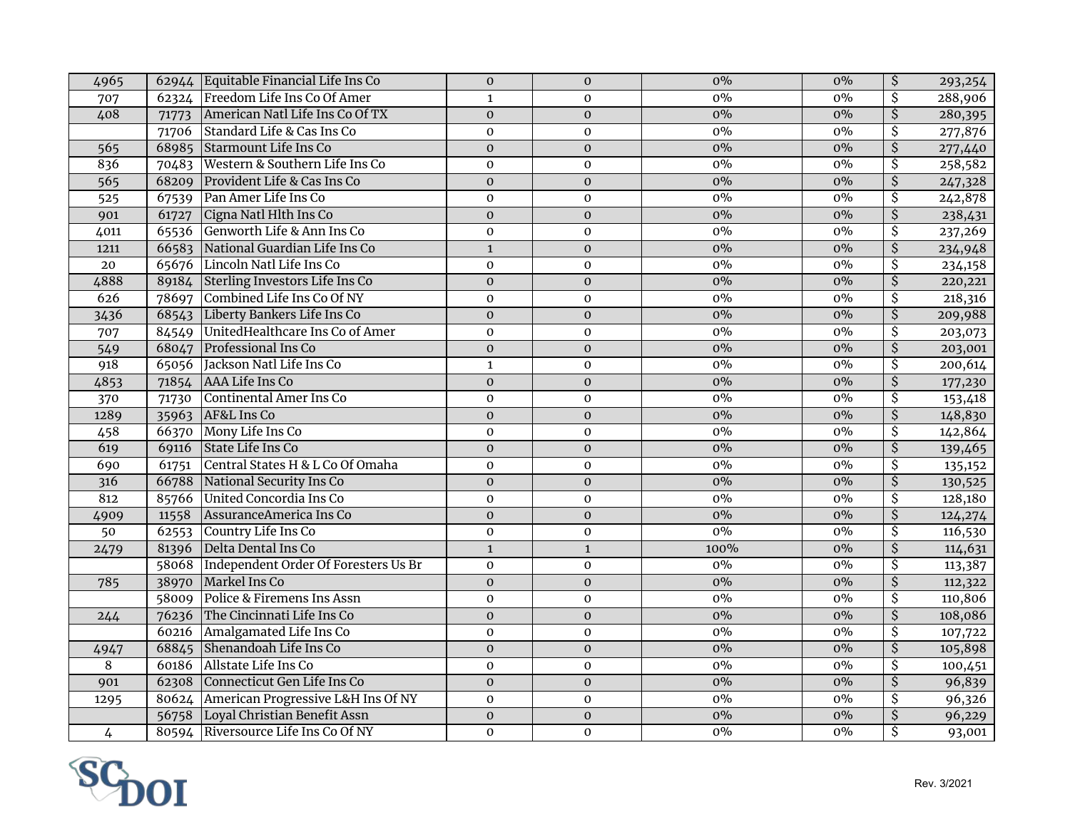| 4965           |       | 62944 Equitable Financial Life Ins Co        | $\mathbf{O}$   | $\mathbf{0}$     | $0\%$ | $0\%$ | \$                       | 293,254 |
|----------------|-------|----------------------------------------------|----------------|------------------|-------|-------|--------------------------|---------|
| 707            |       | 62324 Freedom Life Ins Co Of Amer            | $\mathbf{1}$   | $\mathbf{0}$     | 0%    | $0\%$ | $\overline{\mathcal{S}}$ | 288,906 |
| 408            | 71773 | American Natl Life Ins Co Of TX              | $\mathbf 0$    | $\mathbf{0}$     | $0\%$ | $0\%$ | $\overline{\mathcal{S}}$ | 280,395 |
|                | 71706 | Standard Life & Cas Ins Co                   | $\mathbf 0$    | $\mathbf 0$      | $0\%$ | $0\%$ | $\overline{\mathsf{S}}$  | 277,876 |
| 565            | 68985 | Starmount Life Ins Co                        | $\mathbf{O}$   | $\mathbf{O}$     | $0\%$ | $0\%$ | $\overline{\mathcal{S}}$ | 277,440 |
| 836            | 70483 | Western & Southern Life Ins Co               | $\mathbf{0}$   | $\mathbf{0}$     | $0\%$ | $0\%$ | \$                       | 258,582 |
| 565            | 68209 | Provident Life & Cas Ins Co                  | $\mathbf{O}$   | $\mathbf{0}$     | $0\%$ | $0\%$ | $\overline{\mathcal{S}}$ | 247,328 |
| 525            | 67539 | Pan Amer Life Ins Co                         | $\mathbf{O}$   | $\mathbf{O}$     | $0\%$ | $0\%$ | $\overline{\mathcal{S}}$ | 242,878 |
| 901            | 61727 | Cigna Natl Hlth Ins Co                       | $\mathbf{O}$   | $\mathbf 0$      | $0\%$ | $0\%$ | $\overline{\mathcal{S}}$ | 238,431 |
| 4011           |       | 65536 Genworth Life & Ann Ins Co             | $\mathbf{O}$   | $\mathbf{0}$     | 0%    | $0\%$ | \$                       | 237,269 |
| 1211           |       | 66583 National Guardian Life Ins Co          | $\mathbf{1}$   | $\mathbf{O}$     | $0\%$ | $0\%$ | $\overline{\mathsf{S}}$  | 234,948 |
| 20             |       | 65676 Lincoln Natl Life Ins Co               | $\mathbf{O}$   | $\mathbf{O}$     | $0\%$ | $0\%$ | \$                       | 234,158 |
| 4888           |       | 89184 Sterling Investors Life Ins Co         | $\pmb{0}$      | $\mathbf 0$      | $0\%$ | $0\%$ | $\overline{\mathsf{S}}$  | 220,221 |
| 626            | 78697 | Combined Life Ins Co Of NY                   | $\mathbf{0}$   | $\mathbf{0}$     | $0\%$ | $0\%$ | \$                       | 218,316 |
| 3436           | 68543 | Liberty Bankers Life Ins Co                  | $\mathbf{O}$   | $\mathbf 0$      | $0\%$ | $0\%$ | $\overline{\mathsf{S}}$  | 209,988 |
| 707            | 84549 | UnitedHealthcare Ins Co of Amer              | $\mathbf{O}$   | $\mathbf{0}$     | $0\%$ | $0\%$ | \$                       | 203,073 |
| 549            | 68047 | Professional Ins Co                          | $\mathbf 0$    | $\mathbf{O}$     | $0\%$ | $0\%$ | $\overline{\mathcal{S}}$ | 203,001 |
| 918            |       | 65056 Jackson Natl Life Ins Co               | $\mathbf{1}$   | $\boldsymbol{0}$ | 0%    | 0%    | $\overline{\mathsf{S}}$  | 200,614 |
| 4853           | 71854 | AAA Life Ins Co                              | $\mathbf 0$    | $\mathbf 0$      | $0\%$ | $0\%$ | \$                       | 177,230 |
| 370            | 71730 | Continental Amer Ins Co                      | $\mathbf 0$    | $\mathbf 0$      | $0\%$ | $0\%$ | \$                       | 153,418 |
| 1289           |       | 35963 AF&L Ins Co                            | $\mathbf 0$    | $\mathbf 0$      | $0\%$ | $0\%$ | $\overline{\mathcal{S}}$ | 148,830 |
| 458            | 66370 | Mony Life Ins Co                             | $\mathbf 0$    | $\mathbf 0$      | $0\%$ | $0\%$ | \$                       | 142,864 |
| 619            | 69116 | State Life Ins Co                            | $\mathbf 0$    | $\mathbf 0$      | $0\%$ | $0\%$ | $\overline{\mathcal{S}}$ | 139,465 |
| 690            | 61751 | Central States H & L Co Of Omaha             | $\mathbf 0$    | $\mathbf 0$      | $0\%$ | $0\%$ | $\overline{\mathcal{S}}$ | 135,152 |
| 316            | 66788 | National Security Ins Co                     | $\mathbf 0$    | $\mathbf 0$      | $0\%$ | $0\%$ | $\overline{\mathcal{S}}$ | 130,525 |
| 812            |       | 85766 United Concordia Ins Co                | $\mathbf 0$    | $\boldsymbol{0}$ | 0%    | $0\%$ | \$                       | 128,180 |
| 4909           | 11558 | AssuranceAmerica Ins Co                      | $\mathbf 0$    | $\mathbf 0$      | $0\%$ | $0\%$ | $\overline{\mathcal{S}}$ | 124,274 |
| 50             | 62553 | Country Life Ins Co                          | $\mathbf 0$    | $\mathbf 0$      | $0\%$ | $0\%$ | $\overline{\mathcal{S}}$ | 116,530 |
| 2479           | 81396 | Delta Dental Ins Co                          | $\mathbf 1$    | $\mathbf{1}$     | 100%  | $0\%$ | $\overline{\mathcal{S}}$ | 114,631 |
|                |       | 58068   Independent Order Of Foresters Us Br | $\mathbf 0$    | $\mathbf 0$      | $0\%$ | $0\%$ | $\overline{\mathcal{S}}$ | 113,387 |
| 785            | 38970 | Markel Ins Co                                | $\mathbf 0$    | $\mathbf 0$      | $0\%$ | $0\%$ | \$                       | 112,322 |
|                |       | 58009 Police & Firemens Ins Assn             | $\mathbf 0$    | $\mathbf 0$      | $0\%$ | $0\%$ | \$                       | 110,806 |
| 244            |       | 76236 The Cincinnati Life Ins Co             | $\mathbf 0$    | $\mathbf{O}$     | $0\%$ | $0\%$ | $\overline{\mathcal{S}}$ | 108,086 |
|                | 60216 | Amalgamated Life Ins Co                      | $\mathbf{O}$   | $\mathbf 0$      | $0\%$ | $0\%$ | $\overline{\mathcal{S}}$ | 107,722 |
| 4947           | 68845 | Shenandoah Life Ins Co                       | $\mathbf 0$    | $\mathbf 0$      | $0\%$ | $0\%$ | $\overline{\mathcal{S}}$ | 105,898 |
| $\overline{8}$ | 60186 | Allstate Life Ins Co                         | $\mathbf{O}$   | $\mathbf 0$      | $0\%$ | $0\%$ | \$                       | 100,451 |
| 901            | 62308 | Connecticut Gen Life Ins Co                  | $\overline{0}$ | $\mathbf 0$      | $0\%$ | $0\%$ | $\overline{\mathcal{S}}$ | 96,839  |
| 1295           |       | 80624 American Progressive L&H Ins Of NY     | $\mathbf 0$    | $\mathbf 0$      | $0\%$ | $0\%$ | \$                       | 96,326  |
|                | 56758 | Loyal Christian Benefit Assn                 | $\mathbf 0$    | $\mathbf 0$      | $0\%$ | $0\%$ | $\overline{\mathcal{S}}$ | 96,229  |
| $\overline{4}$ |       | 80594 Riversource Life Ins Co Of NY          | $\mathbf{O}$   | $\mathbf 0$      | $0\%$ | $0\%$ | \$                       | 93,001  |

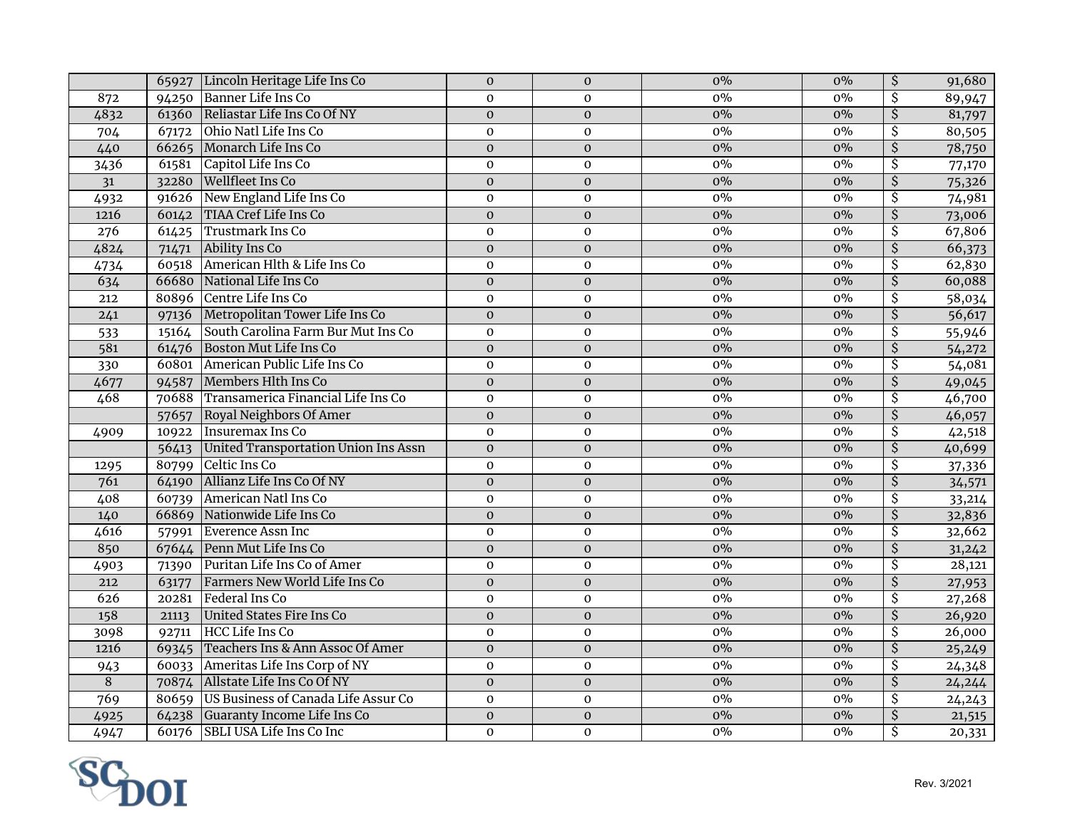| 94250 Banner Life Ins Co<br>$\overline{\mathcal{S}}$<br>$0\%$<br>$\mathbf 0$<br>$\mathbf 0$<br>872<br>89,947<br>61360 Reliastar Life Ins Co Of NY<br>$\overline{\xi}$<br>4832<br>$0\%$<br>$0\%$<br>$\mathbf{0}$<br>81,797<br>$\boldsymbol{0}$<br>Ohio Natl Life Ins Co<br>$\overline{\mathcal{S}}$<br>67172<br>$0\%$<br>$0\%$<br>80,505<br>704<br>$\mathbf{O}$<br>$\mathbf 0$<br>$\overline{\xi}$<br>$0\%$<br>440<br>66265 Monarch Life Ins Co<br>$\mathbf{0}$<br>$0\%$<br>78,750<br>$\boldsymbol{0}$<br>\$<br>Capitol Life Ins Co<br>$0\%$<br>$0\%$<br>3436<br>61581<br>$\mathbf 0$<br>$\mathbf 0$<br>77,170<br>$\overline{\boldsymbol{\mathsf{S}}}$<br><b>Wellfleet Ins Co</b><br>$0\%$<br>$0\%$<br>31<br>$\boldsymbol{0}$<br>$\mathbf 0$<br>75,326<br>32280<br>\$<br>New England Life Ins Co<br>0%<br>$0\%$<br>$\mathbf 0$<br>74,981<br>4932<br>91626<br>$\mathbf 0$<br>$\overline{\xi}$<br><b>TIAA Cref Life Ins Co</b><br>1216<br>$0\%$<br>$0\%$<br>$\mathbf 0$<br>73,006<br>60142<br>$\mathbf{O}$<br><b>Trustmark Ins Co</b><br>\$<br>67,806<br>276<br>61425<br>$0\%$<br>$0\%$<br>$\mathbf{O}$<br>$\mathbf 0$<br>$\overline{\mathsf{S}}$<br>4824<br>Ability Ins Co<br>$\mathbf 0$<br>$0\%$<br>$0\%$<br>66,373<br>71471<br>$\boldsymbol{0}$<br>American Hlth & Life Ins Co<br>\$<br>$0\%$<br>$0\%$<br>62,830<br>4734<br>60518<br>$\mathbf 0$<br>$\mathbf 0$<br>$\overline{\mathsf{S}}$<br>634<br>National Life Ins Co<br>$0\%$<br>66680<br>$\boldsymbol{0}$<br>$\pmb{0}$<br>$0\%$<br>60,088<br>80896 Centre Life Ins Co<br>0%<br>$0\%$<br>\$<br>58,034<br>212<br>$\mathbf{O}$<br>$\pmb{0}$<br>Metropolitan Tower Life Ins Co<br>$0\%$<br>$\overline{\mathsf{S}}$<br>$0\%$<br>56,617<br>$\overline{0}$<br>$\mathbf 0$<br>241<br>97136<br>South Carolina Farm Bur Mut Ins Co<br>\$<br>15164<br>$\mathbf 0$<br>$\pmb{0}$<br>$0\%$<br>$0\%$<br>55,946<br>533<br>$\overline{\mathsf{S}}$<br>581<br>Boston Mut Life Ins Co<br>$\overline{0}$<br>$0\%$<br>61476<br>$\mathbf 0$<br>$0\%$<br>54,272<br>$\overline{\mathcal{S}}$<br>American Public Life Ins Co<br>$0\%$<br>60801<br>$\mathbf 0$<br>$0\%$<br>330<br>$\mathbf 0$<br>54,081<br>$\overline{\boldsymbol{\mathsf{S}}}$<br>Members Hlth Ins Co<br>$0\%$<br>4677<br>$\mathbf 0$<br>$\mathbf 0$<br>$0\%$<br>94587<br>49,045<br>Transamerica Financial Life Ins Co<br>$\overline{\mathcal{S}}$<br>468<br>$0\%$<br>70688<br>$0\%$<br>46,700<br>$\mathbf{O}$<br>$\mathbf 0$<br>$\overline{\xi}$<br>Royal Neighbors Of Amer<br>$0\%$<br>$0\%$<br>46,057<br>57657<br>$\overline{0}$<br>$\boldsymbol{0}$<br>\$<br>Insuremax Ins Co<br>10922<br>$0\%$<br>0%<br>42,518<br>4909<br>$\mathbf{0}$<br>$\mathbf 0$<br>$\overline{\xi}$<br>United Transportation Union Ins Assn<br>56413<br>$\mathbf{0}$<br>$0\%$<br>$0\%$<br>40,699<br>$\boldsymbol{0}$<br>$\overline{\mathcal{S}}$<br>Celtic Ins Co<br>$0\%$<br>$0\%$<br>37,336<br>80799<br>$\mathbf{O}$<br>$\mathbf 0$<br>1295<br>Allianz Life Ins Co Of NY<br>$\overline{\boldsymbol{\mathsf{S}}}$<br>761<br>$0\%$<br>$0\%$<br>$\mathbf 0$<br>$\pmb{0}$<br>34,571<br>64190<br>\$<br>American Natl Ins Co<br>$0\%$<br>408<br>$0\%$<br>$\mathbf{O}$<br>$\mathbf 0$<br>33,214<br>60739<br>66869 Nationwide Life Ins Co<br>$\overline{\mathcal{S}}$<br>$0\%$<br>$0\%$<br>32,836<br>$\mathbf{O}$<br>$\boldsymbol{0}$<br>140<br>\$<br>4616<br>Everence Assn Inc<br>$0\%$<br>$0\%$<br>32,662<br>$\mathbf 0$<br>$\pmb{0}$<br>57991<br>$\overline{\xi}$<br>850<br>67644 Penn Mut Life Ins Co<br>$0\%$<br>$\mathbf{0}$<br>$0\%$<br>31,242<br>$\boldsymbol{0}$<br>Puritan Life Ins Co of Amer<br>$\overline{\mathcal{S}}$<br>$0\%$<br>$0\%$<br>28,121<br>4903<br>71390<br>0<br>$\mathbf 0$<br>$\overline{\xi}$<br>$0\%$<br>Farmers New World Life Ins Co<br>$0\%$<br>212<br>$\mathbf 0$<br>$\pmb{0}$<br>63177<br>27,953<br>\$<br>Federal Ins Co<br>0%<br>626<br>20281<br>$0\%$<br>27,268<br>$\mathbf 0$<br>$\mathbf{0}$<br>$\overline{\xi}$<br>$0\%$<br>$0\%$<br>158<br>United States Fire Ins Co<br>26,920<br>$\mathbf{O}$<br>$\mathbf 0$<br>21113<br>$\overline{\mathsf{S}}$<br><b>HCC Life Ins Co</b><br>3098<br>$0\%$<br>$0\%$<br>26,000<br>$\mathbf{O}$<br>$\mathbf 0$<br>92711<br>69345 Teachers Ins & Ann Assoc Of Amer<br>$\overline{\mathcal{S}}$<br>$0\%$<br>$0\%$<br>$\mathbf{0}$<br>25,249<br>1216<br>$\mathbf{O}$<br>Ameritas Life Ins Corp of NY<br>$0\%$<br>\$<br>$0\%$<br>943<br>60033<br>$\mathbf{O}$<br>$\mathbf 0$<br>24,348<br>$\overline{8}$<br>$\overline{\mathcal{S}}$<br>$0\%$<br>70874 Allstate Life Ins Co Of NY<br>$\overline{0}$<br>$0\%$<br>$\mathbf 0$<br>24,244<br>80659 US Business of Canada Life Assur Co<br>769<br>$0\%$<br>\$<br>$0\%$<br>$\mathbf{O}$<br>$\mathbf 0$<br>24,243<br>$0\%$<br>\$<br>64238 Guaranty Income Life Ins Co<br>$\overline{0}$<br>$\overline{0}$<br>$0\%$<br>21,515<br>4925<br>इ<br><b>SBLI USA Life Ins Co Inc</b><br>4947<br>$\mathbf{O}$<br>$0\%$<br>$0\%$<br>60176<br>$\mathbf{O}$<br>20,331 |  | 65927 Lincoln Heritage Life Ins Co | $\mathbf{0}$ | $\mathbf{0}$ | $0\%$ | $0\%$ | $\overline{\mathcal{S}}$ | 91,680 |
|-------------------------------------------------------------------------------------------------------------------------------------------------------------------------------------------------------------------------------------------------------------------------------------------------------------------------------------------------------------------------------------------------------------------------------------------------------------------------------------------------------------------------------------------------------------------------------------------------------------------------------------------------------------------------------------------------------------------------------------------------------------------------------------------------------------------------------------------------------------------------------------------------------------------------------------------------------------------------------------------------------------------------------------------------------------------------------------------------------------------------------------------------------------------------------------------------------------------------------------------------------------------------------------------------------------------------------------------------------------------------------------------------------------------------------------------------------------------------------------------------------------------------------------------------------------------------------------------------------------------------------------------------------------------------------------------------------------------------------------------------------------------------------------------------------------------------------------------------------------------------------------------------------------------------------------------------------------------------------------------------------------------------------------------------------------------------------------------------------------------------------------------------------------------------------------------------------------------------------------------------------------------------------------------------------------------------------------------------------------------------------------------------------------------------------------------------------------------------------------------------------------------------------------------------------------------------------------------------------------------------------------------------------------------------------------------------------------------------------------------------------------------------------------------------------------------------------------------------------------------------------------------------------------------------------------------------------------------------------------------------------------------------------------------------------------------------------------------------------------------------------------------------------------------------------------------------------------------------------------------------------------------------------------------------------------------------------------------------------------------------------------------------------------------------------------------------------------------------------------------------------------------------------------------------------------------------------------------------------------------------------------------------------------------------------------------------------------------------------------------------------------------------------------------------------------------------------------------------------------------------------------------------------------------------------------------------------------------------------------------------------------------------------------------------------------------------------------------------------------------------------------------------------------------------------------------------------------------------------------------------------------------------------------------------------------------------------------------------------------------------------------------------------------------------------------------------------------------------------------------------------------------------------------------------------------------------------------------------------------------------------------------------------------------------------------------------------------------------------------------------------------------------------------------------------------------------------------------------------------------------------------------------------------------------------------------|--|------------------------------------|--------------|--------------|-------|-------|--------------------------|--------|
|                                                                                                                                                                                                                                                                                                                                                                                                                                                                                                                                                                                                                                                                                                                                                                                                                                                                                                                                                                                                                                                                                                                                                                                                                                                                                                                                                                                                                                                                                                                                                                                                                                                                                                                                                                                                                                                                                                                                                                                                                                                                                                                                                                                                                                                                                                                                                                                                                                                                                                                                                                                                                                                                                                                                                                                                                                                                                                                                                                                                                                                                                                                                                                                                                                                                                                                                                                                                                                                                                                                                                                                                                                                                                                                                                                                                                                                                                                                                                                                                                                                                                                                                                                                                                                                                                                                                                                                                                                                                                                                                                                                                                                                                                                                                                                                                                                                                                                                                           |  |                                    |              |              | 0%    |       |                          |        |
|                                                                                                                                                                                                                                                                                                                                                                                                                                                                                                                                                                                                                                                                                                                                                                                                                                                                                                                                                                                                                                                                                                                                                                                                                                                                                                                                                                                                                                                                                                                                                                                                                                                                                                                                                                                                                                                                                                                                                                                                                                                                                                                                                                                                                                                                                                                                                                                                                                                                                                                                                                                                                                                                                                                                                                                                                                                                                                                                                                                                                                                                                                                                                                                                                                                                                                                                                                                                                                                                                                                                                                                                                                                                                                                                                                                                                                                                                                                                                                                                                                                                                                                                                                                                                                                                                                                                                                                                                                                                                                                                                                                                                                                                                                                                                                                                                                                                                                                                           |  |                                    |              |              |       |       |                          |        |
|                                                                                                                                                                                                                                                                                                                                                                                                                                                                                                                                                                                                                                                                                                                                                                                                                                                                                                                                                                                                                                                                                                                                                                                                                                                                                                                                                                                                                                                                                                                                                                                                                                                                                                                                                                                                                                                                                                                                                                                                                                                                                                                                                                                                                                                                                                                                                                                                                                                                                                                                                                                                                                                                                                                                                                                                                                                                                                                                                                                                                                                                                                                                                                                                                                                                                                                                                                                                                                                                                                                                                                                                                                                                                                                                                                                                                                                                                                                                                                                                                                                                                                                                                                                                                                                                                                                                                                                                                                                                                                                                                                                                                                                                                                                                                                                                                                                                                                                                           |  |                                    |              |              |       |       |                          |        |
|                                                                                                                                                                                                                                                                                                                                                                                                                                                                                                                                                                                                                                                                                                                                                                                                                                                                                                                                                                                                                                                                                                                                                                                                                                                                                                                                                                                                                                                                                                                                                                                                                                                                                                                                                                                                                                                                                                                                                                                                                                                                                                                                                                                                                                                                                                                                                                                                                                                                                                                                                                                                                                                                                                                                                                                                                                                                                                                                                                                                                                                                                                                                                                                                                                                                                                                                                                                                                                                                                                                                                                                                                                                                                                                                                                                                                                                                                                                                                                                                                                                                                                                                                                                                                                                                                                                                                                                                                                                                                                                                                                                                                                                                                                                                                                                                                                                                                                                                           |  |                                    |              |              |       |       |                          |        |
|                                                                                                                                                                                                                                                                                                                                                                                                                                                                                                                                                                                                                                                                                                                                                                                                                                                                                                                                                                                                                                                                                                                                                                                                                                                                                                                                                                                                                                                                                                                                                                                                                                                                                                                                                                                                                                                                                                                                                                                                                                                                                                                                                                                                                                                                                                                                                                                                                                                                                                                                                                                                                                                                                                                                                                                                                                                                                                                                                                                                                                                                                                                                                                                                                                                                                                                                                                                                                                                                                                                                                                                                                                                                                                                                                                                                                                                                                                                                                                                                                                                                                                                                                                                                                                                                                                                                                                                                                                                                                                                                                                                                                                                                                                                                                                                                                                                                                                                                           |  |                                    |              |              |       |       |                          |        |
|                                                                                                                                                                                                                                                                                                                                                                                                                                                                                                                                                                                                                                                                                                                                                                                                                                                                                                                                                                                                                                                                                                                                                                                                                                                                                                                                                                                                                                                                                                                                                                                                                                                                                                                                                                                                                                                                                                                                                                                                                                                                                                                                                                                                                                                                                                                                                                                                                                                                                                                                                                                                                                                                                                                                                                                                                                                                                                                                                                                                                                                                                                                                                                                                                                                                                                                                                                                                                                                                                                                                                                                                                                                                                                                                                                                                                                                                                                                                                                                                                                                                                                                                                                                                                                                                                                                                                                                                                                                                                                                                                                                                                                                                                                                                                                                                                                                                                                                                           |  |                                    |              |              |       |       |                          |        |
|                                                                                                                                                                                                                                                                                                                                                                                                                                                                                                                                                                                                                                                                                                                                                                                                                                                                                                                                                                                                                                                                                                                                                                                                                                                                                                                                                                                                                                                                                                                                                                                                                                                                                                                                                                                                                                                                                                                                                                                                                                                                                                                                                                                                                                                                                                                                                                                                                                                                                                                                                                                                                                                                                                                                                                                                                                                                                                                                                                                                                                                                                                                                                                                                                                                                                                                                                                                                                                                                                                                                                                                                                                                                                                                                                                                                                                                                                                                                                                                                                                                                                                                                                                                                                                                                                                                                                                                                                                                                                                                                                                                                                                                                                                                                                                                                                                                                                                                                           |  |                                    |              |              |       |       |                          |        |
|                                                                                                                                                                                                                                                                                                                                                                                                                                                                                                                                                                                                                                                                                                                                                                                                                                                                                                                                                                                                                                                                                                                                                                                                                                                                                                                                                                                                                                                                                                                                                                                                                                                                                                                                                                                                                                                                                                                                                                                                                                                                                                                                                                                                                                                                                                                                                                                                                                                                                                                                                                                                                                                                                                                                                                                                                                                                                                                                                                                                                                                                                                                                                                                                                                                                                                                                                                                                                                                                                                                                                                                                                                                                                                                                                                                                                                                                                                                                                                                                                                                                                                                                                                                                                                                                                                                                                                                                                                                                                                                                                                                                                                                                                                                                                                                                                                                                                                                                           |  |                                    |              |              |       |       |                          |        |
|                                                                                                                                                                                                                                                                                                                                                                                                                                                                                                                                                                                                                                                                                                                                                                                                                                                                                                                                                                                                                                                                                                                                                                                                                                                                                                                                                                                                                                                                                                                                                                                                                                                                                                                                                                                                                                                                                                                                                                                                                                                                                                                                                                                                                                                                                                                                                                                                                                                                                                                                                                                                                                                                                                                                                                                                                                                                                                                                                                                                                                                                                                                                                                                                                                                                                                                                                                                                                                                                                                                                                                                                                                                                                                                                                                                                                                                                                                                                                                                                                                                                                                                                                                                                                                                                                                                                                                                                                                                                                                                                                                                                                                                                                                                                                                                                                                                                                                                                           |  |                                    |              |              |       |       |                          |        |
|                                                                                                                                                                                                                                                                                                                                                                                                                                                                                                                                                                                                                                                                                                                                                                                                                                                                                                                                                                                                                                                                                                                                                                                                                                                                                                                                                                                                                                                                                                                                                                                                                                                                                                                                                                                                                                                                                                                                                                                                                                                                                                                                                                                                                                                                                                                                                                                                                                                                                                                                                                                                                                                                                                                                                                                                                                                                                                                                                                                                                                                                                                                                                                                                                                                                                                                                                                                                                                                                                                                                                                                                                                                                                                                                                                                                                                                                                                                                                                                                                                                                                                                                                                                                                                                                                                                                                                                                                                                                                                                                                                                                                                                                                                                                                                                                                                                                                                                                           |  |                                    |              |              |       |       |                          |        |
|                                                                                                                                                                                                                                                                                                                                                                                                                                                                                                                                                                                                                                                                                                                                                                                                                                                                                                                                                                                                                                                                                                                                                                                                                                                                                                                                                                                                                                                                                                                                                                                                                                                                                                                                                                                                                                                                                                                                                                                                                                                                                                                                                                                                                                                                                                                                                                                                                                                                                                                                                                                                                                                                                                                                                                                                                                                                                                                                                                                                                                                                                                                                                                                                                                                                                                                                                                                                                                                                                                                                                                                                                                                                                                                                                                                                                                                                                                                                                                                                                                                                                                                                                                                                                                                                                                                                                                                                                                                                                                                                                                                                                                                                                                                                                                                                                                                                                                                                           |  |                                    |              |              |       |       |                          |        |
|                                                                                                                                                                                                                                                                                                                                                                                                                                                                                                                                                                                                                                                                                                                                                                                                                                                                                                                                                                                                                                                                                                                                                                                                                                                                                                                                                                                                                                                                                                                                                                                                                                                                                                                                                                                                                                                                                                                                                                                                                                                                                                                                                                                                                                                                                                                                                                                                                                                                                                                                                                                                                                                                                                                                                                                                                                                                                                                                                                                                                                                                                                                                                                                                                                                                                                                                                                                                                                                                                                                                                                                                                                                                                                                                                                                                                                                                                                                                                                                                                                                                                                                                                                                                                                                                                                                                                                                                                                                                                                                                                                                                                                                                                                                                                                                                                                                                                                                                           |  |                                    |              |              |       |       |                          |        |
|                                                                                                                                                                                                                                                                                                                                                                                                                                                                                                                                                                                                                                                                                                                                                                                                                                                                                                                                                                                                                                                                                                                                                                                                                                                                                                                                                                                                                                                                                                                                                                                                                                                                                                                                                                                                                                                                                                                                                                                                                                                                                                                                                                                                                                                                                                                                                                                                                                                                                                                                                                                                                                                                                                                                                                                                                                                                                                                                                                                                                                                                                                                                                                                                                                                                                                                                                                                                                                                                                                                                                                                                                                                                                                                                                                                                                                                                                                                                                                                                                                                                                                                                                                                                                                                                                                                                                                                                                                                                                                                                                                                                                                                                                                                                                                                                                                                                                                                                           |  |                                    |              |              |       |       |                          |        |
|                                                                                                                                                                                                                                                                                                                                                                                                                                                                                                                                                                                                                                                                                                                                                                                                                                                                                                                                                                                                                                                                                                                                                                                                                                                                                                                                                                                                                                                                                                                                                                                                                                                                                                                                                                                                                                                                                                                                                                                                                                                                                                                                                                                                                                                                                                                                                                                                                                                                                                                                                                                                                                                                                                                                                                                                                                                                                                                                                                                                                                                                                                                                                                                                                                                                                                                                                                                                                                                                                                                                                                                                                                                                                                                                                                                                                                                                                                                                                                                                                                                                                                                                                                                                                                                                                                                                                                                                                                                                                                                                                                                                                                                                                                                                                                                                                                                                                                                                           |  |                                    |              |              |       |       |                          |        |
|                                                                                                                                                                                                                                                                                                                                                                                                                                                                                                                                                                                                                                                                                                                                                                                                                                                                                                                                                                                                                                                                                                                                                                                                                                                                                                                                                                                                                                                                                                                                                                                                                                                                                                                                                                                                                                                                                                                                                                                                                                                                                                                                                                                                                                                                                                                                                                                                                                                                                                                                                                                                                                                                                                                                                                                                                                                                                                                                                                                                                                                                                                                                                                                                                                                                                                                                                                                                                                                                                                                                                                                                                                                                                                                                                                                                                                                                                                                                                                                                                                                                                                                                                                                                                                                                                                                                                                                                                                                                                                                                                                                                                                                                                                                                                                                                                                                                                                                                           |  |                                    |              |              |       |       |                          |        |
|                                                                                                                                                                                                                                                                                                                                                                                                                                                                                                                                                                                                                                                                                                                                                                                                                                                                                                                                                                                                                                                                                                                                                                                                                                                                                                                                                                                                                                                                                                                                                                                                                                                                                                                                                                                                                                                                                                                                                                                                                                                                                                                                                                                                                                                                                                                                                                                                                                                                                                                                                                                                                                                                                                                                                                                                                                                                                                                                                                                                                                                                                                                                                                                                                                                                                                                                                                                                                                                                                                                                                                                                                                                                                                                                                                                                                                                                                                                                                                                                                                                                                                                                                                                                                                                                                                                                                                                                                                                                                                                                                                                                                                                                                                                                                                                                                                                                                                                                           |  |                                    |              |              |       |       |                          |        |
|                                                                                                                                                                                                                                                                                                                                                                                                                                                                                                                                                                                                                                                                                                                                                                                                                                                                                                                                                                                                                                                                                                                                                                                                                                                                                                                                                                                                                                                                                                                                                                                                                                                                                                                                                                                                                                                                                                                                                                                                                                                                                                                                                                                                                                                                                                                                                                                                                                                                                                                                                                                                                                                                                                                                                                                                                                                                                                                                                                                                                                                                                                                                                                                                                                                                                                                                                                                                                                                                                                                                                                                                                                                                                                                                                                                                                                                                                                                                                                                                                                                                                                                                                                                                                                                                                                                                                                                                                                                                                                                                                                                                                                                                                                                                                                                                                                                                                                                                           |  |                                    |              |              |       |       |                          |        |
|                                                                                                                                                                                                                                                                                                                                                                                                                                                                                                                                                                                                                                                                                                                                                                                                                                                                                                                                                                                                                                                                                                                                                                                                                                                                                                                                                                                                                                                                                                                                                                                                                                                                                                                                                                                                                                                                                                                                                                                                                                                                                                                                                                                                                                                                                                                                                                                                                                                                                                                                                                                                                                                                                                                                                                                                                                                                                                                                                                                                                                                                                                                                                                                                                                                                                                                                                                                                                                                                                                                                                                                                                                                                                                                                                                                                                                                                                                                                                                                                                                                                                                                                                                                                                                                                                                                                                                                                                                                                                                                                                                                                                                                                                                                                                                                                                                                                                                                                           |  |                                    |              |              |       |       |                          |        |
|                                                                                                                                                                                                                                                                                                                                                                                                                                                                                                                                                                                                                                                                                                                                                                                                                                                                                                                                                                                                                                                                                                                                                                                                                                                                                                                                                                                                                                                                                                                                                                                                                                                                                                                                                                                                                                                                                                                                                                                                                                                                                                                                                                                                                                                                                                                                                                                                                                                                                                                                                                                                                                                                                                                                                                                                                                                                                                                                                                                                                                                                                                                                                                                                                                                                                                                                                                                                                                                                                                                                                                                                                                                                                                                                                                                                                                                                                                                                                                                                                                                                                                                                                                                                                                                                                                                                                                                                                                                                                                                                                                                                                                                                                                                                                                                                                                                                                                                                           |  |                                    |              |              |       |       |                          |        |
|                                                                                                                                                                                                                                                                                                                                                                                                                                                                                                                                                                                                                                                                                                                                                                                                                                                                                                                                                                                                                                                                                                                                                                                                                                                                                                                                                                                                                                                                                                                                                                                                                                                                                                                                                                                                                                                                                                                                                                                                                                                                                                                                                                                                                                                                                                                                                                                                                                                                                                                                                                                                                                                                                                                                                                                                                                                                                                                                                                                                                                                                                                                                                                                                                                                                                                                                                                                                                                                                                                                                                                                                                                                                                                                                                                                                                                                                                                                                                                                                                                                                                                                                                                                                                                                                                                                                                                                                                                                                                                                                                                                                                                                                                                                                                                                                                                                                                                                                           |  |                                    |              |              |       |       |                          |        |
|                                                                                                                                                                                                                                                                                                                                                                                                                                                                                                                                                                                                                                                                                                                                                                                                                                                                                                                                                                                                                                                                                                                                                                                                                                                                                                                                                                                                                                                                                                                                                                                                                                                                                                                                                                                                                                                                                                                                                                                                                                                                                                                                                                                                                                                                                                                                                                                                                                                                                                                                                                                                                                                                                                                                                                                                                                                                                                                                                                                                                                                                                                                                                                                                                                                                                                                                                                                                                                                                                                                                                                                                                                                                                                                                                                                                                                                                                                                                                                                                                                                                                                                                                                                                                                                                                                                                                                                                                                                                                                                                                                                                                                                                                                                                                                                                                                                                                                                                           |  |                                    |              |              |       |       |                          |        |
|                                                                                                                                                                                                                                                                                                                                                                                                                                                                                                                                                                                                                                                                                                                                                                                                                                                                                                                                                                                                                                                                                                                                                                                                                                                                                                                                                                                                                                                                                                                                                                                                                                                                                                                                                                                                                                                                                                                                                                                                                                                                                                                                                                                                                                                                                                                                                                                                                                                                                                                                                                                                                                                                                                                                                                                                                                                                                                                                                                                                                                                                                                                                                                                                                                                                                                                                                                                                                                                                                                                                                                                                                                                                                                                                                                                                                                                                                                                                                                                                                                                                                                                                                                                                                                                                                                                                                                                                                                                                                                                                                                                                                                                                                                                                                                                                                                                                                                                                           |  |                                    |              |              |       |       |                          |        |
|                                                                                                                                                                                                                                                                                                                                                                                                                                                                                                                                                                                                                                                                                                                                                                                                                                                                                                                                                                                                                                                                                                                                                                                                                                                                                                                                                                                                                                                                                                                                                                                                                                                                                                                                                                                                                                                                                                                                                                                                                                                                                                                                                                                                                                                                                                                                                                                                                                                                                                                                                                                                                                                                                                                                                                                                                                                                                                                                                                                                                                                                                                                                                                                                                                                                                                                                                                                                                                                                                                                                                                                                                                                                                                                                                                                                                                                                                                                                                                                                                                                                                                                                                                                                                                                                                                                                                                                                                                                                                                                                                                                                                                                                                                                                                                                                                                                                                                                                           |  |                                    |              |              |       |       |                          |        |
|                                                                                                                                                                                                                                                                                                                                                                                                                                                                                                                                                                                                                                                                                                                                                                                                                                                                                                                                                                                                                                                                                                                                                                                                                                                                                                                                                                                                                                                                                                                                                                                                                                                                                                                                                                                                                                                                                                                                                                                                                                                                                                                                                                                                                                                                                                                                                                                                                                                                                                                                                                                                                                                                                                                                                                                                                                                                                                                                                                                                                                                                                                                                                                                                                                                                                                                                                                                                                                                                                                                                                                                                                                                                                                                                                                                                                                                                                                                                                                                                                                                                                                                                                                                                                                                                                                                                                                                                                                                                                                                                                                                                                                                                                                                                                                                                                                                                                                                                           |  |                                    |              |              |       |       |                          |        |
|                                                                                                                                                                                                                                                                                                                                                                                                                                                                                                                                                                                                                                                                                                                                                                                                                                                                                                                                                                                                                                                                                                                                                                                                                                                                                                                                                                                                                                                                                                                                                                                                                                                                                                                                                                                                                                                                                                                                                                                                                                                                                                                                                                                                                                                                                                                                                                                                                                                                                                                                                                                                                                                                                                                                                                                                                                                                                                                                                                                                                                                                                                                                                                                                                                                                                                                                                                                                                                                                                                                                                                                                                                                                                                                                                                                                                                                                                                                                                                                                                                                                                                                                                                                                                                                                                                                                                                                                                                                                                                                                                                                                                                                                                                                                                                                                                                                                                                                                           |  |                                    |              |              |       |       |                          |        |
|                                                                                                                                                                                                                                                                                                                                                                                                                                                                                                                                                                                                                                                                                                                                                                                                                                                                                                                                                                                                                                                                                                                                                                                                                                                                                                                                                                                                                                                                                                                                                                                                                                                                                                                                                                                                                                                                                                                                                                                                                                                                                                                                                                                                                                                                                                                                                                                                                                                                                                                                                                                                                                                                                                                                                                                                                                                                                                                                                                                                                                                                                                                                                                                                                                                                                                                                                                                                                                                                                                                                                                                                                                                                                                                                                                                                                                                                                                                                                                                                                                                                                                                                                                                                                                                                                                                                                                                                                                                                                                                                                                                                                                                                                                                                                                                                                                                                                                                                           |  |                                    |              |              |       |       |                          |        |
|                                                                                                                                                                                                                                                                                                                                                                                                                                                                                                                                                                                                                                                                                                                                                                                                                                                                                                                                                                                                                                                                                                                                                                                                                                                                                                                                                                                                                                                                                                                                                                                                                                                                                                                                                                                                                                                                                                                                                                                                                                                                                                                                                                                                                                                                                                                                                                                                                                                                                                                                                                                                                                                                                                                                                                                                                                                                                                                                                                                                                                                                                                                                                                                                                                                                                                                                                                                                                                                                                                                                                                                                                                                                                                                                                                                                                                                                                                                                                                                                                                                                                                                                                                                                                                                                                                                                                                                                                                                                                                                                                                                                                                                                                                                                                                                                                                                                                                                                           |  |                                    |              |              |       |       |                          |        |
|                                                                                                                                                                                                                                                                                                                                                                                                                                                                                                                                                                                                                                                                                                                                                                                                                                                                                                                                                                                                                                                                                                                                                                                                                                                                                                                                                                                                                                                                                                                                                                                                                                                                                                                                                                                                                                                                                                                                                                                                                                                                                                                                                                                                                                                                                                                                                                                                                                                                                                                                                                                                                                                                                                                                                                                                                                                                                                                                                                                                                                                                                                                                                                                                                                                                                                                                                                                                                                                                                                                                                                                                                                                                                                                                                                                                                                                                                                                                                                                                                                                                                                                                                                                                                                                                                                                                                                                                                                                                                                                                                                                                                                                                                                                                                                                                                                                                                                                                           |  |                                    |              |              |       |       |                          |        |
|                                                                                                                                                                                                                                                                                                                                                                                                                                                                                                                                                                                                                                                                                                                                                                                                                                                                                                                                                                                                                                                                                                                                                                                                                                                                                                                                                                                                                                                                                                                                                                                                                                                                                                                                                                                                                                                                                                                                                                                                                                                                                                                                                                                                                                                                                                                                                                                                                                                                                                                                                                                                                                                                                                                                                                                                                                                                                                                                                                                                                                                                                                                                                                                                                                                                                                                                                                                                                                                                                                                                                                                                                                                                                                                                                                                                                                                                                                                                                                                                                                                                                                                                                                                                                                                                                                                                                                                                                                                                                                                                                                                                                                                                                                                                                                                                                                                                                                                                           |  |                                    |              |              |       |       |                          |        |
|                                                                                                                                                                                                                                                                                                                                                                                                                                                                                                                                                                                                                                                                                                                                                                                                                                                                                                                                                                                                                                                                                                                                                                                                                                                                                                                                                                                                                                                                                                                                                                                                                                                                                                                                                                                                                                                                                                                                                                                                                                                                                                                                                                                                                                                                                                                                                                                                                                                                                                                                                                                                                                                                                                                                                                                                                                                                                                                                                                                                                                                                                                                                                                                                                                                                                                                                                                                                                                                                                                                                                                                                                                                                                                                                                                                                                                                                                                                                                                                                                                                                                                                                                                                                                                                                                                                                                                                                                                                                                                                                                                                                                                                                                                                                                                                                                                                                                                                                           |  |                                    |              |              |       |       |                          |        |
|                                                                                                                                                                                                                                                                                                                                                                                                                                                                                                                                                                                                                                                                                                                                                                                                                                                                                                                                                                                                                                                                                                                                                                                                                                                                                                                                                                                                                                                                                                                                                                                                                                                                                                                                                                                                                                                                                                                                                                                                                                                                                                                                                                                                                                                                                                                                                                                                                                                                                                                                                                                                                                                                                                                                                                                                                                                                                                                                                                                                                                                                                                                                                                                                                                                                                                                                                                                                                                                                                                                                                                                                                                                                                                                                                                                                                                                                                                                                                                                                                                                                                                                                                                                                                                                                                                                                                                                                                                                                                                                                                                                                                                                                                                                                                                                                                                                                                                                                           |  |                                    |              |              |       |       |                          |        |
|                                                                                                                                                                                                                                                                                                                                                                                                                                                                                                                                                                                                                                                                                                                                                                                                                                                                                                                                                                                                                                                                                                                                                                                                                                                                                                                                                                                                                                                                                                                                                                                                                                                                                                                                                                                                                                                                                                                                                                                                                                                                                                                                                                                                                                                                                                                                                                                                                                                                                                                                                                                                                                                                                                                                                                                                                                                                                                                                                                                                                                                                                                                                                                                                                                                                                                                                                                                                                                                                                                                                                                                                                                                                                                                                                                                                                                                                                                                                                                                                                                                                                                                                                                                                                                                                                                                                                                                                                                                                                                                                                                                                                                                                                                                                                                                                                                                                                                                                           |  |                                    |              |              |       |       |                          |        |
|                                                                                                                                                                                                                                                                                                                                                                                                                                                                                                                                                                                                                                                                                                                                                                                                                                                                                                                                                                                                                                                                                                                                                                                                                                                                                                                                                                                                                                                                                                                                                                                                                                                                                                                                                                                                                                                                                                                                                                                                                                                                                                                                                                                                                                                                                                                                                                                                                                                                                                                                                                                                                                                                                                                                                                                                                                                                                                                                                                                                                                                                                                                                                                                                                                                                                                                                                                                                                                                                                                                                                                                                                                                                                                                                                                                                                                                                                                                                                                                                                                                                                                                                                                                                                                                                                                                                                                                                                                                                                                                                                                                                                                                                                                                                                                                                                                                                                                                                           |  |                                    |              |              |       |       |                          |        |
|                                                                                                                                                                                                                                                                                                                                                                                                                                                                                                                                                                                                                                                                                                                                                                                                                                                                                                                                                                                                                                                                                                                                                                                                                                                                                                                                                                                                                                                                                                                                                                                                                                                                                                                                                                                                                                                                                                                                                                                                                                                                                                                                                                                                                                                                                                                                                                                                                                                                                                                                                                                                                                                                                                                                                                                                                                                                                                                                                                                                                                                                                                                                                                                                                                                                                                                                                                                                                                                                                                                                                                                                                                                                                                                                                                                                                                                                                                                                                                                                                                                                                                                                                                                                                                                                                                                                                                                                                                                                                                                                                                                                                                                                                                                                                                                                                                                                                                                                           |  |                                    |              |              |       |       |                          |        |
|                                                                                                                                                                                                                                                                                                                                                                                                                                                                                                                                                                                                                                                                                                                                                                                                                                                                                                                                                                                                                                                                                                                                                                                                                                                                                                                                                                                                                                                                                                                                                                                                                                                                                                                                                                                                                                                                                                                                                                                                                                                                                                                                                                                                                                                                                                                                                                                                                                                                                                                                                                                                                                                                                                                                                                                                                                                                                                                                                                                                                                                                                                                                                                                                                                                                                                                                                                                                                                                                                                                                                                                                                                                                                                                                                                                                                                                                                                                                                                                                                                                                                                                                                                                                                                                                                                                                                                                                                                                                                                                                                                                                                                                                                                                                                                                                                                                                                                                                           |  |                                    |              |              |       |       |                          |        |
|                                                                                                                                                                                                                                                                                                                                                                                                                                                                                                                                                                                                                                                                                                                                                                                                                                                                                                                                                                                                                                                                                                                                                                                                                                                                                                                                                                                                                                                                                                                                                                                                                                                                                                                                                                                                                                                                                                                                                                                                                                                                                                                                                                                                                                                                                                                                                                                                                                                                                                                                                                                                                                                                                                                                                                                                                                                                                                                                                                                                                                                                                                                                                                                                                                                                                                                                                                                                                                                                                                                                                                                                                                                                                                                                                                                                                                                                                                                                                                                                                                                                                                                                                                                                                                                                                                                                                                                                                                                                                                                                                                                                                                                                                                                                                                                                                                                                                                                                           |  |                                    |              |              |       |       |                          |        |
|                                                                                                                                                                                                                                                                                                                                                                                                                                                                                                                                                                                                                                                                                                                                                                                                                                                                                                                                                                                                                                                                                                                                                                                                                                                                                                                                                                                                                                                                                                                                                                                                                                                                                                                                                                                                                                                                                                                                                                                                                                                                                                                                                                                                                                                                                                                                                                                                                                                                                                                                                                                                                                                                                                                                                                                                                                                                                                                                                                                                                                                                                                                                                                                                                                                                                                                                                                                                                                                                                                                                                                                                                                                                                                                                                                                                                                                                                                                                                                                                                                                                                                                                                                                                                                                                                                                                                                                                                                                                                                                                                                                                                                                                                                                                                                                                                                                                                                                                           |  |                                    |              |              |       |       |                          |        |
|                                                                                                                                                                                                                                                                                                                                                                                                                                                                                                                                                                                                                                                                                                                                                                                                                                                                                                                                                                                                                                                                                                                                                                                                                                                                                                                                                                                                                                                                                                                                                                                                                                                                                                                                                                                                                                                                                                                                                                                                                                                                                                                                                                                                                                                                                                                                                                                                                                                                                                                                                                                                                                                                                                                                                                                                                                                                                                                                                                                                                                                                                                                                                                                                                                                                                                                                                                                                                                                                                                                                                                                                                                                                                                                                                                                                                                                                                                                                                                                                                                                                                                                                                                                                                                                                                                                                                                                                                                                                                                                                                                                                                                                                                                                                                                                                                                                                                                                                           |  |                                    |              |              |       |       |                          |        |
|                                                                                                                                                                                                                                                                                                                                                                                                                                                                                                                                                                                                                                                                                                                                                                                                                                                                                                                                                                                                                                                                                                                                                                                                                                                                                                                                                                                                                                                                                                                                                                                                                                                                                                                                                                                                                                                                                                                                                                                                                                                                                                                                                                                                                                                                                                                                                                                                                                                                                                                                                                                                                                                                                                                                                                                                                                                                                                                                                                                                                                                                                                                                                                                                                                                                                                                                                                                                                                                                                                                                                                                                                                                                                                                                                                                                                                                                                                                                                                                                                                                                                                                                                                                                                                                                                                                                                                                                                                                                                                                                                                                                                                                                                                                                                                                                                                                                                                                                           |  |                                    |              |              |       |       |                          |        |

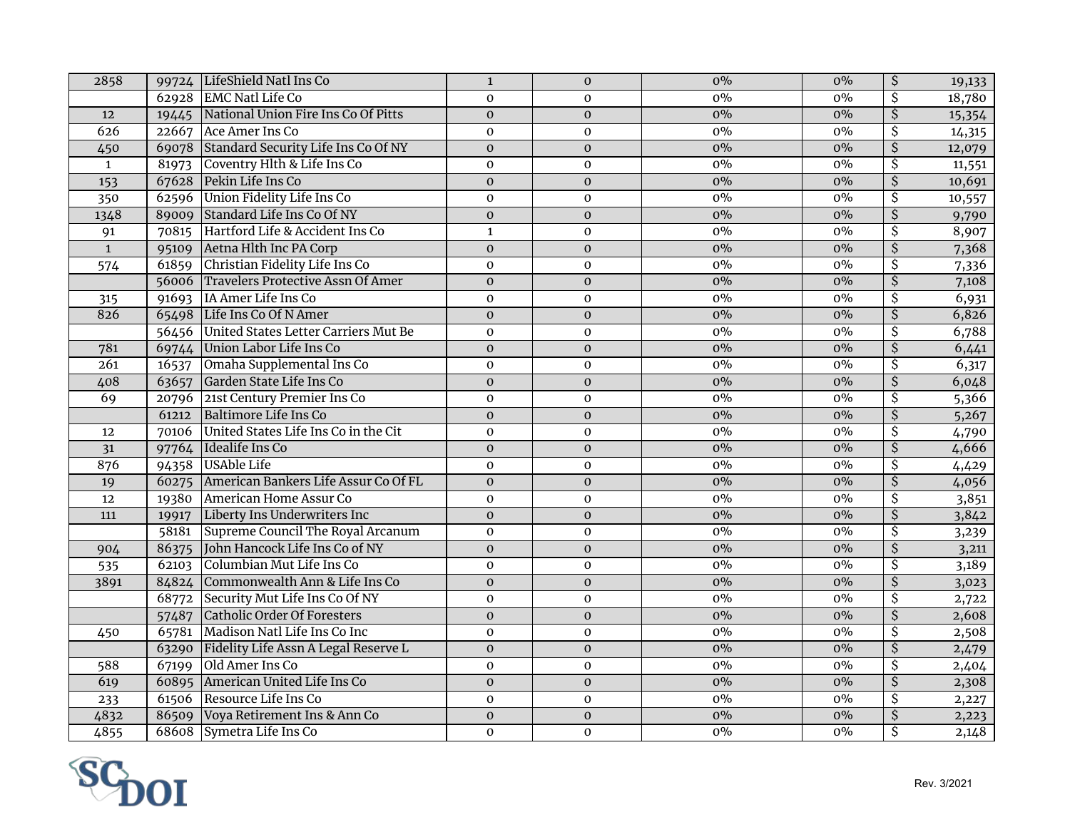| 2858             |       | 99724 LifeShield Natl Ins Co               | $\mathbf 1$    | $\boldsymbol{0}$ | $0\%$ | $0\%$ | $\overline{\mathcal{S}}$ | 19,133 |
|------------------|-------|--------------------------------------------|----------------|------------------|-------|-------|--------------------------|--------|
|                  |       | 62928 EMC Natl Life Co                     | $\Omega$       | $\Omega$         | 0%    | $0\%$ | $\overline{\mathsf{S}}$  | 18,780 |
| 12               |       | 19445 National Union Fire Ins Co Of Pitts  | $\mathbf{0}$   | $\boldsymbol{0}$ | $0\%$ | $0\%$ | $\overline{\mathcal{S}}$ | 15,354 |
| 626              |       | 22667 Ace Amer Ins Co                      | $\mathbf 0$    | $\mathbf 0$      | $0\%$ | $0\%$ | $\overline{\mathcal{S}}$ | 14,315 |
| 450              |       | 69078 Standard Security Life Ins Co Of NY  | $\mathbf 0$    | $\boldsymbol{0}$ | $0\%$ | $0\%$ | $\overline{\mathcal{S}}$ | 12,079 |
| $\mathbf{1}$     | 81973 | Coventry Hlth & Life Ins Co                | $\mathbf 0$    | $\mathbf{O}$     | $0\%$ | $0\%$ | $\overline{\mathcal{S}}$ | 11,551 |
| 153              |       | 67628 Pekin Life Ins Co                    | $\mathbf{0}$   | $\mathbf{O}$     | $0\%$ | $0\%$ | $\overline{\mathcal{S}}$ | 10,691 |
| 350              |       | 62596 Union Fidelity Life Ins Co           | $\mathbf 0$    | $\pmb{0}$        | $0\%$ | $0\%$ | $\overline{\mathcal{S}}$ | 10,557 |
| 1348             |       | 89009 Standard Life Ins Co Of NY           | $\mathbf 0$    | $\boldsymbol{0}$ | $0\%$ | $0\%$ | $\overline{\xi}$         | 9,790  |
| $\overline{91}$  |       | 70815 Hartford Life & Accident Ins Co      | $\mathbf{1}$   | $\mathbf 0$      | $0\%$ | 0%    | \$                       | 8,907  |
| $\mathbf{1}$     |       | 95109 Aetna Hlth Inc PA Corp               | $\mathbf{O}$   | $\boldsymbol{0}$ | $0\%$ | $0\%$ | $\overline{\mathsf{S}}$  | 7,368  |
| $\overline{574}$ | 61859 | Christian Fidelity Life Ins Co             | $\mathbf{0}$   | $\mathbf{O}$     | $0\%$ | $0\%$ | \$                       | 7,336  |
|                  |       | 56006 Travelers Protective Assn Of Amer    | $\mathbf 0$    | $\boldsymbol{0}$ | $0\%$ | $0\%$ | $\overline{\mathcal{S}}$ | 7,108  |
| 315              | 91693 | IA Amer Life Ins Co                        | $\mathbf{O}$   | $\mathbf{O}$     | $0\%$ | 0%    | \$                       | 6,931  |
| 826              |       | 65498 Life Ins Co Of N Amer                | $\mathbf 0$    | $\mathbf{O}$     | $0\%$ | $0\%$ | $\overline{\mathsf{S}}$  | 6,826  |
|                  |       | 56456 United States Letter Carriers Mut Be | $\mathbf 0$    | $\mathbf 0$      | $0\%$ | $0\%$ | \$                       | 6,788  |
| 781              |       | 69744 Union Labor Life Ins Co              | $\overline{0}$ | $\boldsymbol{0}$ | $0\%$ | $0\%$ | $\overline{\mathsf{S}}$  | 6,441  |
| $\overline{261}$ | 16537 | Omaha Supplemental Ins Co                  | $\mathbf 0$    | $\mathbf 0$      | 0%    | $0\%$ | $\overline{\mathcal{S}}$ | 6,317  |
| 408              | 63657 | Garden State Life Ins Co                   | $\mathbf{0}$   | $\mathbf 0$      | $0\%$ | $0\%$ | $\overline{\mathsf{S}}$  | 6,048  |
| 69               | 20796 | 21st Century Premier Ins Co                | $\mathbf 0$    | $\mathbf 0$      | $0\%$ | $0\%$ | $\overline{\mathcal{S}}$ | 5,366  |
|                  | 61212 | <b>Baltimore Life Ins Co</b>               | $\mathbf{0}$   | $\mathbf{O}$     | $0\%$ | $0\%$ | $\overline{\mathsf{S}}$  | 5,267  |
| 12               | 70106 | United States Life Ins Co in the Cit       | $\mathbf{0}$   | $\mathbf{O}$     | $0\%$ | $0\%$ | $\overline{\mathcal{S}}$ | 4,790  |
| 31               | 97764 | Idealife Ins Co                            | $\mathbf 0$    | $\mathbf{O}$     | $0\%$ | $0\%$ | $\overline{\xi}$         | 4,666  |
| 876              | 94358 | USAble Life                                | $\mathbf 0$    | $\mathbf{O}$     | $0\%$ | $0\%$ | $\overline{\mathcal{S}}$ | 4,429  |
| 19               | 60275 | American Bankers Life Assur Co Of FL       | $\overline{0}$ | $\mathbf 0$      | $0\%$ | $0\%$ | $\overline{\xi}$         | 4,056  |
| 12               | 19380 | American Home Assur Co                     | $\mathbf{0}$   | $\mathbf{O}$     | $0\%$ | $0\%$ | $\overline{\mathcal{S}}$ | 3,851  |
| 111              | 19917 | Liberty Ins Underwriters Inc               | $\mathbf{0}$   | $\mathbf 0$      | $0\%$ | $0\%$ | $\overline{\mathsf{S}}$  | 3,842  |
|                  | 58181 | Supreme Council The Royal Arcanum          | $\mathbf{O}$   | $\mathbf{O}$     | $0\%$ | $0\%$ | $\overline{\mathcal{S}}$ | 3,239  |
| 904              | 86375 | John Hancock Life Ins Co of NY             | $\overline{0}$ | $\mathbf{O}$     | $0\%$ | $0\%$ | $\overline{\mathsf{S}}$  | 3,211  |
| 535              | 62103 | Columbian Mut Life Ins Co                  | $\mathbf{0}$   | $\mathbf{O}$     | $0\%$ | $0\%$ | $\overline{\mathcal{S}}$ | 3,189  |
| 3891             | 84824 | Commonwealth Ann & Life Ins Co             | $\mathbf{0}$   | $\mathbf{O}$     | $0\%$ | $0\%$ | $\overline{\xi}$         | 3,023  |
|                  | 68772 | Security Mut Life Ins Co Of NY             | $\mathbf 0$    | $\boldsymbol{0}$ | $0\%$ | $0\%$ | $\overline{\mathcal{S}}$ | 2,722  |
|                  | 57487 | Catholic Order Of Foresters                | $\overline{0}$ | $\mathbf 0$      | $0\%$ | $0\%$ | $\overline{\mathsf{S}}$  | 2,608  |
| 450              | 65781 | Madison Natl Life Ins Co Inc               | $\mathbf{0}$   | $\boldsymbol{0}$ | $0\%$ | $0\%$ | $\overline{\mathcal{S}}$ | 2,508  |
|                  | 63290 | Fidelity Life Assn A Legal Reserve L       | $\mathbf{0}$   | $\mathbf 0$      | 0%    | $0\%$ | $\overline{\mathsf{S}}$  | 2,479  |
| 588              | 67199 | Old Amer Ins Co                            | $\mathbf{0}$   | $\boldsymbol{0}$ | $0\%$ | $0\%$ | \$                       | 2,404  |
| 619              | 60895 | American United Life Ins Co                | $\mathbf 0$    | $\boldsymbol{0}$ | $0\%$ | $0\%$ | $\overline{\mathsf{S}}$  | 2,308  |
| 233              |       | 61506 Resource Life Ins Co                 | $\mathbf 0$    | $\boldsymbol{0}$ | $0\%$ | $0\%$ | \$                       | 2,227  |
| 4832             |       | 86509 Voya Retirement Ins & Ann Co         | $\mathbf{O}$   | $\mathbf 0$      | $0\%$ | $0\%$ | $\overline{\mathcal{S}}$ | 2,223  |
| 4855             |       | 68608 Symetra Life Ins Co                  | $\mathbf{O}$   | $\mathbf{0}$     | $0\%$ | $0\%$ | \$                       | 2,148  |

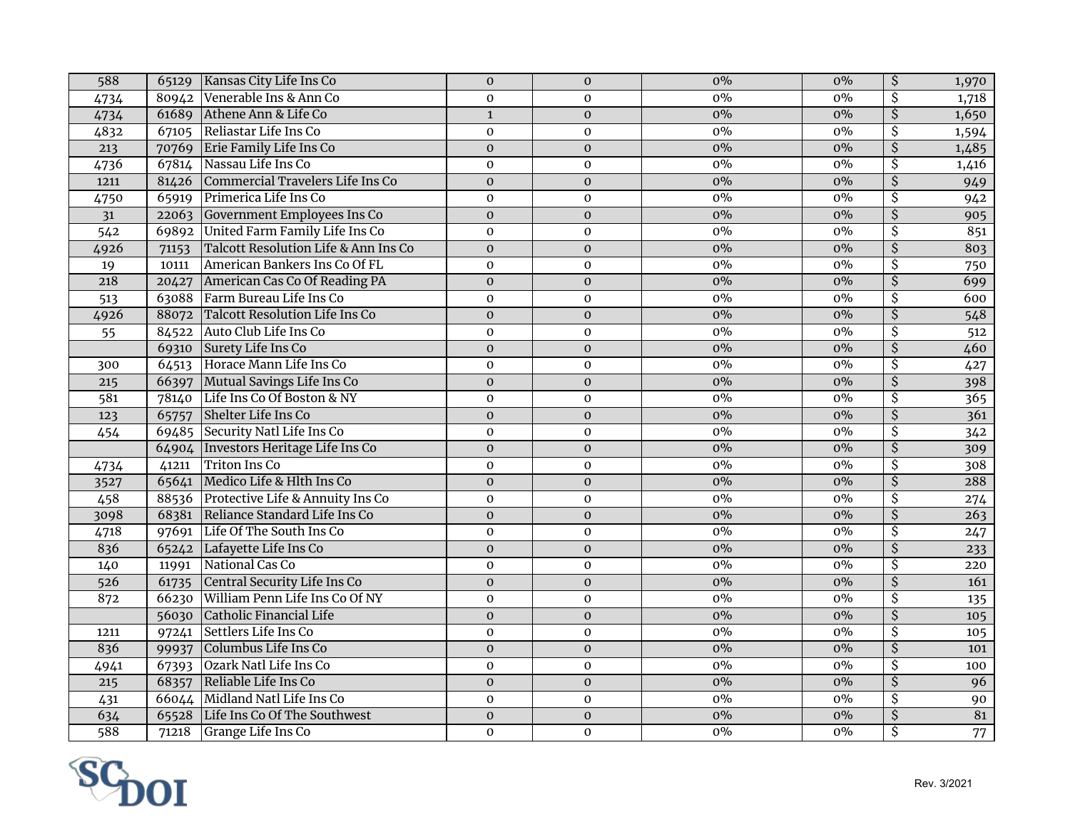| 80942 Venerable Ins & Ann Co<br>$0\%$<br>\$<br>$0\%$<br>1,718<br>$\mathbf 0$<br>$\mathbf 0$<br>4734<br>61689 Athene Ann & Life Co<br>$\overline{\mathsf{S}}$<br>$0\%$<br>$0\%$<br>4734<br>$\mathbf{1}$<br>$\mathbf 0$<br>67105 Reliastar Life Ins Co<br>$\overline{\mathcal{S}}$<br>4832<br>$\mathbf 0$<br>$0\%$<br>$0\%$<br>$\mathbf{0}$<br>$\overline{\mathcal{S}}$<br>70769 Erie Family Life Ins Co<br>$0\%$<br>213<br>$\mathbf 0$<br>$0\%$<br>1,485<br>$\mathbf 0$<br>Nassau Life Ins Co<br>$0\%$<br>\$<br>4736<br>67814<br>$0\%$<br>1,416<br>0<br>$\mathbf 0$<br>$0\%$<br>$\overline{\mathcal{S}}$<br>Commercial Travelers Life Ins Co<br>$0\%$<br>1211<br>$\mathbf 0$<br>$\mathbf 0$<br>81426<br>949<br>Primerica Life Ins Co<br>$0\%$<br>$\overline{\mathcal{S}}$<br>$0\%$<br>0<br>$\mathbf 0$<br>942<br>4750<br>65919<br>\$<br>Government Employees Ins Co<br>$0\%$<br>$0\%$<br>905<br>31<br>22063<br>$\mathbf{O}$<br>$\mathbf{0}$<br>United Farm Family Life Ins Co<br>\$<br>851<br>542<br>$0\%$<br>$0\%$<br>69892<br>$\mathbf 0$<br>$\mathbf 0$<br>$\overline{\mathsf{S}}$<br>Talcott Resolution Life & Ann Ins Co<br>803<br>4926<br>$\mathbf 0$<br>$\mathbf{O}$<br>$0\%$<br>$0\%$<br>71153<br>American Bankers Ins Co Of FL<br>\$<br>$0\%$<br>$0\%$<br>$\mathbf 0$<br>750<br>19<br>10111<br>$\mathbf 0$<br>$0\%$<br>$\overline{\mathsf{S}}$<br>218<br>American Cas Co Of Reading PA<br>$\overline{\mathbf{0}}$<br>$0\%$<br>699<br>$\mathbf 0$<br>20427<br>63088 Farm Bureau Life Ins Co<br>\$<br>$0\%$<br>$0\%$<br>600<br>$\mathbf 0$<br>513<br>$\mathbf{O}$<br>88072 Talcott Resolution Life Ins Co<br>$\overline{\mathsf{S}}$<br>$0\%$<br>$0\%$<br>548<br>4926<br>$\mathbf{O}$<br>$\mathbf{0}$<br>\$<br>84522 Auto Club Life Ins Co<br>$0\%$<br>$\pmb{0}$<br>$0\%$<br>$\overline{512}$<br>55<br>$\mathbf 0$<br>69310 Surety Life Ins Co<br>$\zeta$<br>$\mathbf 0$<br>$0\%$<br>$0\%$<br>460<br>$\mathbf 0$<br>64513 Horace Mann Life Ins Co<br>\$<br>$0\%$<br>$0\%$<br>0<br>$\mathbf{O}$<br>427<br>300<br>$\overline{\mathcal{S}}$<br>66397 Mutual Savings Life Ins Co<br>$0\%$<br>$0\%$<br>398<br>$\mathbf 0$<br>$\boldsymbol{0}$<br>215<br>Life Ins Co Of Boston & NY<br>\$<br>$0\%$<br>$\overline{581}$<br>$0\%$<br>365<br>78140<br>$\mathbf 0$<br>$\boldsymbol{0}$<br>65757 Shelter Life Ins Co<br>$\overline{\mathcal{S}}$<br>$0\%$<br>$0\%$<br>361<br>123<br>$\mathbf{0}$<br>$\mathbf{0}$<br>\$<br>69485 Security Natl Life Ins Co<br>$0\%$<br>$0\%$<br>342<br>454<br>0<br>$\mathbf 0$<br>$\overline{\mathsf{S}}$<br>64904   Investors Heritage Life Ins Co<br>$0\%$<br>$0\%$<br>$\mathbf{0}$<br>309<br>$\mathbf{0}$<br><b>Triton Ins Co</b><br>\$<br>$0\%$<br>41211<br>$0\%$<br>308<br>4734<br>$\mathbf 0$<br>$\mathbf 0$<br>$\overline{\mathsf{S}}$<br>65641 Medico Life & Hlth Ins Co<br>$0\%$<br>$0\%$<br>288<br>$\mathbf 0$<br>$\mathbf 0$<br>3527<br>458<br>88536 Protective Life & Annuity Ins Co<br>$0\%$<br>$0\%$<br>\$<br>$\mathbf 0$<br>$\mathbf 0$<br>274<br>68381 Reliance Standard Life Ins Co<br>$0\%$<br>$\overline{\mathsf{S}}$<br>$0\%$<br>3098<br>$\mathbf 0$<br>$\mathbf 0$<br>263<br>\$<br>97691 Life Of The South Ins Co<br>$0\%$<br>4718<br>$\pmb{0}$<br>$\mathbf 0$<br>$0\%$<br>247<br>$\overline{\mathsf{S}}$<br>836<br>65242 Lafayette Life Ins Co<br>$\mathbf 0$<br>$0\%$<br>$0\%$<br>$\mathbf 0$<br>233<br>National Cas Co<br>\$<br>$0\%$<br>140<br>$0\%$<br>11991<br>$\pmb{0}$<br>$\pmb{0}$<br>220<br>$\overline{\mathsf{S}}$<br>Central Security Life Ins Co<br>$0\%$<br>$0\%$<br>526<br>$\mathbf 0$<br>$\mathbf 0$<br>161<br>61735<br>66230 William Penn Life Ins Co Of NY<br>\$<br>$0\%$<br>$0\%$<br>872<br>$\mathbf 0$<br>$\mathbf 0$<br>135<br>$\overline{\mathcal{S}}$<br>$0\%$<br>56030 Catholic Financial Life<br>$0\%$<br>$\mathbf{0}$<br>$\mathbf 0$<br>105<br>\$<br>97241 Settlers Life Ins Co<br>$0\%$<br>$0\%$<br>0<br>$\mathbf 0$<br>1211<br>105<br>99937 Columbus Life Ins Co<br>$\overline{\mathsf{S}}$<br>836<br>$0\%$<br>$0\%$<br>$\mathbf 0$<br>$\mathbf{O}$<br>101<br>67393 Ozark Natl Life Ins Co<br>\$<br>$0\%$<br>$0\%$<br>4941<br>$\mathbf 0$<br>$\mathbf 0$<br>100<br>\$<br>68357 Reliable Life Ins Co<br>$0\%$<br>$0\%$<br>96<br>215<br>$\mathbf 0$<br>$\mathbf{O}$<br>66044 Midland Natl Life Ins Co<br>\$<br>$0\%$<br>$0\%$<br>431<br>0<br>$\mathbf 0$<br>90<br>81<br>65528 Life Ins Co Of The Southwest<br>$0\%$<br>$\overline{\mathsf{S}}$<br>634<br>$\overline{0}$<br>$\overline{0}$<br>$0\%$<br>$\overline{\mathsf{S}}$<br>588<br>Grange Life Ins Co<br>$\mathbf 0$<br>$0\%$<br>$0\%$<br>71218<br>$\mathbf{O}$ | 588 | 65129 Kansas City Life Ins Co | $\mathbf 0$ | $\mathbf 0$ | $0\%$ | $0\%$ | $\overline{\mathcal{S}}$ | 1,970 |
|-----------------------------------------------------------------------------------------------------------------------------------------------------------------------------------------------------------------------------------------------------------------------------------------------------------------------------------------------------------------------------------------------------------------------------------------------------------------------------------------------------------------------------------------------------------------------------------------------------------------------------------------------------------------------------------------------------------------------------------------------------------------------------------------------------------------------------------------------------------------------------------------------------------------------------------------------------------------------------------------------------------------------------------------------------------------------------------------------------------------------------------------------------------------------------------------------------------------------------------------------------------------------------------------------------------------------------------------------------------------------------------------------------------------------------------------------------------------------------------------------------------------------------------------------------------------------------------------------------------------------------------------------------------------------------------------------------------------------------------------------------------------------------------------------------------------------------------------------------------------------------------------------------------------------------------------------------------------------------------------------------------------------------------------------------------------------------------------------------------------------------------------------------------------------------------------------------------------------------------------------------------------------------------------------------------------------------------------------------------------------------------------------------------------------------------------------------------------------------------------------------------------------------------------------------------------------------------------------------------------------------------------------------------------------------------------------------------------------------------------------------------------------------------------------------------------------------------------------------------------------------------------------------------------------------------------------------------------------------------------------------------------------------------------------------------------------------------------------------------------------------------------------------------------------------------------------------------------------------------------------------------------------------------------------------------------------------------------------------------------------------------------------------------------------------------------------------------------------------------------------------------------------------------------------------------------------------------------------------------------------------------------------------------------------------------------------------------------------------------------------------------------------------------------------------------------------------------------------------------------------------------------------------------------------------------------------------------------------------------------------------------------------------------------------------------------------------------------------------------------------------------------------------------------------------------------------------------------------------------------------------------------------------------------------------------------------------------------------------------------------------------------------------------------------------------------------------------------------------------------------------------------------------------------------------------------------------------------------|-----|-------------------------------|-------------|-------------|-------|-------|--------------------------|-------|
| 1,650                                                                                                                                                                                                                                                                                                                                                                                                                                                                                                                                                                                                                                                                                                                                                                                                                                                                                                                                                                                                                                                                                                                                                                                                                                                                                                                                                                                                                                                                                                                                                                                                                                                                                                                                                                                                                                                                                                                                                                                                                                                                                                                                                                                                                                                                                                                                                                                                                                                                                                                                                                                                                                                                                                                                                                                                                                                                                                                                                                                                                                                                                                                                                                                                                                                                                                                                                                                                                                                                                                                                                                                                                                                                                                                                                                                                                                                                                                                                                                                                                                                                                                                                                                                                                                                                                                                                                                                                                                                                                                                                                                                         |     |                               |             |             |       |       |                          |       |
| 1,594<br>77                                                                                                                                                                                                                                                                                                                                                                                                                                                                                                                                                                                                                                                                                                                                                                                                                                                                                                                                                                                                                                                                                                                                                                                                                                                                                                                                                                                                                                                                                                                                                                                                                                                                                                                                                                                                                                                                                                                                                                                                                                                                                                                                                                                                                                                                                                                                                                                                                                                                                                                                                                                                                                                                                                                                                                                                                                                                                                                                                                                                                                                                                                                                                                                                                                                                                                                                                                                                                                                                                                                                                                                                                                                                                                                                                                                                                                                                                                                                                                                                                                                                                                                                                                                                                                                                                                                                                                                                                                                                                                                                                                                   |     |                               |             |             |       |       |                          |       |
|                                                                                                                                                                                                                                                                                                                                                                                                                                                                                                                                                                                                                                                                                                                                                                                                                                                                                                                                                                                                                                                                                                                                                                                                                                                                                                                                                                                                                                                                                                                                                                                                                                                                                                                                                                                                                                                                                                                                                                                                                                                                                                                                                                                                                                                                                                                                                                                                                                                                                                                                                                                                                                                                                                                                                                                                                                                                                                                                                                                                                                                                                                                                                                                                                                                                                                                                                                                                                                                                                                                                                                                                                                                                                                                                                                                                                                                                                                                                                                                                                                                                                                                                                                                                                                                                                                                                                                                                                                                                                                                                                                                               |     |                               |             |             |       |       |                          |       |
|                                                                                                                                                                                                                                                                                                                                                                                                                                                                                                                                                                                                                                                                                                                                                                                                                                                                                                                                                                                                                                                                                                                                                                                                                                                                                                                                                                                                                                                                                                                                                                                                                                                                                                                                                                                                                                                                                                                                                                                                                                                                                                                                                                                                                                                                                                                                                                                                                                                                                                                                                                                                                                                                                                                                                                                                                                                                                                                                                                                                                                                                                                                                                                                                                                                                                                                                                                                                                                                                                                                                                                                                                                                                                                                                                                                                                                                                                                                                                                                                                                                                                                                                                                                                                                                                                                                                                                                                                                                                                                                                                                                               |     |                               |             |             |       |       |                          |       |
|                                                                                                                                                                                                                                                                                                                                                                                                                                                                                                                                                                                                                                                                                                                                                                                                                                                                                                                                                                                                                                                                                                                                                                                                                                                                                                                                                                                                                                                                                                                                                                                                                                                                                                                                                                                                                                                                                                                                                                                                                                                                                                                                                                                                                                                                                                                                                                                                                                                                                                                                                                                                                                                                                                                                                                                                                                                                                                                                                                                                                                                                                                                                                                                                                                                                                                                                                                                                                                                                                                                                                                                                                                                                                                                                                                                                                                                                                                                                                                                                                                                                                                                                                                                                                                                                                                                                                                                                                                                                                                                                                                                               |     |                               |             |             |       |       |                          |       |
|                                                                                                                                                                                                                                                                                                                                                                                                                                                                                                                                                                                                                                                                                                                                                                                                                                                                                                                                                                                                                                                                                                                                                                                                                                                                                                                                                                                                                                                                                                                                                                                                                                                                                                                                                                                                                                                                                                                                                                                                                                                                                                                                                                                                                                                                                                                                                                                                                                                                                                                                                                                                                                                                                                                                                                                                                                                                                                                                                                                                                                                                                                                                                                                                                                                                                                                                                                                                                                                                                                                                                                                                                                                                                                                                                                                                                                                                                                                                                                                                                                                                                                                                                                                                                                                                                                                                                                                                                                                                                                                                                                                               |     |                               |             |             |       |       |                          |       |
|                                                                                                                                                                                                                                                                                                                                                                                                                                                                                                                                                                                                                                                                                                                                                                                                                                                                                                                                                                                                                                                                                                                                                                                                                                                                                                                                                                                                                                                                                                                                                                                                                                                                                                                                                                                                                                                                                                                                                                                                                                                                                                                                                                                                                                                                                                                                                                                                                                                                                                                                                                                                                                                                                                                                                                                                                                                                                                                                                                                                                                                                                                                                                                                                                                                                                                                                                                                                                                                                                                                                                                                                                                                                                                                                                                                                                                                                                                                                                                                                                                                                                                                                                                                                                                                                                                                                                                                                                                                                                                                                                                                               |     |                               |             |             |       |       |                          |       |
|                                                                                                                                                                                                                                                                                                                                                                                                                                                                                                                                                                                                                                                                                                                                                                                                                                                                                                                                                                                                                                                                                                                                                                                                                                                                                                                                                                                                                                                                                                                                                                                                                                                                                                                                                                                                                                                                                                                                                                                                                                                                                                                                                                                                                                                                                                                                                                                                                                                                                                                                                                                                                                                                                                                                                                                                                                                                                                                                                                                                                                                                                                                                                                                                                                                                                                                                                                                                                                                                                                                                                                                                                                                                                                                                                                                                                                                                                                                                                                                                                                                                                                                                                                                                                                                                                                                                                                                                                                                                                                                                                                                               |     |                               |             |             |       |       |                          |       |
|                                                                                                                                                                                                                                                                                                                                                                                                                                                                                                                                                                                                                                                                                                                                                                                                                                                                                                                                                                                                                                                                                                                                                                                                                                                                                                                                                                                                                                                                                                                                                                                                                                                                                                                                                                                                                                                                                                                                                                                                                                                                                                                                                                                                                                                                                                                                                                                                                                                                                                                                                                                                                                                                                                                                                                                                                                                                                                                                                                                                                                                                                                                                                                                                                                                                                                                                                                                                                                                                                                                                                                                                                                                                                                                                                                                                                                                                                                                                                                                                                                                                                                                                                                                                                                                                                                                                                                                                                                                                                                                                                                                               |     |                               |             |             |       |       |                          |       |
|                                                                                                                                                                                                                                                                                                                                                                                                                                                                                                                                                                                                                                                                                                                                                                                                                                                                                                                                                                                                                                                                                                                                                                                                                                                                                                                                                                                                                                                                                                                                                                                                                                                                                                                                                                                                                                                                                                                                                                                                                                                                                                                                                                                                                                                                                                                                                                                                                                                                                                                                                                                                                                                                                                                                                                                                                                                                                                                                                                                                                                                                                                                                                                                                                                                                                                                                                                                                                                                                                                                                                                                                                                                                                                                                                                                                                                                                                                                                                                                                                                                                                                                                                                                                                                                                                                                                                                                                                                                                                                                                                                                               |     |                               |             |             |       |       |                          |       |
|                                                                                                                                                                                                                                                                                                                                                                                                                                                                                                                                                                                                                                                                                                                                                                                                                                                                                                                                                                                                                                                                                                                                                                                                                                                                                                                                                                                                                                                                                                                                                                                                                                                                                                                                                                                                                                                                                                                                                                                                                                                                                                                                                                                                                                                                                                                                                                                                                                                                                                                                                                                                                                                                                                                                                                                                                                                                                                                                                                                                                                                                                                                                                                                                                                                                                                                                                                                                                                                                                                                                                                                                                                                                                                                                                                                                                                                                                                                                                                                                                                                                                                                                                                                                                                                                                                                                                                                                                                                                                                                                                                                               |     |                               |             |             |       |       |                          |       |
|                                                                                                                                                                                                                                                                                                                                                                                                                                                                                                                                                                                                                                                                                                                                                                                                                                                                                                                                                                                                                                                                                                                                                                                                                                                                                                                                                                                                                                                                                                                                                                                                                                                                                                                                                                                                                                                                                                                                                                                                                                                                                                                                                                                                                                                                                                                                                                                                                                                                                                                                                                                                                                                                                                                                                                                                                                                                                                                                                                                                                                                                                                                                                                                                                                                                                                                                                                                                                                                                                                                                                                                                                                                                                                                                                                                                                                                                                                                                                                                                                                                                                                                                                                                                                                                                                                                                                                                                                                                                                                                                                                                               |     |                               |             |             |       |       |                          |       |
|                                                                                                                                                                                                                                                                                                                                                                                                                                                                                                                                                                                                                                                                                                                                                                                                                                                                                                                                                                                                                                                                                                                                                                                                                                                                                                                                                                                                                                                                                                                                                                                                                                                                                                                                                                                                                                                                                                                                                                                                                                                                                                                                                                                                                                                                                                                                                                                                                                                                                                                                                                                                                                                                                                                                                                                                                                                                                                                                                                                                                                                                                                                                                                                                                                                                                                                                                                                                                                                                                                                                                                                                                                                                                                                                                                                                                                                                                                                                                                                                                                                                                                                                                                                                                                                                                                                                                                                                                                                                                                                                                                                               |     |                               |             |             |       |       |                          |       |
|                                                                                                                                                                                                                                                                                                                                                                                                                                                                                                                                                                                                                                                                                                                                                                                                                                                                                                                                                                                                                                                                                                                                                                                                                                                                                                                                                                                                                                                                                                                                                                                                                                                                                                                                                                                                                                                                                                                                                                                                                                                                                                                                                                                                                                                                                                                                                                                                                                                                                                                                                                                                                                                                                                                                                                                                                                                                                                                                                                                                                                                                                                                                                                                                                                                                                                                                                                                                                                                                                                                                                                                                                                                                                                                                                                                                                                                                                                                                                                                                                                                                                                                                                                                                                                                                                                                                                                                                                                                                                                                                                                                               |     |                               |             |             |       |       |                          |       |
|                                                                                                                                                                                                                                                                                                                                                                                                                                                                                                                                                                                                                                                                                                                                                                                                                                                                                                                                                                                                                                                                                                                                                                                                                                                                                                                                                                                                                                                                                                                                                                                                                                                                                                                                                                                                                                                                                                                                                                                                                                                                                                                                                                                                                                                                                                                                                                                                                                                                                                                                                                                                                                                                                                                                                                                                                                                                                                                                                                                                                                                                                                                                                                                                                                                                                                                                                                                                                                                                                                                                                                                                                                                                                                                                                                                                                                                                                                                                                                                                                                                                                                                                                                                                                                                                                                                                                                                                                                                                                                                                                                                               |     |                               |             |             |       |       |                          |       |
|                                                                                                                                                                                                                                                                                                                                                                                                                                                                                                                                                                                                                                                                                                                                                                                                                                                                                                                                                                                                                                                                                                                                                                                                                                                                                                                                                                                                                                                                                                                                                                                                                                                                                                                                                                                                                                                                                                                                                                                                                                                                                                                                                                                                                                                                                                                                                                                                                                                                                                                                                                                                                                                                                                                                                                                                                                                                                                                                                                                                                                                                                                                                                                                                                                                                                                                                                                                                                                                                                                                                                                                                                                                                                                                                                                                                                                                                                                                                                                                                                                                                                                                                                                                                                                                                                                                                                                                                                                                                                                                                                                                               |     |                               |             |             |       |       |                          |       |
|                                                                                                                                                                                                                                                                                                                                                                                                                                                                                                                                                                                                                                                                                                                                                                                                                                                                                                                                                                                                                                                                                                                                                                                                                                                                                                                                                                                                                                                                                                                                                                                                                                                                                                                                                                                                                                                                                                                                                                                                                                                                                                                                                                                                                                                                                                                                                                                                                                                                                                                                                                                                                                                                                                                                                                                                                                                                                                                                                                                                                                                                                                                                                                                                                                                                                                                                                                                                                                                                                                                                                                                                                                                                                                                                                                                                                                                                                                                                                                                                                                                                                                                                                                                                                                                                                                                                                                                                                                                                                                                                                                                               |     |                               |             |             |       |       |                          |       |
|                                                                                                                                                                                                                                                                                                                                                                                                                                                                                                                                                                                                                                                                                                                                                                                                                                                                                                                                                                                                                                                                                                                                                                                                                                                                                                                                                                                                                                                                                                                                                                                                                                                                                                                                                                                                                                                                                                                                                                                                                                                                                                                                                                                                                                                                                                                                                                                                                                                                                                                                                                                                                                                                                                                                                                                                                                                                                                                                                                                                                                                                                                                                                                                                                                                                                                                                                                                                                                                                                                                                                                                                                                                                                                                                                                                                                                                                                                                                                                                                                                                                                                                                                                                                                                                                                                                                                                                                                                                                                                                                                                                               |     |                               |             |             |       |       |                          |       |
|                                                                                                                                                                                                                                                                                                                                                                                                                                                                                                                                                                                                                                                                                                                                                                                                                                                                                                                                                                                                                                                                                                                                                                                                                                                                                                                                                                                                                                                                                                                                                                                                                                                                                                                                                                                                                                                                                                                                                                                                                                                                                                                                                                                                                                                                                                                                                                                                                                                                                                                                                                                                                                                                                                                                                                                                                                                                                                                                                                                                                                                                                                                                                                                                                                                                                                                                                                                                                                                                                                                                                                                                                                                                                                                                                                                                                                                                                                                                                                                                                                                                                                                                                                                                                                                                                                                                                                                                                                                                                                                                                                                               |     |                               |             |             |       |       |                          |       |
|                                                                                                                                                                                                                                                                                                                                                                                                                                                                                                                                                                                                                                                                                                                                                                                                                                                                                                                                                                                                                                                                                                                                                                                                                                                                                                                                                                                                                                                                                                                                                                                                                                                                                                                                                                                                                                                                                                                                                                                                                                                                                                                                                                                                                                                                                                                                                                                                                                                                                                                                                                                                                                                                                                                                                                                                                                                                                                                                                                                                                                                                                                                                                                                                                                                                                                                                                                                                                                                                                                                                                                                                                                                                                                                                                                                                                                                                                                                                                                                                                                                                                                                                                                                                                                                                                                                                                                                                                                                                                                                                                                                               |     |                               |             |             |       |       |                          |       |
|                                                                                                                                                                                                                                                                                                                                                                                                                                                                                                                                                                                                                                                                                                                                                                                                                                                                                                                                                                                                                                                                                                                                                                                                                                                                                                                                                                                                                                                                                                                                                                                                                                                                                                                                                                                                                                                                                                                                                                                                                                                                                                                                                                                                                                                                                                                                                                                                                                                                                                                                                                                                                                                                                                                                                                                                                                                                                                                                                                                                                                                                                                                                                                                                                                                                                                                                                                                                                                                                                                                                                                                                                                                                                                                                                                                                                                                                                                                                                                                                                                                                                                                                                                                                                                                                                                                                                                                                                                                                                                                                                                                               |     |                               |             |             |       |       |                          |       |
|                                                                                                                                                                                                                                                                                                                                                                                                                                                                                                                                                                                                                                                                                                                                                                                                                                                                                                                                                                                                                                                                                                                                                                                                                                                                                                                                                                                                                                                                                                                                                                                                                                                                                                                                                                                                                                                                                                                                                                                                                                                                                                                                                                                                                                                                                                                                                                                                                                                                                                                                                                                                                                                                                                                                                                                                                                                                                                                                                                                                                                                                                                                                                                                                                                                                                                                                                                                                                                                                                                                                                                                                                                                                                                                                                                                                                                                                                                                                                                                                                                                                                                                                                                                                                                                                                                                                                                                                                                                                                                                                                                                               |     |                               |             |             |       |       |                          |       |
|                                                                                                                                                                                                                                                                                                                                                                                                                                                                                                                                                                                                                                                                                                                                                                                                                                                                                                                                                                                                                                                                                                                                                                                                                                                                                                                                                                                                                                                                                                                                                                                                                                                                                                                                                                                                                                                                                                                                                                                                                                                                                                                                                                                                                                                                                                                                                                                                                                                                                                                                                                                                                                                                                                                                                                                                                                                                                                                                                                                                                                                                                                                                                                                                                                                                                                                                                                                                                                                                                                                                                                                                                                                                                                                                                                                                                                                                                                                                                                                                                                                                                                                                                                                                                                                                                                                                                                                                                                                                                                                                                                                               |     |                               |             |             |       |       |                          |       |
|                                                                                                                                                                                                                                                                                                                                                                                                                                                                                                                                                                                                                                                                                                                                                                                                                                                                                                                                                                                                                                                                                                                                                                                                                                                                                                                                                                                                                                                                                                                                                                                                                                                                                                                                                                                                                                                                                                                                                                                                                                                                                                                                                                                                                                                                                                                                                                                                                                                                                                                                                                                                                                                                                                                                                                                                                                                                                                                                                                                                                                                                                                                                                                                                                                                                                                                                                                                                                                                                                                                                                                                                                                                                                                                                                                                                                                                                                                                                                                                                                                                                                                                                                                                                                                                                                                                                                                                                                                                                                                                                                                                               |     |                               |             |             |       |       |                          |       |
|                                                                                                                                                                                                                                                                                                                                                                                                                                                                                                                                                                                                                                                                                                                                                                                                                                                                                                                                                                                                                                                                                                                                                                                                                                                                                                                                                                                                                                                                                                                                                                                                                                                                                                                                                                                                                                                                                                                                                                                                                                                                                                                                                                                                                                                                                                                                                                                                                                                                                                                                                                                                                                                                                                                                                                                                                                                                                                                                                                                                                                                                                                                                                                                                                                                                                                                                                                                                                                                                                                                                                                                                                                                                                                                                                                                                                                                                                                                                                                                                                                                                                                                                                                                                                                                                                                                                                                                                                                                                                                                                                                                               |     |                               |             |             |       |       |                          |       |
|                                                                                                                                                                                                                                                                                                                                                                                                                                                                                                                                                                                                                                                                                                                                                                                                                                                                                                                                                                                                                                                                                                                                                                                                                                                                                                                                                                                                                                                                                                                                                                                                                                                                                                                                                                                                                                                                                                                                                                                                                                                                                                                                                                                                                                                                                                                                                                                                                                                                                                                                                                                                                                                                                                                                                                                                                                                                                                                                                                                                                                                                                                                                                                                                                                                                                                                                                                                                                                                                                                                                                                                                                                                                                                                                                                                                                                                                                                                                                                                                                                                                                                                                                                                                                                                                                                                                                                                                                                                                                                                                                                                               |     |                               |             |             |       |       |                          |       |
|                                                                                                                                                                                                                                                                                                                                                                                                                                                                                                                                                                                                                                                                                                                                                                                                                                                                                                                                                                                                                                                                                                                                                                                                                                                                                                                                                                                                                                                                                                                                                                                                                                                                                                                                                                                                                                                                                                                                                                                                                                                                                                                                                                                                                                                                                                                                                                                                                                                                                                                                                                                                                                                                                                                                                                                                                                                                                                                                                                                                                                                                                                                                                                                                                                                                                                                                                                                                                                                                                                                                                                                                                                                                                                                                                                                                                                                                                                                                                                                                                                                                                                                                                                                                                                                                                                                                                                                                                                                                                                                                                                                               |     |                               |             |             |       |       |                          |       |
|                                                                                                                                                                                                                                                                                                                                                                                                                                                                                                                                                                                                                                                                                                                                                                                                                                                                                                                                                                                                                                                                                                                                                                                                                                                                                                                                                                                                                                                                                                                                                                                                                                                                                                                                                                                                                                                                                                                                                                                                                                                                                                                                                                                                                                                                                                                                                                                                                                                                                                                                                                                                                                                                                                                                                                                                                                                                                                                                                                                                                                                                                                                                                                                                                                                                                                                                                                                                                                                                                                                                                                                                                                                                                                                                                                                                                                                                                                                                                                                                                                                                                                                                                                                                                                                                                                                                                                                                                                                                                                                                                                                               |     |                               |             |             |       |       |                          |       |
|                                                                                                                                                                                                                                                                                                                                                                                                                                                                                                                                                                                                                                                                                                                                                                                                                                                                                                                                                                                                                                                                                                                                                                                                                                                                                                                                                                                                                                                                                                                                                                                                                                                                                                                                                                                                                                                                                                                                                                                                                                                                                                                                                                                                                                                                                                                                                                                                                                                                                                                                                                                                                                                                                                                                                                                                                                                                                                                                                                                                                                                                                                                                                                                                                                                                                                                                                                                                                                                                                                                                                                                                                                                                                                                                                                                                                                                                                                                                                                                                                                                                                                                                                                                                                                                                                                                                                                                                                                                                                                                                                                                               |     |                               |             |             |       |       |                          |       |
|                                                                                                                                                                                                                                                                                                                                                                                                                                                                                                                                                                                                                                                                                                                                                                                                                                                                                                                                                                                                                                                                                                                                                                                                                                                                                                                                                                                                                                                                                                                                                                                                                                                                                                                                                                                                                                                                                                                                                                                                                                                                                                                                                                                                                                                                                                                                                                                                                                                                                                                                                                                                                                                                                                                                                                                                                                                                                                                                                                                                                                                                                                                                                                                                                                                                                                                                                                                                                                                                                                                                                                                                                                                                                                                                                                                                                                                                                                                                                                                                                                                                                                                                                                                                                                                                                                                                                                                                                                                                                                                                                                                               |     |                               |             |             |       |       |                          |       |
|                                                                                                                                                                                                                                                                                                                                                                                                                                                                                                                                                                                                                                                                                                                                                                                                                                                                                                                                                                                                                                                                                                                                                                                                                                                                                                                                                                                                                                                                                                                                                                                                                                                                                                                                                                                                                                                                                                                                                                                                                                                                                                                                                                                                                                                                                                                                                                                                                                                                                                                                                                                                                                                                                                                                                                                                                                                                                                                                                                                                                                                                                                                                                                                                                                                                                                                                                                                                                                                                                                                                                                                                                                                                                                                                                                                                                                                                                                                                                                                                                                                                                                                                                                                                                                                                                                                                                                                                                                                                                                                                                                                               |     |                               |             |             |       |       |                          |       |
|                                                                                                                                                                                                                                                                                                                                                                                                                                                                                                                                                                                                                                                                                                                                                                                                                                                                                                                                                                                                                                                                                                                                                                                                                                                                                                                                                                                                                                                                                                                                                                                                                                                                                                                                                                                                                                                                                                                                                                                                                                                                                                                                                                                                                                                                                                                                                                                                                                                                                                                                                                                                                                                                                                                                                                                                                                                                                                                                                                                                                                                                                                                                                                                                                                                                                                                                                                                                                                                                                                                                                                                                                                                                                                                                                                                                                                                                                                                                                                                                                                                                                                                                                                                                                                                                                                                                                                                                                                                                                                                                                                                               |     |                               |             |             |       |       |                          |       |
|                                                                                                                                                                                                                                                                                                                                                                                                                                                                                                                                                                                                                                                                                                                                                                                                                                                                                                                                                                                                                                                                                                                                                                                                                                                                                                                                                                                                                                                                                                                                                                                                                                                                                                                                                                                                                                                                                                                                                                                                                                                                                                                                                                                                                                                                                                                                                                                                                                                                                                                                                                                                                                                                                                                                                                                                                                                                                                                                                                                                                                                                                                                                                                                                                                                                                                                                                                                                                                                                                                                                                                                                                                                                                                                                                                                                                                                                                                                                                                                                                                                                                                                                                                                                                                                                                                                                                                                                                                                                                                                                                                                               |     |                               |             |             |       |       |                          |       |
|                                                                                                                                                                                                                                                                                                                                                                                                                                                                                                                                                                                                                                                                                                                                                                                                                                                                                                                                                                                                                                                                                                                                                                                                                                                                                                                                                                                                                                                                                                                                                                                                                                                                                                                                                                                                                                                                                                                                                                                                                                                                                                                                                                                                                                                                                                                                                                                                                                                                                                                                                                                                                                                                                                                                                                                                                                                                                                                                                                                                                                                                                                                                                                                                                                                                                                                                                                                                                                                                                                                                                                                                                                                                                                                                                                                                                                                                                                                                                                                                                                                                                                                                                                                                                                                                                                                                                                                                                                                                                                                                                                                               |     |                               |             |             |       |       |                          |       |
|                                                                                                                                                                                                                                                                                                                                                                                                                                                                                                                                                                                                                                                                                                                                                                                                                                                                                                                                                                                                                                                                                                                                                                                                                                                                                                                                                                                                                                                                                                                                                                                                                                                                                                                                                                                                                                                                                                                                                                                                                                                                                                                                                                                                                                                                                                                                                                                                                                                                                                                                                                                                                                                                                                                                                                                                                                                                                                                                                                                                                                                                                                                                                                                                                                                                                                                                                                                                                                                                                                                                                                                                                                                                                                                                                                                                                                                                                                                                                                                                                                                                                                                                                                                                                                                                                                                                                                                                                                                                                                                                                                                               |     |                               |             |             |       |       |                          |       |
|                                                                                                                                                                                                                                                                                                                                                                                                                                                                                                                                                                                                                                                                                                                                                                                                                                                                                                                                                                                                                                                                                                                                                                                                                                                                                                                                                                                                                                                                                                                                                                                                                                                                                                                                                                                                                                                                                                                                                                                                                                                                                                                                                                                                                                                                                                                                                                                                                                                                                                                                                                                                                                                                                                                                                                                                                                                                                                                                                                                                                                                                                                                                                                                                                                                                                                                                                                                                                                                                                                                                                                                                                                                                                                                                                                                                                                                                                                                                                                                                                                                                                                                                                                                                                                                                                                                                                                                                                                                                                                                                                                                               |     |                               |             |             |       |       |                          |       |
|                                                                                                                                                                                                                                                                                                                                                                                                                                                                                                                                                                                                                                                                                                                                                                                                                                                                                                                                                                                                                                                                                                                                                                                                                                                                                                                                                                                                                                                                                                                                                                                                                                                                                                                                                                                                                                                                                                                                                                                                                                                                                                                                                                                                                                                                                                                                                                                                                                                                                                                                                                                                                                                                                                                                                                                                                                                                                                                                                                                                                                                                                                                                                                                                                                                                                                                                                                                                                                                                                                                                                                                                                                                                                                                                                                                                                                                                                                                                                                                                                                                                                                                                                                                                                                                                                                                                                                                                                                                                                                                                                                                               |     |                               |             |             |       |       |                          |       |
|                                                                                                                                                                                                                                                                                                                                                                                                                                                                                                                                                                                                                                                                                                                                                                                                                                                                                                                                                                                                                                                                                                                                                                                                                                                                                                                                                                                                                                                                                                                                                                                                                                                                                                                                                                                                                                                                                                                                                                                                                                                                                                                                                                                                                                                                                                                                                                                                                                                                                                                                                                                                                                                                                                                                                                                                                                                                                                                                                                                                                                                                                                                                                                                                                                                                                                                                                                                                                                                                                                                                                                                                                                                                                                                                                                                                                                                                                                                                                                                                                                                                                                                                                                                                                                                                                                                                                                                                                                                                                                                                                                                               |     |                               |             |             |       |       |                          |       |
|                                                                                                                                                                                                                                                                                                                                                                                                                                                                                                                                                                                                                                                                                                                                                                                                                                                                                                                                                                                                                                                                                                                                                                                                                                                                                                                                                                                                                                                                                                                                                                                                                                                                                                                                                                                                                                                                                                                                                                                                                                                                                                                                                                                                                                                                                                                                                                                                                                                                                                                                                                                                                                                                                                                                                                                                                                                                                                                                                                                                                                                                                                                                                                                                                                                                                                                                                                                                                                                                                                                                                                                                                                                                                                                                                                                                                                                                                                                                                                                                                                                                                                                                                                                                                                                                                                                                                                                                                                                                                                                                                                                               |     |                               |             |             |       |       |                          |       |